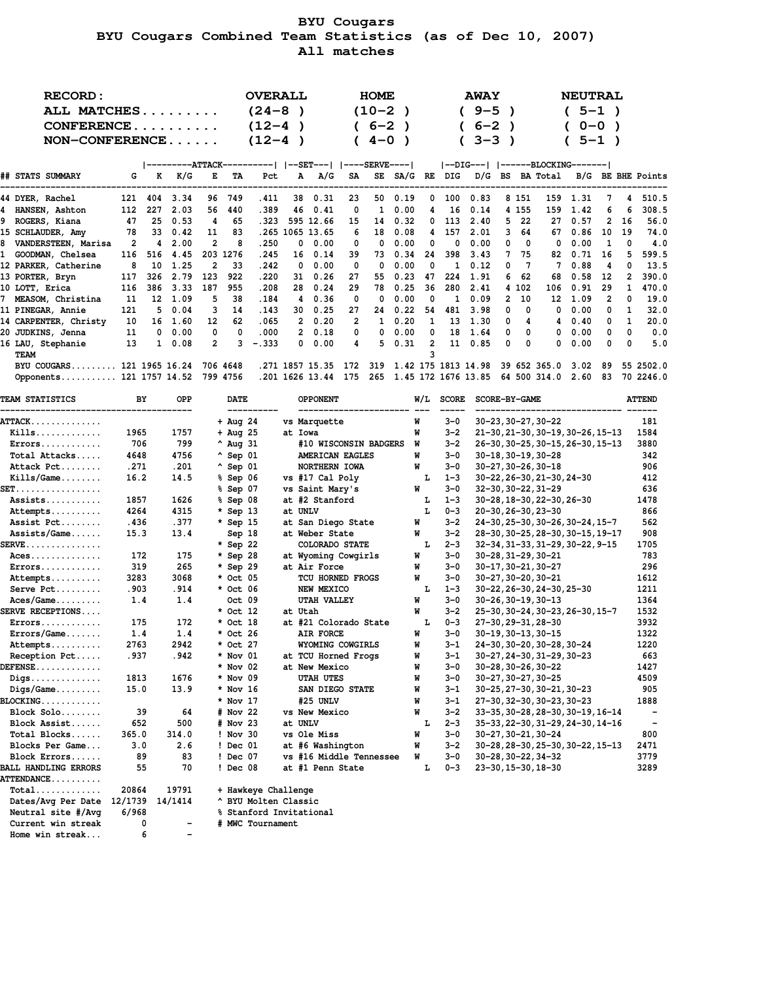# **BYU Cougars BYU Cougars Combined Team Statistics (as of Dec 10, 2007) All matches**

| <b>RECORD:</b><br>ALL MATCHES<br>$CONFERENCE$<br>$NON-CONFERENCE$ |                |          |      |                |          | <b>OVERALL</b><br>$(24-8)$<br>$(12 - 4)$<br>$(12-4)$ |    |                 |                | <b>HOME</b><br>(10-2)<br>$6 - 2$<br>$4 - 0$ | $\lambda$  |                |     | <b>AWAY</b><br>$9 - 5$<br>$6 - 2$<br>$3 - 3$ ) |                |          |                 | <b>NEUTRAL</b><br>$5 - 1$ ) | $5 - 1$ )<br>$0 - 0$ ) |          |                   |
|-------------------------------------------------------------------|----------------|----------|------|----------------|----------|------------------------------------------------------|----|-----------------|----------------|---------------------------------------------|------------|----------------|-----|------------------------------------------------|----------------|----------|-----------------|-----------------------------|------------------------|----------|-------------------|
|                                                                   |                |          |      |                |          | ---------ATTACK----------   --SET---   ----SERVE---- |    |                 |                |                                             |            |                |     |                                                |                |          |                 |                             |                        |          |                   |
| ## STATS SUMMARY                                                  | G              | к        | K/G  | Е              | TA       | Pct                                                  | A  | A/G             | SA             |                                             | SE SA/G RE |                | DIG |                                                |                |          | D/G BS BA Total |                             |                        |          | B/G BE BHE Points |
| 44 DYER, Rachel                                                   | 121            | 404      | 3.34 | 96             | 749      | .411                                                 | 38 | 0.31            | 23             | 50                                          | 0.19       | 0              | 100 | 0.83                                           |                | 8 1 5 1  | 159             | 1.31                        | 7                      | 4        | 510.5             |
| 4 HANSEN, Ashton                                                  | 112            | 227      | 2.03 | 56             | 440      | .389                                                 | 46 | 0.41            | 0              | 1                                           | 0.00       | 4              | 16  | 0.14                                           |                | 4 155    | 159             | 1.42                        | 6                      | 6        | 308.5             |
| 9 ROGERS, Kiana                                                   | 47             | 25       | 0.53 | 4              | 65       | .323                                                 |    | 595 12.66       | 15             | 14                                          | 0.32       | 0              | 113 | 2.40                                           | 5.             | 22       | 27              | 0.57                        | $\mathbf{2}$           | 16       | 56.0              |
| 15 SCHLAUDER, Amy                                                 | 78             | 33       | 0.42 | 11             | 83       |                                                      |    | .265 1065 13.65 | 6              | 18                                          | 0.08       | 4              | 157 | 2.01                                           | 3.             | 64       | 67              | 0.86                        | 10                     | 19       | 74.0              |
| 8 VANDERSTEEN, Marisa                                             | $\overline{2}$ | 4        | 2.00 | $\overline{c}$ | 8        | .250                                                 | 0  | 0.00            | 0              | 0                                           | 0.00       | 0              | 0   | 0.00                                           | 0              | 0        | 0               | 0.00                        | 1                      | $\Omega$ | 4.0               |
| 1 GOODMAN, Chelsea                                                | 116            | 516      | 4.45 | 203            | 1276     | .245                                                 | 16 | 0.14            | 39             | 73                                          | 0.34       | 24             | 398 | 3.43                                           |                | 75       | 82              | 0.71                        | 16                     | 5.       | 599.5             |
| 12 PARKER, Catherine                                              | 8              | 10       | 1.25 | $\overline{2}$ | 33       | .242                                                 | 0  | 0.00            | $\Omega$       | 0                                           | 0.00       | 0              | 1   | 0.12                                           | n.             | 7        | 7               | 0.88                        | 4                      | 0        | 13.5              |
| 13 PORTER, Bryn                                                   | 117            | 326      | 2.79 | 123            | 922      | .220                                                 | 31 | 0.26            | 27             | 55                                          | 0.23       | 47             | 224 | 1.91                                           | 6              | 62       | 68              | 0.58                        | 12                     | 2        | 390.0             |
| 10 LOTT, Erica                                                    | 116            | 386      | 3.33 | 187            | 955      | .208                                                 | 28 | 0.24            | 29             | 78                                          | 0.25       | 36             | 280 | 2.41                                           |                | 4 102    | 106             | 0.91                        | 29                     | 1        | 470.0             |
| 7 MEASOM, Christina                                               | 11             | 12       | 1.09 | 5              | 38       | .184                                                 | 4  | 0.36            | $\Omega$       | $\Omega$                                    | 0.00       | 0              | 1   | 0.09                                           | $\overline{2}$ | 10       | 12              | 1.09                        | 2                      | 0        | 19.0              |
| 11 PINEGAR, Annie                                                 | 121            | 5        | 0.04 | 3              | 14       | .143                                                 | 30 | 0.25            | 27             | 24                                          | 0.22       | 54             | 481 | 3.98                                           | n.             | 0        | 0               | 0.00                        | 0                      | 1        | 32.0              |
| 14 CARPENTER, Christy                                             | 10             | 16       | 1.60 | 12             | 62       | .065                                                 |    | 0.20            | $\overline{2}$ | 1                                           | 0.20       | 1              | 13  | 1.30                                           | 0              | 4        | 4               | 0.40                        | 0                      | 1.       | 20.0              |
| 20 JUDKINS, Jenna                                                 | 11             | $\Omega$ | 0.00 | 0              | 0        | .000                                                 | 2  | 0.18            | 0              | $\Omega$                                    | 0.00       | 0              | 18  | 1.64                                           | $\Omega$       | 0        | 0               | 0.00                        | 0                      | 0        | 0.0               |
| 16 LAU, Stephanie                                                 | 13             |          | 0.08 | $\mathbf{2}$   |          | $-.333$                                              | 0  | 0.00            | 4              | 5                                           | 0.31       | $\overline{2}$ | 11  | 0.85                                           | 0              | $\Omega$ | 0               | 0.00                        | $\Omega$               | $\Omega$ | 5.0               |
| TEAM                                                              |                |          |      |                |          |                                                      |    |                 |                |                                             |            | 3              |     |                                                |                |          |                 |                             |                        |          |                   |
| BYU COUGARS 121 1965 16.24                                        |                |          |      |                | 706 4648 |                                                      |    | .271 1857 15.35 | 172            | 319                                         |            |                |     | 1.42 175 1813 14.98                            |                |          | 39 652 365.0    | 3.02                        | -89                    |          | 55 2502.0         |
| Opponents 121 1757 14.52                                          |                |          |      |                | 799 4756 |                                                      |    | .201 1626 13.44 | 175            | 265                                         |            |                |     | 1.45 172 1676 13.85                            |                |          | 64 500 314.0    | 2.60                        | 83                     |          | 70 2246.0         |

| <b>TEAM STATISTICS</b>                            | BY      | OPP     | DATE               |                      | <b>OPPONENT</b>         | W/L | <b>SCORE</b> | SCORE-BY-GAME                     | <b>ATTEND</b>            |
|---------------------------------------------------|---------|---------|--------------------|----------------------|-------------------------|-----|--------------|-----------------------------------|--------------------------|
| <b>ATTACK</b>                                     |         |         | $+$ Aug 24         |                      | vs Marquette            | W   | 3-0          | 30-23, 30-27, 30-22               | 181                      |
| $Kills$                                           | 1965    | 1757    | $+$ Aug 25         |                      | at Iowa                 | W   | $3 - 2$      | 21-30, 21-30, 30-19, 30-26, 15-13 | 1584                     |
| $Errors \ldots \ldots \ldots$                     | 706     | 799     | $^{\circ}$ Aug 31  |                      | #10 WISCONSIN BADGERS   | W   | $3 - 2$      | 26-30, 30-25, 30-15, 26-30, 15-13 | 3880                     |
| Total Attacks                                     | 4648    | 4756    | $^{\wedge}$ Sep 01 |                      | AMERICAN EAGLES         | M   | $3 - 0$      | $30 - 18, 30 - 19, 30 - 28$       | 342                      |
| Attack Pct                                        | .271    | .201    | $^{\wedge}$ Sep 01 |                      | NORTHERN IOWA           | W   | $3 - 0$      | $30 - 27, 30 - 26, 30 - 18$       | 906                      |
| $Kills/Game$                                      | 16.2    | 14.5    | % Sep 06           |                      | vs #17 Cal Poly         | L   | $1 - 3$      | 30-22, 26-30, 21-30, 24-30        | 412                      |
| $\texttt{SET} \ldots \ldots \ldots \ldots \ldots$ |         |         | % Sep 07           |                      | vs Saint Mary's         | W   | $3 - 0$      | 32-30, 30-22, 31-29               | 636                      |
| Assists                                           | 1857    | 1626    | % Sep 08           |                      | at #2 Stanford          | L   | $1 - 3$      | 30-28, 18-30, 22-30, 26-30        | 1478                     |
| Attempts                                          | 4264    | 4315    | $*$ Sep 13         |                      | at UNLV                 | L   | $0 - 3$      | 20-30, 26-30, 23-30               | 866                      |
| Assist Pct                                        | .436    | .377    | * Sep 15           |                      | at San Diego State      | W   | $3 - 2$      | 24-30, 25-30, 30-26, 30-24, 15-7  | 562                      |
| $Assists/Game$                                    | 15.3    | 13.4    | Sep 18             |                      | at Weber State          | W   | $3 - 2$      | 28-30, 30-25, 28-30, 30-15, 19-17 | 908                      |
| ${\tt SERVE} \dots \dots \dots \dots \dots$       |         |         | * Sep 22           |                      | COLORADO STATE          | L   | $2 - 3$      | 32-34, 31-33, 31-29, 30-22, 9-15  | 1705                     |
| $Access$                                          | 172     | 175     | * Sep 28           |                      | at Wyoming Cowgirls     | W   | $3 - 0$      | $30 - 28, 31 - 29, 30 - 21$       | 783                      |
| $Errors \ldots \ldots \ldots$                     | 319     | 265     | * Sep 29           |                      | at Air Force            | W   | $3 - 0$      | 30-17, 30-21, 30-27               | 296                      |
| Attempts                                          | 3283    | 3068    | * Oct 05           |                      | TCU HORNED FROGS        | W   | $3 - 0$      | 30-27, 30-20, 30-21               | 1612                     |
| Serve Pct                                         | .903    | .914    | * Oct 06           |                      | NEW MEXICO              | L   | $1 - 3$      | 30-22, 26-30, 24-30, 25-30        | 1211                     |
| $Access/Game$                                     | 1.4     | 1.4     | Oct 09             |                      | <b>UTAH VALLEY</b>      | W   | $3 - 0$      | $30 - 26, 30 - 19, 30 - 13$       | 1364                     |
| SERVE RECEPTIONS                                  |         |         | * Oct 12           |                      | at Utah                 | W   | $3 - 2$      | 25-30, 30-24, 30-23, 26-30, 15-7  | 1532                     |
| $Errors \ldots \ldots \ldots$                     | 175     | 172     | * Oct 18           |                      | at #21 Colorado State   | L   | $0 - 3$      | 27-30, 29-31, 28-30               | 3932                     |
| Errors/Game                                       | 1.4     | 1.4     | * Oct 26           |                      | AIR FORCE               | W   | $3 - 0$      | $30 - 19, 30 - 13, 30 - 15$       | 1322                     |
| Attempts                                          | 2763    | 2942    | * Oct 27           |                      | WYOMING COWGIRLS        | M   | $3 - 1$      | 24-30, 30-20, 30-28, 30-24        | 1220                     |
| Reception Pct                                     | .937    | .942    | * Nov 01           |                      | at TCU Horned Frogs     | M   | $3 - 1$      | 30-27, 24-30, 31-29, 30-23        | 663                      |
| DEFENSE                                           |         |         | $*$ Nov 02         |                      | at New Mexico           | M   | $3 - 0$      | $30 - 28, 30 - 26, 30 - 22$       | 1427                     |
| $\mathtt{Diqs.}\dots\dots\dots\dots\dots$         | 1813    | 1676    | * Nov 09           |                      | <b>UTAH UTES</b>        | W   | $3 - 0$      | 30-27, 30-27, 30-25               | 4509                     |
| $\text{Diqs}/\text{Game}\ldots\ldots\ldots$       | 15.0    | 13.9    | $*$ Nov 16         |                      | SAN DIEGO STATE         | M   | $3 - 1$      | 30-25, 27-30, 30-21, 30-23        | 905                      |
| $\mathtt{BLOCKING} \dots \dots \dots \dots$       |         |         | $*$ Nov 17         |                      | #25 UNLV                | M   | $3 - 1$      | 27-30, 32-30, 30-23, 30-23        | 1888                     |
| $Block$ Solo                                      | 39      | 64      | # Nov 22           |                      | vs New Mexico           | M   | $3 - 2$      | 33-35, 30-28, 28-30, 30-19, 16-14 | $\overline{\phantom{a}}$ |
| Block Assist                                      | 652     | 500     | # Nov 23           |                      | at UNLV                 | L   | $2 - 3$      | 35-33, 22-30, 31-29, 24-30, 14-16 | $\overline{\phantom{a}}$ |
| Total Blocks                                      | 365.0   | 314.0   | ! Nov 30           |                      | vs Ole Miss             | W   | $3 - 0$      | 30-27, 30-21, 30-24               | 800                      |
| Blocks Per Game                                   | 3.0     | 2.6     | ! Dec 01           |                      | at #6 Washington        | W   | $3 - 2$      | 30-28, 28-30, 25-30, 30-22, 15-13 | 2471                     |
| Block Errors                                      | 89      | 83      | ! Dec 07           |                      | vs #16 Middle Tennessee | W   | $3-0$        | 30-28, 30-22, 34-32               | 3779                     |
| <b>BALL HANDLING ERRORS</b>                       | 55      | 70      | ! Dec 08           |                      | at #1 Penn State        | L   | $0 - 3$      | 23-30, 15-30, 18-30               | 3289                     |
| ATTENDANCE                                        |         |         |                    |                      |                         |     |              |                                   |                          |
| $Total$                                           | 20864   | 19791   |                    | + Hawkeye Challenge  |                         |     |              |                                   |                          |
| Dates/Avg Per Date                                | 12/1739 | 14/1414 |                    | ^ BYU Molten Classic |                         |     |              |                                   |                          |

 **Neutral site #/Avg 6/968 % Stanford Invitational**

 **Current win streak 0 - # MWC Tournament**

 **Home win streak... 6 -**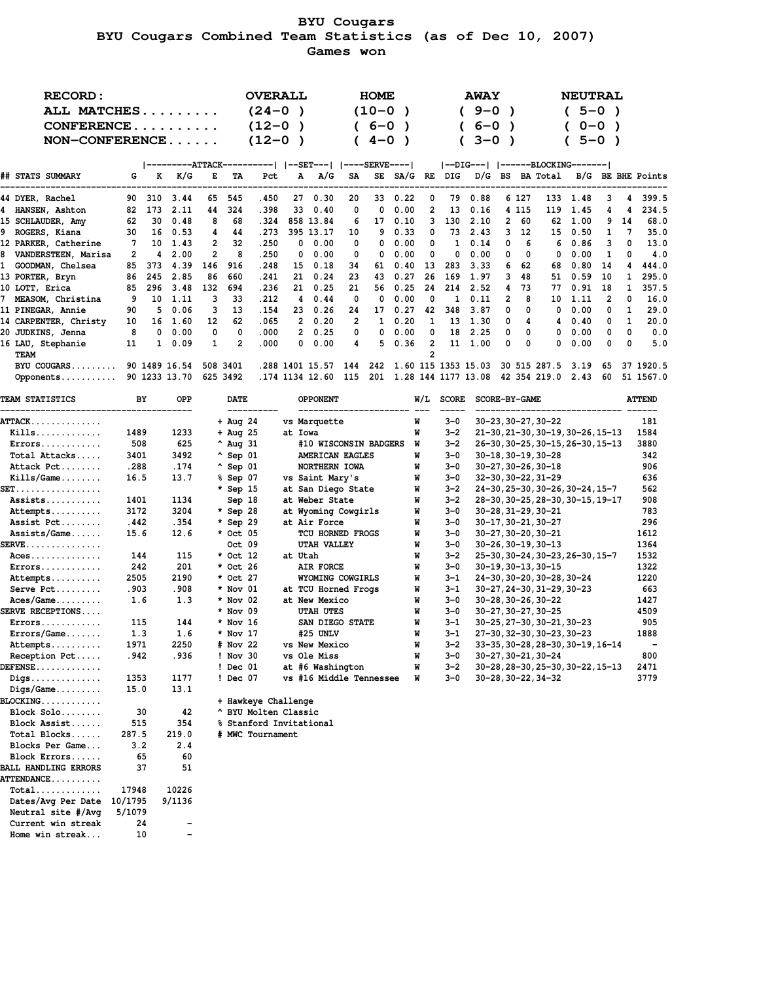# **BYU Cougars BYU Cougars Combined Team Statistics (as of Dec 10, 2007) Games won**

| <b>RECORD:</b>            | ALL MATCHES<br>CONFERENCE<br>NON-CONFERENCE |          |               |                |          |      |    | <b>OVERALL</b>  |                | <b>HOME</b><br>(10-0<br>$6 - 0$<br>$(4 - 0)$ | $\lambda$ |                                  |              | <b>AWAY</b><br>$9 - 0$<br>$6 - 0$<br>$3 - 0$ |              |         |                    | <b>NEUTRAL</b><br>5-0)<br>$0 - 0$ | $5 - 0$ )      |    |                   |
|---------------------------|---------------------------------------------|----------|---------------|----------------|----------|------|----|-----------------|----------------|----------------------------------------------|-----------|----------------------------------|--------------|----------------------------------------------|--------------|---------|--------------------|-----------------------------------|----------------|----|-------------------|
|                           |                                             |          |               |                |          |      |    |                 |                |                                              |           |                                  |              |                                              |              |         |                    |                                   |                |    |                   |
| ## STATS SUMMARY          | G                                           | к        | K/G           | Е              | TA       | Pct  | A  | A/G             | SA             | SE                                           | SA/G RE   |                                  | DIG          | D/G                                          |              |         | <b>BS</b> BA Total |                                   |                |    | B/G BE BHE Points |
| 44 DYER, Rachel           |                                             | 90 310   | 3.44          | 65             | 545      | .450 | 27 | 0.30            | 20             | 33                                           | 0.22      | 0                                | 79           | 0.88                                         |              | 6 127   | 133                | 1.48                              | 3              | 4  | 399.5             |
| 4 HANSEN, Ashton          | 82                                          | 173      | 2.11          | 44             | 324      | .398 | 33 | 0.40            | 0              | 0                                            | 0.00      | 2                                | 13           | 0.16                                         |              | 4 1 1 5 | 119                | 1.45                              | 4              | 4  | 234.5             |
| 15 SCHLAUDER, Amy         | 62                                          | 30       | 0.48          | 8              | 68       | .324 |    | 858 13.84       | 6              | 17                                           | 0.10      | 3                                | 130          | 2.10                                         | $\mathbf{2}$ | 60      | 62                 | 1.00                              | 9              | 14 | 68.0              |
| 9 ROGERS, Kiana           | 30                                          | 16       | 0.53          | 4              | 44       | .273 |    | 395 13.17       | 10             | 9                                            | 0.33      | 0                                | 73           | 2.43                                         | 3.           | 12      | 15                 | 0.50                              | $\mathbf{1}$   | 7  | 35.0              |
| 12 PARKER, Catherine      | 7                                           | 10       | 1.43          | $\overline{2}$ | 32       | .250 | 0  | 0.00            | 0              | 0                                            | 0.00      | 0                                | $\mathbf{1}$ | 0.14                                         | 0            | 6       | 6                  | 0.86                              | 3              | 0  | 13.0              |
| 8 VANDERSTEEN, Marisa     | $\overline{2}$                              | 4        | 2.00          | $\overline{2}$ | 8        | .250 | 0  | 0.00            | 0              | 0                                            | 0.00      | 0                                | 0            | 0.00                                         | 0            | 0       | 0                  | 0.00                              | 1              | 0  | 4.0               |
| 1 GOODMAN, Chelsea        | 85                                          | 373      | 4.39          | 146            | 916      | .248 | 15 | 0.18            | 34             | 61                                           | 0.40      | 13                               | 283          | 3.33                                         |              | 62      | 68                 | 0.80                              | 14             | 4  | 444.0             |
| 13 PORTER, Bryn           | 86                                          | 245      | 2.85          | 86             | 660      | .241 | 21 | 0.24            | 23             | 43                                           | 0.27      | 26                               | 169          | 1.97                                         | 3            | 48      | 51                 | 0.59                              | 10             | 1  | 295.0             |
| 10 LOTT, Erica            | 85                                          | 296      | 3.48          | 132            | 694      | .236 | 21 | 0.25            | 21             | 56                                           | 0.25      | 24                               | 214          | 2.52                                         |              | 73      | 77                 | 0.91                              | 18             |    | 357.5             |
| 7 MEASOM, Christina       | 9                                           | 10       | 1.11          | 3              | 33       | .212 | 4  | 0.44            | 0              | 0                                            | 0.00      | 0                                | 1            | 0.11                                         | 2            | 8       | 10                 | 1.11                              | $\overline{2}$ | 0  | 16.0              |
| 11 PINEGAR, Annie         | 90                                          | 5        | 0.06          | 3              | 13       | .154 | 23 | 0.26            | 24             | 17                                           | 0.27      | 42                               | 348          | 3.87                                         | 0            | 0       | 0                  | 0.00                              | 0              | 1  | 29.0              |
| 14 CARPENTER, Christy     | 10                                          | 16       | 1.60          | 12             | 62       | .065 |    | 0.20            | $\overline{2}$ | 1                                            | 0.20      | 1                                | 13           | 1.30                                         | 0            | 4       | 4                  | 0.40                              | 0              | 1  | 20.0              |
| 20 JUDKINS, Jenna         | 8                                           | $\Omega$ | 0.00          | 0              | $\Omega$ | .000 | 2  | 0.25            | 0              | 0                                            | 0.00      | 0                                | 18           | 2.25                                         | 0            | 0       | 0                  | 0.00                              | 0              | 0  | 0.0               |
| 16 LAU, Stephanie<br>TEAM | 11                                          | 1.       | 0.09          | 1              | 2        | .000 | 0  | 0.00            | 4              | 5.                                           | 0.36      | $\overline{c}$<br>$\overline{2}$ | 11           | 1.00                                         | $\Omega$     | 0       | 0                  | 0.00                              | 0              | 0  | 5.0               |
| $BYU$ COUGARS             |                                             |          | 90 1489 16.54 |                | 508 3401 |      |    | .288 1401 15.57 | 144            | 242                                          |           |                                  |              | 1.60 115 1353 15.03                          |              |         | 30 515 287.5       | 3.19                              | 65             |    | 37 1920.5         |
| Opponents                 |                                             |          | 90 1233 13.70 |                | 625 3492 |      |    | .174 1134 12.60 | 115            | 201                                          |           |                                  |              | 1.28 144 1177 13.08                          |              |         | 42 354 219.0       | 2.43                              | 60             |    | 51 1567.0         |

| <b>TEAM STATISTICS</b>                         | BY   | OPP  | <b>DATE</b>        | <b>OPPONENT</b>                | W/L | <b>SCORE</b> | SCORE-BY-GAME                     | <b>ATTEND</b> |
|------------------------------------------------|------|------|--------------------|--------------------------------|-----|--------------|-----------------------------------|---------------|
| <b>ATTACK.</b>                                 |      |      | $+$ Aug 24         | --------------<br>vs Marquette | W   | $3 - 0$      | 30-23, 30-27, 30-22               | 181           |
| $Kills$                                        | 1489 | 1233 | $+$ Aug 25         | at Iowa                        | W   | $3 - 2$      | 21-30, 21-30, 30-19, 30-26, 15-13 | 1584          |
| $Errors \ldots \ldots \ldots$                  | 508  | 625  | $^{\circ}$ Aug 31  | #10 WISCONSIN BADGERS          | W   | $3 - 2$      | 26-30, 30-25, 30-15, 26-30, 15-13 | 3880          |
| Total Attacks                                  | 3401 | 3492 | $^{\circ}$ Sep 01  | AMERICAN EAGLES                | W   | $3-0$        | $30 - 18, 30 - 19, 30 - 28$       | 342           |
| Attack Pct                                     | .288 | .174 | $^{\wedge}$ Sep 01 | NORTHERN IOWA                  | W   | $3 - 0$      | $30 - 27, 30 - 26, 30 - 18$       | 906           |
| $Kills/Game \ldots$                            | 16.5 | 13.7 | % Sep 07           | vs Saint Mary's                | W   | $3 - 0$      | 32-30, 30-22, 31-29               | 636           |
| SET.                                           |      |      | $*$ Sep 15         | at San Diego State             | W   | $3 - 2$      | 24-30, 25-30, 30-26, 30-24, 15-7  | 562           |
| $Assists$                                      | 1401 | 1134 | Sep 18             | at Weber State                 | W   | $3 - 2$      | 28-30, 30-25, 28-30, 30-15, 19-17 | 908           |
| Attempts                                       | 3172 | 3204 | * Sep 28           | at Wyoming Cowgirls            | W   | $3-0$        | $30 - 28, 31 - 29, 30 - 21$       | 783           |
| Assist Pct                                     | .442 | .354 | * Sep 29           | at Air Force                   | W   | $3 - 0$      | 30-17, 30-21, 30-27               | 296           |
| Assists/Game                                   | 15.6 | 12.6 | * Oct 05           | TCU HORNED FROGS               | W   | $3 - 0$      | 30-27, 30-20, 30-21               | 1612          |
| $\texttt{SERVE}\dots\dots\dots\dots\dots\dots$ |      |      | Oct 09             | UTAH VALLEY                    | W   | $3-0$        | $30 - 26, 30 - 19, 30 - 13$       | 1364          |
| $Aces$                                         | 144  | 115  | * Oct 12           | at Utah                        | W   | $3 - 2$      | 25-30, 30-24, 30-23, 26-30, 15-7  | 1532          |
| $Errors \ldots \ldots \ldots$                  | 242  | 201  | * Oct 26           | AIR FORCE                      | W   | $3-0$        | $30 - 19, 30 - 13, 30 - 15$       | 1322          |
| Attempts                                       | 2505 | 2190 | * Oct 27           | WYOMING COWGIRLS               | W   | $3 - 1$      | 24-30, 30-20, 30-28, 30-24        | 1220          |
| $Server$ $Pct$                                 | .903 | .908 | $*$ Nov 01         | at TCU Horned Frogs            | W   | $3 - 1$      | 30-27, 24-30, 31-29, 30-23        | 663           |
| $Access/Game$                                  | 1.6  | 1.3  | $*$ Nov 02         | at New Mexico                  | W   | $3 - 0$      | 30-28, 30-26, 30-22               | 1427          |
| <b>SERVE RECEPTIONS</b>                        |      |      | $*$ Nov 09         | <b>UTAH UTES</b>               | W   | $3 - 0$      | 30-27, 30-27, 30-25               | 4509          |
| $Errors \ldots \ldots \ldots$                  | 115  | 144  | $*$ Nov 16         | SAN DIEGO STATE                | W   | $3 - 1$      | 30-25, 27-30, 30-21, 30-23        | 905           |
| Errors/Game                                    | 1.3  | 1.6  | $*$ Nov 17         | #25 UNLV                       | W   | $3 - 1$      | 27-30, 32-30, 30-23, 30-23        | 1888          |
| Attempts                                       | 1971 | 2250 | # Nov 22           | vs New Mexico                  | W   | $3 - 2$      | 33-35, 30-28, 28-30, 30-19, 16-14 |               |
| Reception Pct                                  | .942 | .936 | ! Nov 30           | vs Ole Miss                    | W   | $3 - 0$      | 30-27, 30-21, 30-24               | 800           |
| <b>DEFENSE</b>                                 |      |      | ! Dec 01           | at #6 Washington               | W   | $3 - 2$      | 30-28, 28-30, 25-30, 30-22, 15-13 | 2471          |
| Digs                                           | 1353 | 1177 | ! Dec 07           | vs #16 Middle Tennessee        | W   | $3 - 0$      | 30-28, 30-22, 34-32               | 3779          |
| $Diqs/Game$                                    | 15.0 | 13.1 |                    |                                |     |              |                                   |               |

**BLOCKING............ + Hawkeye Challenge**

 **Block Solo........ 30 42 ^ BYU Molten Classic**

 **Block Assist...... 515 354 % Stanford Invitational**

 **Total Blocks...... 287.5 219.0 # MWC Tournament**

 **Blocks Per Game... 3.2 2.4 Block Errors...... 65 60 BALL HANDLING ERRORS 37 51**

 **Total............. 17948 10226 Dates/Avg Per Date 10/1795 9/1136**

 **Current win streak 24 - Home win streak... 10 -**

 **Neutral site #/Avg 5/1079**

**ATTENDANCE..........**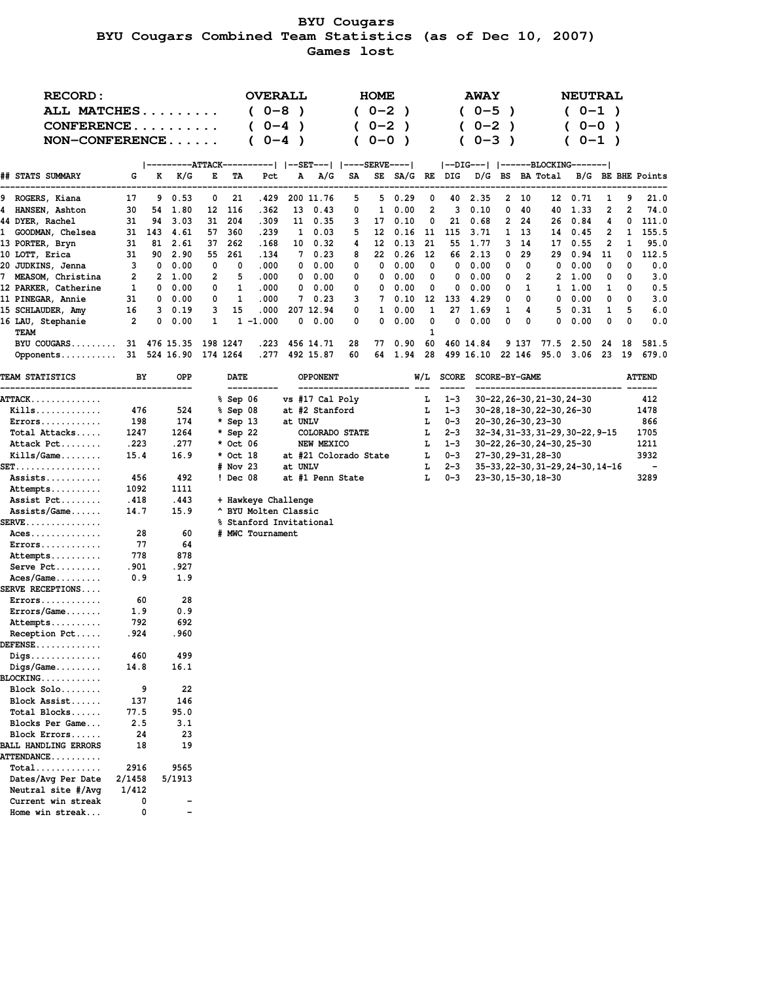# **BYU Cougars BYU Cougars Combined Team Statistics (as of Dec 10, 2007) Games lost**

| <b>RECORD:</b>                                |          |          |                          |          |             |                                                 | <b>OVERALL</b> |                 |              |                  | <b>HOME</b>           |                |                                |              | <b>AWAY</b>                      |           |               |                                                        | <b>NEUTRAL</b> |           |        |                          |
|-----------------------------------------------|----------|----------|--------------------------|----------|-------------|-------------------------------------------------|----------------|-----------------|--------------|------------------|-----------------------|----------------|--------------------------------|--------------|----------------------------------|-----------|---------------|--------------------------------------------------------|----------------|-----------|--------|--------------------------|
| ALL MATCHES                                   |          |          |                          |          |             | $(0-8)$                                         |                | $\rightarrow$   |              |                  | $(0-2)$               | $\lambda$      |                                |              | $(0-5)$                          | $\lambda$ |               |                                                        | $(0-1)$        |           |        |                          |
| CONFERENCE                                    |          |          |                          |          |             | $0 - 4$                                         |                | $\lambda$       |              |                  | $0 - 2$               | $\lambda$      |                                |              | $0 - 2$                          | )         |               |                                                        |                | $0 - 0$ ) |        |                          |
| $NON-CONFERENCE$                              |          |          |                          |          |             | $0 - 4$                                         |                | $\lambda$       |              |                  | 0-0                   | $\lambda$      |                                |              | $0 - 3$                          |           |               |                                                        |                | $0 - 1$ ) |        |                          |
|                                               |          |          |                          |          |             |                                                 |                |                 |              |                  |                       |                |                                |              |                                  |           |               |                                                        |                |           |        |                          |
|                                               |          |          | ---------ATTACK-         |          |             |                                                 |                |                 |              |                  |                       |                |                                |              | --DIG---   ------BLOCKING------- |           |               |                                                        |                |           |        |                          |
| ## STATS SUMMARY                              | G        | K        | K/G                      | E        | TA          | Pct                                             |                | А               | A/G          | SA               |                       | SE SA/G RE DIG |                                |              | D/G BS BA Total                  |           |               |                                                        |                |           |        | B/G BE BHE Points        |
| ROGERS, Kiana<br>9                            | 17       | 9        | 0.53                     | 0        | 21          | .429                                            |                | 200 11.76       |              | 5                | 5                     | 0.29           | 0                              | 40           | 2.35                             | 2         | 10            | 12                                                     | 0.71           | 1         | 9      | 21.0                     |
| HANSEN, Ashton<br>4                           | 30       | 54       | 1.80                     | 12       | 116         | .362                                            |                | 13              | 0.43         | 0                | 1                     | 0.00           | 2                              | з            | 0.10                             | 0         | 40            | 40                                                     | 1.33           | 2         | 2      | 74.0                     |
| 44 DYER, Rachel                               | 31       | 94       | 3.03                     | 31       | 204         | .309                                            |                | 11              | 0.35         | 3                | 17                    | 0.10           | 0                              | 21           | 0.68                             | 2         | 24            | 26                                                     | 0.84           | 4         | 0      | 111.0                    |
| GOODMAN, Chelsea<br>1                         | 31       | 143      | 4.61                     | 57       | 360         | .239                                            |                | 1               | 0.03         | 5                | 12                    | 0.16           | 11                             | 115          | 3.71                             |           | 1 13          | 14                                                     | 0.45           | 2         | 1      | 155.5                    |
| 13 PORTER, Bryn<br>10 LOTT, Erica             | 31<br>31 | 81<br>90 | 2.61<br>2.90             | 37<br>55 | 262<br>261  | .168                                            |                | 10<br>7         | 0.32<br>0.23 | 4<br>8           | 12<br>22              | 0.13<br>0.26   | 21<br>12                       | 55<br>66     | 1.77<br>2.13                     | 3         | 14<br>29      | 17<br>29                                               | 0.55           | 2<br>11   | 1<br>0 | 95.0<br>112.5            |
| 20 JUDKINS, Jenna                             | 3        | 0        | 0.00                     | 0        | 0           | .134<br>.000                                    |                | 0               | 0.00         | 0                | 0                     | 0.00           | 0                              | 0            | 0.00                             | 0<br>0    | 0             | 0                                                      | 0.94<br>0.00   | 0         | 0      | 0.0                      |
| MEASOM, Christina<br>L                        | 2        |          | 2 1.00                   | 2        | 5           | .000                                            |                | 0               | 0.00         | 0                | 0                     | 0.00           | 0                              | 0            | 0.00                             | 0         | 2             | 2                                                      | 1.00           | 0         | 0      | 3.0                      |
| 12 PARKER, Catherine                          | 1        | 0        | 0.00                     | 0        | 1           | .000                                            |                | 0               | 0.00         | 0                | 0                     | 0.00           | 0                              | 0            | 0.00                             | 0         | 1             | $\mathbf{1}$                                           | 1.00           | 1         | 0      | 0.5                      |
| 11 PINEGAR, Annie                             | 31       |          | $0 \quad 0.00$           | 0        | 1           | .000                                            |                | 7               | 0.23         | 3                | 7                     | 0.10           | 12                             | 133          | 4.29                             | 0         | 0             | 0                                                      | 0.00           | 0         | 0      | 3.0                      |
| 15 SCHLAUDER, Amy                             | 16       | 3        | 0.19                     | 3        | 15          | .000                                            |                | 207 12.94       |              | 0                | 1                     | 0.00           | 1                              | 27           | 1.69                             | 1         | 4             | 5                                                      | 0.31           | 1         | 5      | 6.0                      |
| 16 LAU, Stephanie                             | 2        | 0        | 0.00                     | 1        |             | $1 - 1.000$                                     |                | 0               | 0.00         | 0                | 0                     | 0.00           | 0                              | 0            | 0.00                             | 0         | 0             | 0                                                      | 0.00           | 0         | 0      | 0.0                      |
| TEAM                                          |          |          |                          |          |             |                                                 |                |                 |              |                  |                       |                | 1                              |              |                                  |           |               |                                                        |                |           |        |                          |
| BYU COUGARS                                   |          |          | 31 476 15.35             |          | 198 1247    | . 223                                           |                | 456 14.71       |              | 28               | 77                    | 0.90           | 60                             |              | 460 14.84                        |           | 9 137         | 77.5                                                   | 2.50           | 24        | 18     | 581.5                    |
| Opponents                                     |          |          | 31 524 16.90             | 174 1264 |             | . 277                                           |                | 492 15.87       |              | 60               | 64                    | 1.94           | 28                             |              | 499 16.10                        | 22 146    |               | 95.0                                                   | 3.06           | - 23      | 19     | 679.0                    |
| TEAM STATISTICS                               | ВY       |          | OPP                      |          | <b>DATE</b> |                                                 |                | <b>OPPONENT</b> |              |                  |                       |                | W/L                            | <b>SCORE</b> |                                  |           | SCORE-BY-GAME |                                                        |                |           |        | <b>ATTEND</b>            |
| <b>ATTACK.</b>                                |          |          | ----                     |          | % Sep 06    |                                                 |                | vs #17 Cal Poly |              |                  |                       |                | $\qquad \qquad -\qquad -$<br>L | $1 - 3$      |                                  |           |               | ------------------------<br>30-22, 26-30, 21-30, 24-30 |                |           |        | 412                      |
| $Kills$                                       | 476      |          | 524                      |          | % Sep 08    |                                                 |                | at #2 Stanford  |              |                  |                       |                | L                              | $1 - 3$      |                                  |           |               | 30-28, 18-30, 22-30, 26-30                             |                |           |        | 1478                     |
| $Errors \ldots \ldots \ldots$                 | 198      |          | 174                      |          | * Sep 13    |                                                 |                | at UNLV         |              |                  |                       |                | Ŀ                              | $0 - 3$      |                                  |           |               | 20-30, 26-30, 23-30                                    |                |           |        | 866                      |
| Total Attacks                                 | 1247     |          | 1264                     |          | * Sep 22    |                                                 |                |                 |              | COLORADO STATE   |                       |                | Ŀ                              | $2 - 3$      |                                  |           |               | 32-34, 31-33, 31-29, 30-22, 9-15                       |                |           |        | 1705                     |
| Attack Pct                                    | .223     |          | .277                     |          | * Oct 06    |                                                 |                | NEW MEXICO      |              |                  |                       |                | Ŀ                              | $1 - 3$      |                                  |           |               | 30-22, 26-30, 24-30, 25-30                             |                |           |        | 1211                     |
| $Kills/Game \ldots$                           | 15.4     |          | 16.9                     |          | * Oct 18    |                                                 |                |                 |              |                  | at #21 Colorado State |                | Ŀ                              | $0 - 3$      |                                  |           |               | 27-30,29-31,28-30                                      |                |           |        | 3932                     |
| <b>SET.</b> .                                 |          |          |                          |          | # Nov 23    |                                                 |                | at UNLV         |              |                  |                       |                | Ŀ                              | $2 - 3$      |                                  |           |               | 35–33, 22–30, 31–29, 24–30, 14–16                      |                |           |        | $\overline{\phantom{a}}$ |
| Assists                                       | 456      |          | 492                      |          | $!$ Dec 08  |                                                 |                |                 |              | at #1 Penn State |                       |                | L                              | $0 - 3$      |                                  |           |               | 23-30, 15-30, 18-30                                    |                |           |        | 3289                     |
| Attempts                                      | 1092     |          | 1111                     |          |             |                                                 |                |                 |              |                  |                       |                |                                |              |                                  |           |               |                                                        |                |           |        |                          |
| Assist Pct                                    | .418     |          | .443                     |          |             | + Hawkeye Challenge                             |                |                 |              |                  |                       |                |                                |              |                                  |           |               |                                                        |                |           |        |                          |
| Assists/Game<br><b>SERVE</b>                  | 14.7     |          | 15.9                     |          |             | ^ BYU Molten Classic<br>% Stanford Invitational |                |                 |              |                  |                       |                |                                |              |                                  |           |               |                                                        |                |           |        |                          |
| $Access$                                      | 28       |          | 60                       |          |             | # MWC Tournament                                |                |                 |              |                  |                       |                |                                |              |                                  |           |               |                                                        |                |           |        |                          |
| $Errors \ldots \ldots \ldots$                 | 77       |          | 64                       |          |             |                                                 |                |                 |              |                  |                       |                |                                |              |                                  |           |               |                                                        |                |           |        |                          |
| Attempts                                      | 778      |          | 878                      |          |             |                                                 |                |                 |              |                  |                       |                |                                |              |                                  |           |               |                                                        |                |           |        |                          |
| Serve Pct                                     | .901     |          | . 927                    |          |             |                                                 |                |                 |              |                  |                       |                |                                |              |                                  |           |               |                                                        |                |           |        |                          |
| $Access/Game \ldots$                          | 0.9      |          | 1.9                      |          |             |                                                 |                |                 |              |                  |                       |                |                                |              |                                  |           |               |                                                        |                |           |        |                          |
| <b>SERVE RECEPTIONS</b>                       |          |          |                          |          |             |                                                 |                |                 |              |                  |                       |                |                                |              |                                  |           |               |                                                        |                |           |        |                          |
| $Errors \ldots \ldots \ldots$                 | 60       |          | 28                       |          |             |                                                 |                |                 |              |                  |                       |                |                                |              |                                  |           |               |                                                        |                |           |        |                          |
| Errors/Game                                   | 1.9      |          | 0.9                      |          |             |                                                 |                |                 |              |                  |                       |                |                                |              |                                  |           |               |                                                        |                |           |        |                          |
| Attempts                                      | 792      |          | 692                      |          |             |                                                 |                |                 |              |                  |                       |                |                                |              |                                  |           |               |                                                        |                |           |        |                          |
| Reception Pct                                 | .924     |          | . 960                    |          |             |                                                 |                |                 |              |                  |                       |                |                                |              |                                  |           |               |                                                        |                |           |        |                          |
| $DEFENSE$                                     |          |          |                          |          |             |                                                 |                |                 |              |                  |                       |                |                                |              |                                  |           |               |                                                        |                |           |        |                          |
| $\mathtt{Digs} \dots \dots \dots \dots \dots$ | 460      |          | 499                      |          |             |                                                 |                |                 |              |                  |                       |                |                                |              |                                  |           |               |                                                        |                |           |        |                          |
| $Diqs/Game$                                   | 14.8     |          | 16.1                     |          |             |                                                 |                |                 |              |                  |                       |                |                                |              |                                  |           |               |                                                        |                |           |        |                          |
| $\mathtt{BLOCKING} \dots \dots \dots \dots$   |          |          |                          |          |             |                                                 |                |                 |              |                  |                       |                |                                |              |                                  |           |               |                                                        |                |           |        |                          |
| Block Solo<br>Block Assist                    | 137      | 9        | 22<br>146                |          |             |                                                 |                |                 |              |                  |                       |                |                                |              |                                  |           |               |                                                        |                |           |        |                          |
| Total Blocks                                  | 77.5     |          | 95.0                     |          |             |                                                 |                |                 |              |                  |                       |                |                                |              |                                  |           |               |                                                        |                |           |        |                          |
| Blocks Per Game                               | 2.5      |          | 3.1                      |          |             |                                                 |                |                 |              |                  |                       |                |                                |              |                                  |           |               |                                                        |                |           |        |                          |
| Block Errors                                  | 24       |          | 23                       |          |             |                                                 |                |                 |              |                  |                       |                |                                |              |                                  |           |               |                                                        |                |           |        |                          |
| <b>BALL HANDLING ERRORS</b>                   | 18       |          | 19                       |          |             |                                                 |                |                 |              |                  |                       |                |                                |              |                                  |           |               |                                                        |                |           |        |                          |
| <b>ATTENDANCE</b>                             |          |          |                          |          |             |                                                 |                |                 |              |                  |                       |                |                                |              |                                  |           |               |                                                        |                |           |        |                          |
| $Total$                                       | 2916     |          | 9565                     |          |             |                                                 |                |                 |              |                  |                       |                |                                |              |                                  |           |               |                                                        |                |           |        |                          |
| Dates/Avg Per Date                            | 2/1458   |          | 5/1913                   |          |             |                                                 |                |                 |              |                  |                       |                |                                |              |                                  |           |               |                                                        |                |           |        |                          |
| Neutral site #/Avg                            | 1/412    |          |                          |          |             |                                                 |                |                 |              |                  |                       |                |                                |              |                                  |           |               |                                                        |                |           |        |                          |
| Current win streak                            |          | 0        |                          |          |             |                                                 |                |                 |              |                  |                       |                |                                |              |                                  |           |               |                                                        |                |           |        |                          |
| Home win streak                               |          | 0        | $\overline{\phantom{0}}$ |          |             |                                                 |                |                 |              |                  |                       |                |                                |              |                                  |           |               |                                                        |                |           |        |                          |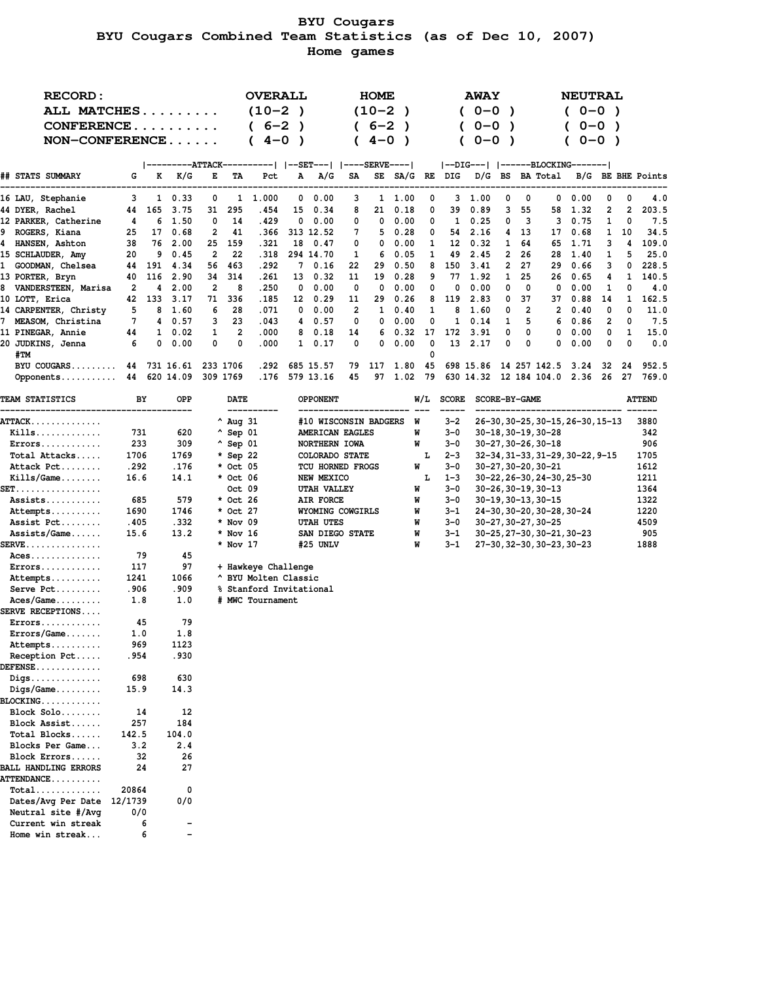# **BYU Cougars BYU Cougars Combined Team Statistics (as of Dec 10, 2007) Home games**

|     | <b>RECORD:</b>                                                    |             |          |                          |          |                    | <b>OVERALL</b>                              |               |                       |                | HOME       |           |         |              | <b>AWAY</b>                      |              |               |                                   | <b>NEUTRAL</b> |                          |        |                   |
|-----|-------------------------------------------------------------------|-------------|----------|--------------------------|----------|--------------------|---------------------------------------------|---------------|-----------------------|----------------|------------|-----------|---------|--------------|----------------------------------|--------------|---------------|-----------------------------------|----------------|--------------------------|--------|-------------------|
|     | ALL MATCHES                                                       |             |          |                          |          |                    | $(10-2)$                                    | $\rightarrow$ |                       |                | $(10 - 2)$ | $\lambda$ |         |              | $(0 - 0)$                        |              |               |                                   | $(0 - 0)$      |                          |        |                   |
|     | CONFERENCE                                                        |             |          |                          |          |                    | ( 6–2                                       | $\lambda$     |                       |                | $6 - 2$    | $\lambda$ |         |              | $0 - 0$                          | $\lambda$    |               |                                   |                | $0 - 0$<br>$\rightarrow$ |        |                   |
|     | NON-CONFERENCE                                                    |             |          |                          |          |                    | $4 - 0$                                     | $\lambda$     |                       |                | $4 - 0$    | $\lambda$ |         |              | $0 - 0$                          |              |               |                                   |                | $0 - 0$ )                |        |                   |
|     |                                                                   |             |          |                          |          |                    |                                             |               |                       |                |            |           |         |              |                                  |              |               |                                   |                |                          |        |                   |
|     |                                                                   |             |          |                          |          |                    |                                             |               |                       |                |            |           |         |              | --DIG---   ------BLOCKING------- |              |               |                                   |                |                          |        |                   |
|     | ## STATS SUMMARY                                                  | G           | K        | K/G                      | Е        | TA                 | Pct                                         | А             | A/G                   | SA             |            |           |         |              | SE SA/G RE DIG D/G BS BA Total   |              |               |                                   |                |                          |        | B/G BE BHE Points |
|     | 16 LAU, Stephanie                                                 | 3           |          | $1 \t 0.33$              | 0        |                    | 1 1.000                                     | 0             | 0.00                  | 3              |            | 1 1.00    | 0       |              | 3, 1.00                          | 0            | 0             | 0                                 | 0.00           | 0                        | 0      | 4.0               |
|     | 44 DYER, Rachel                                                   | 44          |          | 165 3.75                 | 31       | 295                | . 454                                       | 15            | 0.34                  | 8              | 21         | 0.18      | 0       | 39           | 0.89                             | 3            | 55            | 58                                | 1.32           | 2                        | 2      | 203.5             |
|     | 12 PARKER, Catherine                                              | 4           | 6        | 1.50                     | 0        | 14                 | . 429                                       | 0             | 0.00                  | 0              | 0          | 0.00      | 0       | 1            | 0.25                             | 0            | 3             | 3                                 | 0.75           | 1                        | 0      | 7.5               |
|     | 9 ROGERS, Kiana                                                   | 25          |          | 17 0.68                  | 2        | 41                 | .366                                        |               | 313 12.52             | 7              | 5          | 0.28      | 0       | 54           | 2.16                             | 4            | 13            | 17                                | 0.68           | $\mathbf{1}$             | 10     | 34.5              |
|     | 4 HANSEN, Ashton                                                  | 38          | 76       | 2.00                     | 25       | 159                | . 321                                       |               | 18 0.47               | 0              | 0          | 0.00      | 1       | 12           | 0.32                             | 1            | 64            | 65                                | 1.71           | 3                        | 4      | 109.0             |
|     | 15 SCHLAUDER, Amy                                                 | 20          | 9        | 0.45                     | 2        | 22                 | . 318                                       |               | 294 14.70             | 1              | 6          | 0.05      | 1       | 49           | 2.45                             | $\mathbf{2}$ | 26            | 28                                | 1.40           | 1                        | 5      | 25.0              |
|     | 1 GOODMAN, Chelsea                                                | 44          | 191      | 4.34                     | 56       | 463                | .292                                        |               | 7 0.16                | 22             | 29         | 0.50      | 8       | 150          | 3.41                             | 2            | 27            | 29                                | 0.66           | 3                        | 0      | 228.5             |
|     | 13 PORTER, Bryn                                                   | 40          | 116      | 2.90                     | 34       | 314                | .261                                        | 13            | 0.32                  | 11             | 19         | 0.28      | 9       | 77           | 1.92                             | 1            | 25            | 26                                | 0.65           | 4                        | 1      | 140.5             |
|     | 8 VANDERSTEEN, Marisa                                             | 2           | 4        | 2.00                     | 2        | 8                  | .250                                        | 0             | 0.00                  | 0              | 0          | 0.00      | 0       | 0            | 0.00                             | 0            | 0             | 0                                 | 0.00           | 1                        | 0      | 4.0               |
|     | 10 LOTT, Erica                                                    | 42          | 133      | 3.17                     | 71       | 336                | . 185                                       | 12            | 0.29                  | 11             | 29         | 0.26      | 8       | 119          | 2.83                             | 0            | 37            | 37                                | 0.88           | 14                       | 1.     | 162.5             |
|     | 14 CARPENTER, Christy                                             | 5           |          | 8 1.60                   | 6        | 28                 | .071                                        | 0             | 0.00                  | $\overline{2}$ | 1          | 0.40      | 1       | 8            | 1.60                             | 0            | 2             | $\mathbf{2}$                      | 0.40           | 0                        | 0      | 11.0              |
|     | 7 MEASOM, Christina                                               | 7           | 4        | 0.57                     | 3        | 23                 | .043                                        | 4             | 0.57                  | 0              | 0          | 0.00      | 0       | 1            | 0.14                             | 1            | 5             | 6                                 | 0.86           | 2                        | 0      | 7.5               |
|     | <b>11 PINEGAR, Annie</b>                                          | 44          | 0        | $1 \quad 0.02$           | 1<br>0   | 2<br>0             | .000                                        | 8<br>1        | 0.18                  | 14<br>0        | 6<br>0     | 0.32      | 17<br>0 | 172<br>13    | 3.91<br>2.17                     | 0<br>0       | 0<br>0        | 0<br>0                            | 0.00           | 0<br>0                   | 1<br>0 | 15.0<br>0.0       |
| #TM | 20 JUDKINS, Jenna                                                 | 6           |          | 0.00                     |          |                    | .000                                        |               | 0.17                  |                |            | 0.00      | 0       |              |                                  |              |               |                                   | 0.00           |                          |        |                   |
|     | BYU COUGARS                                                       |             |          | 44 731 16.61             | 233 1706 |                    | . 292                                       |               | 685 15.57             | 79             | 117        | 1.80      | 45      |              | 698 15.86                        |              |               | 14 257 142.5                      | 3.24           | 32                       | 24     | 952.5             |
|     | Opponents                                                         |             |          | 44 620 14.09             | 309 1769 |                    |                                             |               | .176 579 13.16        | 45             |            | 97 1.02   | 79      |              | 630 14.32 12 184 104.0 2.36      |              |               |                                   |                | 26                       | 27     | 769.0             |
|     |                                                                   |             |          |                          |          |                    |                                             |               |                       |                |            |           |         |              |                                  |              |               |                                   |                |                          |        |                   |
|     | <b>TEAM STATISTICS</b>                                            | ВY          |          | OPP                      |          | <b>DATE</b>        |                                             |               | <b>OPPONENT</b>       |                |            |           | W/L     | <b>SCORE</b> |                                  |              | SCORE-BY-GAME |                                   |                |                          |        | <b>ATTEND</b>     |
|     | $\mathtt{ATTACK}\ldots\ldots\ldots\ldots\ldots$                   |             |          |                          |          | ^ Aug 31           |                                             |               | #10 WISCONSIN BADGERS |                |            | W         |         | $3 - 2$      |                                  |              |               | 26-30, 30-25, 30-15, 26-30, 15-13 |                |                          |        | 3880              |
|     | $Kills$                                                           | 731         |          | 620                      |          | $^{\wedge}$ Sep 01 |                                             |               | AMERICAN EAGLES       |                |            |           | W       | $3 - 0$      |                                  |              |               | 30-18, 30-19, 30-28               |                |                          |        | 342               |
|     | $Errors \ldots \ldots \ldots$                                     | 233         |          | 309                      |          | $^{\wedge}$ Sep 01 |                                             |               | NORTHERN IOWA         |                |            |           | W       | $3 - 0$      |                                  |              |               | 30-27, 30-26, 30-18               |                |                          |        | 906               |
|     | Total Attacks                                                     | 1706        |          | 1769                     |          | * Sep 22           |                                             |               | COLORADO STATE        |                |            |           | L       | $2 - 3$      |                                  |              |               | 32-34, 31-33, 31-29, 30-22, 9-15  |                |                          |        | 1705              |
|     | Attack Pct                                                        | .292        |          | .176                     |          | * Oct 05           |                                             |               | TCU HORNED FROGS      |                |            |           | W       | $3 - 0$      |                                  |              |               | 30-27,30-20,30-21                 |                |                          |        | 1612              |
|     | $Kills/Game \ldots$                                               | 16.6        |          | 14.1                     |          | * Oct 06           |                                             |               | NEW MEXICO            |                |            |           | L       | $1 - 3$      |                                  |              |               | 30-22, 26-30, 24-30, 25-30        |                |                          |        | 1211              |
|     | SET.                                                              |             |          |                          |          | Oct 09             |                                             |               | UTAH VALLEY           |                |            |           | W       | $3 - 0$      |                                  |              |               | 30-26,30-19,30-13                 |                |                          |        | 1364              |
|     | Assists                                                           | 685         |          | 579                      |          | * Oct 26           |                                             |               | AIR FORCE             |                |            |           | W       | $3 - 0$      |                                  |              |               | 30-19, 30-13, 30-15               |                |                          |        | 1322              |
|     | Attempts                                                          | 1690        |          | 1746                     |          | * Oct 27           |                                             |               | WYOMING COWGIRLS      |                |            |           | W       | $3 - 1$      |                                  |              |               | 24-30, 30-20, 30-28, 30-24        |                |                          |        | 1220              |
|     | Assist Pct                                                        | .405        |          | .332                     |          | * Nov 09           |                                             |               | <b>UTAH UTES</b>      |                |            |           | W       | $3 - 0$      |                                  |              |               | 30-27, 30-27, 30-25               |                |                          |        | 4509              |
|     | $Assists/Game$                                                    | 15.6        |          | 13.2                     |          | * Nov 16           |                                             |               | SAN DIEGO STATE       |                |            |           | W       | $3 - 1$      |                                  |              |               | 30-25, 27-30, 30-21, 30-23        |                |                          |        | 905               |
|     | $\texttt{SERVE}\dots\dots\dots\dots\dots$                         | 79          |          |                          |          | * Nov 17           |                                             |               | #25 UNLV              |                |            |           | W       | $3 - 1$      |                                  |              |               | 27-30, 32-30, 30-23, 30-23        |                |                          |        | 1888              |
|     | $Access \dots \dots \dots \dots$<br>$Errors \ldots \ldots \ldots$ |             |          | 45                       |          |                    |                                             |               |                       |                |            |           |         |              |                                  |              |               |                                   |                |                          |        |                   |
|     | Attempts                                                          | 117<br>1241 |          | 97<br>1066               |          |                    | + Hawkeye Challenge<br>^ BYU Molten Classic |               |                       |                |            |           |         |              |                                  |              |               |                                   |                |                          |        |                   |
|     | Serve Pct                                                         | .906        |          | .909                     |          |                    | % Stanford Invitational                     |               |                       |                |            |           |         |              |                                  |              |               |                                   |                |                          |        |                   |
|     | $Access/Game$                                                     | 1.8         |          | 1.0                      |          |                    | # MWC Tournament                            |               |                       |                |            |           |         |              |                                  |              |               |                                   |                |                          |        |                   |
|     | <b>SERVE RECEPTIONS</b>                                           |             |          |                          |          |                    |                                             |               |                       |                |            |           |         |              |                                  |              |               |                                   |                |                          |        |                   |
|     | $Errors \ldots \ldots \ldots$                                     | 45          |          | 79                       |          |                    |                                             |               |                       |                |            |           |         |              |                                  |              |               |                                   |                |                          |        |                   |
|     | Errors/Game                                                       | 1.0         |          | 1.8                      |          |                    |                                             |               |                       |                |            |           |         |              |                                  |              |               |                                   |                |                          |        |                   |
|     | Attempts                                                          | 969         |          | 1123                     |          |                    |                                             |               |                       |                |            |           |         |              |                                  |              |               |                                   |                |                          |        |                   |
|     | Reception Pct                                                     | . 954       |          | .930                     |          |                    |                                             |               |                       |                |            |           |         |              |                                  |              |               |                                   |                |                          |        |                   |
|     | $DEFENSE \ldots \ldots \ldots \ldots$                             |             |          |                          |          |                    |                                             |               |                       |                |            |           |         |              |                                  |              |               |                                   |                |                          |        |                   |
|     | $\mathtt{Diqs.}\dots\dots\dots\dots\dots$                         | 698         |          | 630                      |          |                    |                                             |               |                       |                |            |           |         |              |                                  |              |               |                                   |                |                          |        |                   |
|     | $\mathtt{Digs/Game} \ldots \ldots \ldots$                         | 15.9        |          | 14.3                     |          |                    |                                             |               |                       |                |            |           |         |              |                                  |              |               |                                   |                |                          |        |                   |
|     | $\mathtt{BLOCKING.}\dots\dots\dots\dots$                          |             |          |                          |          |                    |                                             |               |                       |                |            |           |         |              |                                  |              |               |                                   |                |                          |        |                   |
|     | Block Solo                                                        | 14          |          | 12                       |          |                    |                                             |               |                       |                |            |           |         |              |                                  |              |               |                                   |                |                          |        |                   |
|     | Block Assist                                                      | 257         |          | 184                      |          |                    |                                             |               |                       |                |            |           |         |              |                                  |              |               |                                   |                |                          |        |                   |
|     | Total Blocks                                                      | 142.5       |          | 104.0                    |          |                    |                                             |               |                       |                |            |           |         |              |                                  |              |               |                                   |                |                          |        |                   |
|     | Blocks Per Game                                                   | 3.2         |          | 2.4                      |          |                    |                                             |               |                       |                |            |           |         |              |                                  |              |               |                                   |                |                          |        |                   |
|     | Block Errors<br><b>BALL HANDLING ERRORS</b>                       |             | 32<br>24 | 26                       |          |                    |                                             |               |                       |                |            |           |         |              |                                  |              |               |                                   |                |                          |        |                   |
|     | <b>ATTENDANCE</b>                                                 |             |          | 27                       |          |                    |                                             |               |                       |                |            |           |         |              |                                  |              |               |                                   |                |                          |        |                   |
|     | $Total$                                                           | 20864       |          | 0                        |          |                    |                                             |               |                       |                |            |           |         |              |                                  |              |               |                                   |                |                          |        |                   |
|     | Dates/Avg Per Date                                                | 12/1739     |          | 0/0                      |          |                    |                                             |               |                       |                |            |           |         |              |                                  |              |               |                                   |                |                          |        |                   |
|     | Neutral site #/Avg                                                | 0/0         |          |                          |          |                    |                                             |               |                       |                |            |           |         |              |                                  |              |               |                                   |                |                          |        |                   |
|     | Current win streak                                                |             | 6        |                          |          |                    |                                             |               |                       |                |            |           |         |              |                                  |              |               |                                   |                |                          |        |                   |
|     | Home win streak                                                   |             | 6        | $\overline{\phantom{0}}$ |          |                    |                                             |               |                       |                |            |           |         |              |                                  |              |               |                                   |                |                          |        |                   |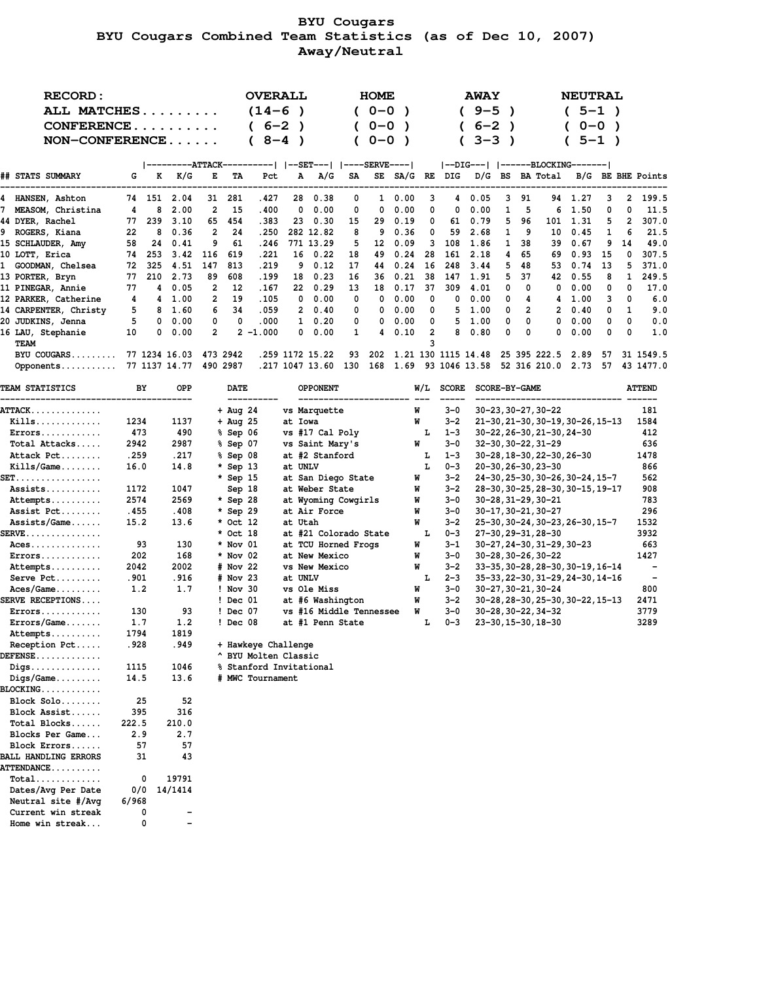# **BYU Cougars BYU Cougars Combined Team Statistics (as of Dec 10, 2007) Away/Neutral**

| <b>RECORD:</b>                                                              |              |        |                        |                                  |            |                      |          | <b>OVERALL</b>                                                  |           | <b>HOME</b> |                |                |              | <b>AWAY</b>                      |           |                     |                                   | <b>NEUTRAL</b> |           |              |                                                  |
|-----------------------------------------------------------------------------|--------------|--------|------------------------|----------------------------------|------------|----------------------|----------|-----------------------------------------------------------------|-----------|-------------|----------------|----------------|--------------|----------------------------------|-----------|---------------------|-----------------------------------|----------------|-----------|--------------|--------------------------------------------------|
|                                                                             | ALL MATCHES  |        |                        |                                  |            |                      | $(14-6)$ |                                                                 |           | 0-0         | $\rightarrow$  |                |              | $(9 - 5)$                        | $\lambda$ |                     |                                   | $(5-1)$        |           |              |                                                  |
| CONFERENCE                                                                  |              |        |                        |                                  |            | $(6-2)$              |          | $\rightarrow$                                                   |           | $0 - 0$     | $\lambda$      |                |              | -6–2                             | $\lambda$ |                     |                                   |                | $0 - 0$   | $\lambda$    |                                                  |
| $NON-CONFERENCE$                                                            |              |        |                        |                                  |            | $8 - 4$<br>(         |          | $\rightarrow$                                                   |           | $0 - 0$     | $\rightarrow$  |                |              | $3 - 3$                          | $\lambda$ |                     |                                   |                | $5 - 1$ ) |              |                                                  |
|                                                                             |              |        |                        |                                  |            |                      |          |                                                                 |           |             |                |                |              |                                  |           |                     |                                   |                |           |              |                                                  |
|                                                                             |              |        |                        |                                  |            |                      |          |                                                                 |           |             |                |                |              | --DIG---   ------BLOCKING------- |           |                     |                                   |                |           |              |                                                  |
| ## STATS SUMMARY                                                            | G            |        | $K$ $K/G$              | Е                                | TA         | Pct                  |          | $A \quad A/G$                                                   | <b>SA</b> |             |                |                |              |                                  |           |                     |                                   |                |           |              | SE SA/G RE DIG D/G BS BA Total B/G BE BHE Points |
| 4 HANSEN, Ashton                                                            |              |        | 74 151 2.04            | 31                               | 281        | . 427                |          | 28<br>0.38                                                      | 0         |             | $1 \quad 0.00$ | 3              | 4            | 0.05                             | 3         | 91                  |                                   | 94 1.27        | 3         | 2            | 199.5                                            |
| MEASOM, Christina                                                           | 4            | 8      | 2.00                   | 2                                | 15         | .400                 |          | 0.00<br>0                                                       | 0         | 0           | 0.00           | 0              | 0            | 0.00                             | 1         | 5                   | 6                                 | 1.50           | 0         | 0            | 11.5                                             |
| 44 DYER, Rachel                                                             | 77           | 239    | 3.10                   | 65                               | 454        | .383                 |          | 23 0.30                                                         | 15        | 29          | 0.19           | 0              | 61           | 0.79                             | 5         | 96                  |                                   | 101 1.31       | 5         | 2            | 307.0                                            |
| 9 ROGERS, Kiana                                                             | 22           | 8      | 0.36                   | 2                                | 24         | .250                 |          | 282 12.82                                                       | 8         | 9           | 0.36           | 0              | 59           | 2.68                             | 1         | 9                   | 10                                | 0.45           | 1         | 6            | 21.5                                             |
| 15 SCHLAUDER, Amy                                                           | 58           | 24     | 0.41                   | 9                                | 61         | .246                 |          | 771 13.29                                                       | 5         | 12          | 0.09           | 3              | 108          | 1.86                             | 1         | 38                  |                                   | 39 0.67        | 9         | 14           | 49.0                                             |
| 10 LOTT, Erica                                                              |              | 74 253 | 3.42                   | 116                              | 619        | .221                 |          | 16 0.22                                                         | 18        | 49          | 0.24           | 28             | 161          | 2.18                             | 4         | 65                  | 69                                | 0.93           | 15        | 0            | 307.5                                            |
| 1 GOODMAN, Chelsea                                                          | 72           |        | 325 4.51               | 147                              | 813        | .219                 |          | 90.12                                                           | 17        | 44          | 0.24           | - 16           | 248          | 3.44                             | 5         | 48                  |                                   | 53 0.74        | 13        | 5            | 371.0                                            |
| 13 PORTER, Bryn                                                             |              |        | 77 210 2.73            | 89                               | 608        | . 199                |          | 18 0.23                                                         | 16        | 36          | 0.21           | -38            |              | 147 1.91                         | 5.        | 37                  |                                   | 42 0.55        | 8         | $\mathbf{1}$ | 249.5                                            |
| 11 PINEGAR, Annie                                                           | 77           |        | 40.05                  | $\overline{2}$<br>$\overline{2}$ | 12<br>19   | .167                 |          | 22 0.29                                                         | 13<br>0   | 18<br>0     | 0.17           | 37<br>0        | 309<br>0     | 4.01                             | 0<br>0    | 0                   | 0                                 | 0.00           | 0<br>3    | 0            | 17.0<br>6.0                                      |
| 12 PARKER, Catherine                                                        | 4<br>5       | 8      | 4 1.00                 | 6                                | 34         | .105<br>.059         |          | $0\quad 0.00$<br>20.40                                          | 0         | 0           | 0.00<br>0.00   | 0              | 5            | 0.00                             | 0         | 4<br>$\overline{2}$ | $\overline{2}$                    | 4 1.00<br>0.40 | 0         | 0<br>1       | 9.0                                              |
| 14 CARPENTER, Christy                                                       | 5            | 0      | 1.60<br>0.00           | 0                                | 0          | .000                 |          | $1 \t 0.20$                                                     | 0         | 0           | 0.00           | 0              | 5            | 1.00<br>1.00                     | 0         | 0                   | 0                                 | 0.00           | 0         | 0            | 0.0                                              |
| 20 JUDKINS, Jenna<br>16 LAU, Stephanie                                      | 10           | 0      | 0.00                   | $\overline{2}$                   |            | $2 - 1.000$          |          | 0.00<br>0                                                       | 1         | 4           | 0.10           | $\overline{2}$ | 8            | 0.80                             | 0         | 0                   | 0                                 | 0.00           | 0         | 0            | 1.0                                              |
| TEAM                                                                        |              |        |                        |                                  |            |                      |          |                                                                 |           |             |                | 3              |              |                                  |           |                     |                                   |                |           |              |                                                  |
| BYU COUGARS                                                                 |              |        | 77 1234 16.03 473 2942 |                                  |            |                      |          | .259 1172 15.22                                                 | 93        | 202         |                |                |              | 1.21 130 1115 14.48              |           |                     | 25 395 222.5 2.89                 |                | 57        |              | 31 1549.5                                        |
| Opponents                                                                   |              |        | 77 1137 14.77 490 2987 |                                  |            |                      |          | .217 1047 13.60 130 168 1.69 93 1046 13.58 52 316 210.0 2.73 57 |           |             |                |                |              |                                  |           |                     |                                   |                |           |              | 43 1477.0                                        |
|                                                                             |              |        |                        |                                  |            |                      |          |                                                                 |           |             |                |                |              |                                  |           |                     |                                   |                |           |              |                                                  |
| <b>TEAM STATISTICS</b>                                                      | BY           |        | <b>OPP</b>             |                                  | DATE       |                      |          | <b>OPPONENT</b>                                                 |           |             |                | W/L            | <b>SCORE</b> |                                  |           | SCORE-BY-GAME       |                                   |                |           |              | <b>ATTEND</b>                                    |
| ATTACK                                                                      |              |        |                        |                                  | + Aug 24   |                      |          | vs Marquette                                                    |           |             |                | W              | $3 - 0$      |                                  |           |                     | 30-23, 30-27, 30-22               |                |           |              | 181                                              |
| Kills                                                                       | 1234         |        | 1137                   |                                  | + Aug 25   |                      |          | at Iowa                                                         |           |             |                | W              | $3 - 2$      |                                  |           |                     | 21-30, 21-30, 30-19, 30-26, 15-13 |                |           |              | 1584                                             |
| $Errors \ldots \ldots \ldots$                                               | 473          |        | 490                    |                                  | $$$ Sep 06 |                      |          | vs #17 Cal Poly                                                 |           |             |                | L              | $1 - 3$      |                                  |           |                     | 30-22, 26-30, 21-30, 24-30        |                |           |              | 412                                              |
| Total Attacks                                                               | 2942         |        | 2987                   |                                  | % Sep 07   |                      |          | vs Saint Mary's                                                 |           |             |                | W              | $3 - 0$      |                                  |           |                     | 32-30, 30-22, 31-29               |                |           |              | 636                                              |
| Attack Pct                                                                  | .259         |        | . 217                  |                                  | % Sep 08   |                      |          | at #2 Stanford                                                  |           |             |                | L              | $1 - 3$      |                                  |           |                     | 30-28, 18-30, 22-30, 26-30        |                |           |              | 1478                                             |
| $Kills/Game \ldots$                                                         | 16.0         |        | 14.8                   |                                  | * Sep 13   |                      |          | at UNLV                                                         |           |             |                | L              | $0 - 3$      |                                  |           |                     | 20-30, 26-30, 23-30               |                |           |              | 866                                              |
| SET.                                                                        |              |        |                        |                                  | * Sep 15   |                      |          | at San Diego State                                              |           |             |                | W              | $3 - 2$      |                                  |           |                     | 24-30, 25-30, 30-26, 30-24, 15-7  |                |           |              | 562                                              |
| Assists                                                                     | 1172         |        | 1047                   |                                  | Sep 18     |                      |          | at Weber State                                                  |           |             |                | W              | $3 - 2$      |                                  |           |                     | 28-30, 30-25, 28-30, 30-15, 19-17 |                |           |              | 908                                              |
| Attempts                                                                    | 2574         |        | 2569                   |                                  | * Sep 28   |                      |          | at Wyoming Cowgirls                                             |           |             |                | W              | $3 - 0$      |                                  |           |                     | 30-28, 31-29, 30-21               |                |           |              | 783                                              |
| Assist Pct                                                                  | .455         |        | .408                   |                                  | * Sep 29   |                      |          | at Air Force                                                    |           |             |                | W              | $3 - 0$      |                                  |           |                     | 30-17, 30-21, 30-27               |                |           |              | 296                                              |
| $Assists/Game$                                                              | 15.2         |        | 13.6                   |                                  | * Oct 12   |                      |          | at Utah                                                         |           |             |                | W              | $3 - 2$      |                                  |           |                     | 25-30, 30-24, 30-23, 26-30, 15-7  |                |           |              | 1532                                             |
| $\texttt{SERVE}\dots\dots\dots\dots\dots$                                   |              |        |                        |                                  | * Oct 18   |                      |          | at #21 Colorado State                                           |           |             |                | L              | $0 - 3$      |                                  |           |                     | 27-30, 29-31, 28-30               |                |           |              | 3932                                             |
| $Access \dots \dots \dots \dots$                                            | 93           |        | 130                    |                                  | * Nov 01   |                      |          | at TCU Horned Frogs                                             |           |             |                | W              | $3 - 1$      |                                  |           |                     | 30-27, 24-30, 31-29, 30-23        |                |           |              | 663                                              |
| $Errors \ldots \ldots \ldots$                                               | 202          |        | 168                    |                                  | * Nov 02   |                      |          | at New Mexico                                                   |           |             |                | W              | $3 - 0$      |                                  |           |                     | 30-28, 30-26, 30-22               |                |           |              | 1427                                             |
| Attempts                                                                    | 2042         |        | 2002                   |                                  | # Nov 22   |                      |          | vs New Mexico                                                   |           |             |                | W              | $3 - 2$      |                                  |           |                     | 33-35, 30-28, 28-30, 30-19, 16-14 |                |           |              | $\overline{\phantom{a}}$                         |
| Serve Pct                                                                   | .901         |        | .916                   |                                  | # Nov 23   |                      |          | at UNLV                                                         |           |             |                | L              | $2 - 3$      |                                  |           |                     | 35-33, 22-30, 31-29, 24-30, 14-16 |                |           |              | $\overline{\phantom{a}}$                         |
| $Access/Game \ldots$                                                        | 1.2          |        | 1.7                    |                                  | $!$ Nov 30 |                      |          | vs Ole Miss                                                     |           |             |                | W              | $3 - 0$      |                                  |           |                     | 30-27, 30-21, 30-24               |                |           |              | 800                                              |
| <b>SERVE RECEPTIONS</b>                                                     |              |        |                        |                                  | ! Dec 01   |                      |          | at #6 Washington                                                |           |             |                | W              | $3 - 2$      |                                  |           |                     | 30-28, 28-30, 25-30, 30-22, 15-13 |                |           |              | 2471                                             |
| $Errors \ldots \ldots \ldots$                                               | 130          |        | 93                     |                                  | ! Dec 07   |                      |          | vs #16 Middle Tennessee                                         |           |             |                | W              | $3 - 0$      |                                  |           |                     | 30-28, 30-22, 34-32               |                |           |              | 3779                                             |
| Errors/Game                                                                 | 1.7          |        | 1.2                    |                                  | ! Dec 08   |                      |          | at #1 Penn State                                                |           |             |                | L              | $0 - 3$      |                                  |           |                     | 23-30, 15-30, 18-30               |                |           |              | 3289                                             |
| Attempts                                                                    | 1794         |        | 1819                   |                                  |            |                      |          |                                                                 |           |             |                |                |              |                                  |           |                     |                                   |                |           |              |                                                  |
| Reception Pct                                                               | .928         |        | .949                   |                                  |            | + Hawkeye Challenge  |          |                                                                 |           |             |                |                |              |                                  |           |                     |                                   |                |           |              |                                                  |
| $DEFENSE$                                                                   |              |        |                        |                                  |            | ^ BYU Molten Classic |          |                                                                 |           |             |                |                |              |                                  |           |                     |                                   |                |           |              |                                                  |
| $\mathtt{Diqs.}\dots\dots\dots\dots\dots$                                   | 1115<br>14.5 |        | 1046<br>13.6           |                                  |            |                      |          | % Stanford Invitational                                         |           |             |                |                |              |                                  |           |                     |                                   |                |           |              |                                                  |
| $\mathtt{Digs/Game}.\dots\dots$<br>$\mathtt{BLOCKING.}\dots\dots\dots\dots$ |              |        |                        |                                  |            | # MWC Tournament     |          |                                                                 |           |             |                |                |              |                                  |           |                     |                                   |                |           |              |                                                  |
| Block Solo                                                                  |              |        |                        |                                  |            |                      |          |                                                                 |           |             |                |                |              |                                  |           |                     |                                   |                |           |              |                                                  |
| Block Assist                                                                | 25<br>395    |        | 52<br>316              |                                  |            |                      |          |                                                                 |           |             |                |                |              |                                  |           |                     |                                   |                |           |              |                                                  |
| Total Blocks                                                                | 222.5        |        | 210.0                  |                                  |            |                      |          |                                                                 |           |             |                |                |              |                                  |           |                     |                                   |                |           |              |                                                  |
| Blocks Per Game                                                             | 2.9          |        | 2.7                    |                                  |            |                      |          |                                                                 |           |             |                |                |              |                                  |           |                     |                                   |                |           |              |                                                  |
| Block Errors                                                                | 57           |        | 57                     |                                  |            |                      |          |                                                                 |           |             |                |                |              |                                  |           |                     |                                   |                |           |              |                                                  |
| <b>BALL HANDLING ERRORS</b>                                                 | 31           |        | 43                     |                                  |            |                      |          |                                                                 |           |             |                |                |              |                                  |           |                     |                                   |                |           |              |                                                  |
| <b>ATTENDANCE</b>                                                           |              |        |                        |                                  |            |                      |          |                                                                 |           |             |                |                |              |                                  |           |                     |                                   |                |           |              |                                                  |
| $Total$                                                                     |              | 0      | 19791                  |                                  |            |                      |          |                                                                 |           |             |                |                |              |                                  |           |                     |                                   |                |           |              |                                                  |
| Dates/Avg Per Date                                                          | 0/0          |        | 14/1414                |                                  |            |                      |          |                                                                 |           |             |                |                |              |                                  |           |                     |                                   |                |           |              |                                                  |
| Neutral site #/Avg                                                          | 6/968        |        |                        |                                  |            |                      |          |                                                                 |           |             |                |                |              |                                  |           |                     |                                   |                |           |              |                                                  |
| Current win streak                                                          |              | 0      |                        |                                  |            |                      |          |                                                                 |           |             |                |                |              |                                  |           |                     |                                   |                |           |              |                                                  |

 **Home win streak... 0 -**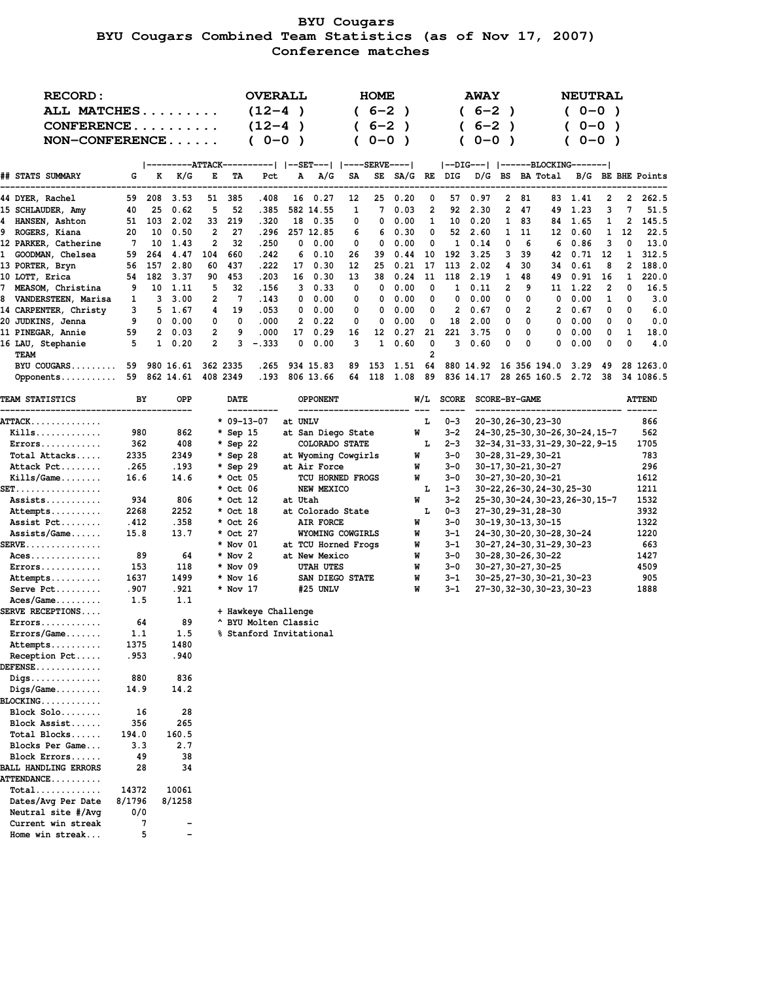# **BYU Cougars BYU Cougars Combined Team Statistics (as of Nov 17, 2007) Conference matches**

| <b>RECORD:</b>                             |              |            |                          |           |                       | <b>OVERALL</b>                       |         |           |                            |          | <b>HOME</b>  |              |          |                    | <b>AWAY</b>  |              |               |                                            |         | <b>NEUTRAL</b> |              |                   |                   |
|--------------------------------------------|--------------|------------|--------------------------|-----------|-----------------------|--------------------------------------|---------|-----------|----------------------------|----------|--------------|--------------|----------|--------------------|--------------|--------------|---------------|--------------------------------------------|---------|----------------|--------------|-------------------|-------------------|
| ALL MATCHES                                |              |            |                          |           |                       | $(12-4)$                             |         |           |                            |          | $(6-2)$      | $\lambda$    |          |                    | $(6-2)$      |              |               |                                            |         | $(0-0)$        |              |                   |                   |
| CONFERENCE                                 |              |            |                          |           |                       | $(12-4)$                             |         | - )       |                            |          | $6 - 2$      |              |          |                    | $6 - 2$      |              |               |                                            |         | $0 - 0$        |              |                   |                   |
| $NON-CONFERENCE$                           |              |            |                          |           |                       | $(0 - 0)$                            |         | $\lambda$ |                            |          | $0 - 0$      | $\lambda$    |          |                    | $0 - 0$      |              |               |                                            |         | $0 - 0$ )      |              |                   |                   |
|                                            |              |            |                          |           |                       |                                      |         |           |                            |          |              |              |          |                    |              |              |               |                                            |         |                |              |                   |                   |
|                                            |              |            | ---------ATTACK-         |           |                       | ---------   --SET---   ----SERVE---- |         |           |                            |          |              |              |          |                    |              |              |               | --DIG---   ------BLOCKING-------           |         |                |              |                   |                   |
| ## STATS SUMMARY                           | G            | K          | K/G                      | Е         | TA                    | Pct                                  |         | А         | A/G                        | SA       |              |              |          |                    |              |              |               | SE SA/G RE DIG D/G BS BA Total             |         |                |              |                   | B/G BE BHE Points |
| 44 DYER, Rachel                            | 59           | 208        | 3.53                     | 51        | 385                   | .408                                 |         |           | 16 0.27                    | 12       | 25           | 0.20         | 0        | 57                 | 0.97         | 2            | 81            |                                            | 83 1.41 |                | 2            | 2                 | 262.5             |
| 15 SCHLAUDER, Amy                          | 40           | 25         | 0.62                     | 5         | 52                    | .385                                 |         |           | 582 14.55                  | 1        | 7            | 0.03         | 2        | 92                 | 2.30         |              | 247           | 49                                         | 1.23    |                | 3            | 7                 | 51.5              |
| 4 HANSEN, Ashton                           |              | 51 103     | 2.02                     | 33        | 219                   | .320                                 |         |           | 18 0.35                    | 0        | 0            | 0.00         | 1        | 10                 | 0.20         | $\mathbf{1}$ | 83            | 84.                                        |         | 1.65           | 1            | 2                 | 145.5             |
| 9 ROGERS, Kiana                            | 20           | 10         | 0.50                     | 2         | 27                    | .296                                 |         |           | 257 12.85                  | 6        | 6            | 0.30         | 0        |                    | 52 2.60      |              | 1 11          | 12                                         |         | 0.60           | $\mathbf{1}$ | 12                | 22.5              |
| 12 PARKER, Catherine<br>1 GOODMAN, Chelsea | 7            | 10         | 1.43                     | 2         | 32<br>660             | .250<br>.242                         |         | 0         | 0.00                       | 0        | 0            | 0.00         | 0        | 1<br>192           | 0.14<br>3.25 | 0<br>3       | 6<br>39       | 6                                          |         | 0.86<br>0.71   | 3            | 0<br>$\mathbf{1}$ | 13.0<br>312.5     |
| 13 PORTER, Bryn                            | 59<br>56     | 264<br>157 | 4.47<br>2.80             | 104<br>60 | 437                   | .222                                 |         | 6<br>17   | 0.10<br>0.30               | 26<br>12 | 39<br>25     | 0.44<br>0.21 | 10<br>17 | 113                | 2.02         | 4            | 30            | 42<br>34                                   |         | 0.61           | 12<br>8      | 2                 | 188.0             |
| 10 LOTT, Erica                             | 54           | 182        | 3.37                     | 90        | 453                   | .203                                 |         | 16        | 0.30                       | 13       | 38           | 0.24         | 11       | 118                | 2.19         | $\mathbf{1}$ | 48            | 49                                         |         | 0.91           | 16           | $\mathbf{1}$      | 220.0             |
| 7 MEASOM, Christina                        | 9            | 10         | 1.11                     | 5         | 32                    | . 156                                |         | 3         | 0.33                       | 0        | 0            | 0.00         | 0        | 1                  | 0.11         | 2            | 9             |                                            | 11 1.22 |                | 2            | 0                 | 16.5              |
| 8 VANDERSTEEN, Marisa                      | 1            |            | 3, 3.00                  | 2         | 7                     | . 143                                |         | 0         | 0.00                       | 0        | 0            | 0.00         | 0        | 0                  | 0.00         | 0            | 0             | 0                                          |         | 0.00           | 1            | 0                 | 3.0               |
| 14 CARPENTER, Christy                      | 3            |            | 5 1.67                   | 4         | 19                    | .053                                 |         | 0         | 0.00                       | 0        | 0            | 0.00         | 0        | 2                  | 0.67         | 0            | 2             |                                            | 20.67   |                | 0            | 0                 | 6.0               |
| 20 JUDKINS, Jenna                          | 9            |            | 0 0.00                   | 0         | 0                     | .000                                 |         | 2         | 0.22                       | 0        | 0            | 0.00         | 0        | 18                 | 2.00         | 0            | 0             | 0                                          |         | 0.00           | 0            | 0                 | 0.0               |
| 11 PINEGAR, Annie                          | 59           |            | 2 0.03                   | 2         | 9                     | .000                                 |         | 17        | 0.29                       | 16       | 12           | 0.27         | 21       | 221                | 3.75         | 0            | 0             | 0                                          |         | 0.00           | 0            | 1                 | 18.0              |
| 16 LAU, Stephanie                          | 5            |            | $1 \quad 0.20$           | 2         | 3                     | $-.333$                              |         | 0         | 0.00                       | 3        | $\mathbf{1}$ | 0.60         | 0        | 3                  | 0.60         | 0            | 0             | 0                                          |         | 0.00           | 0            | 0                 | 4.0               |
| TEAM                                       |              |            |                          |           |                       |                                      |         |           |                            |          |              |              | 2        |                    |              |              |               |                                            |         |                |              |                   |                   |
| BYU COUGARS                                | 59           |            | 980 16.61                | 362 2335  |                       | . 265                                |         |           | 934 15.83                  | 89       | 153          | 1.51         | 64       |                    |              |              |               | 880 14.92 16 356 194.0 3.29                |         |                | 49           |                   | 28 1263.0         |
| Opponents 59 862 14.61 408 2349            |              |            |                          |           |                       | . 193                                |         |           | 806 13.66                  | 64       | 118 1.08     |              | - 89     |                    |              |              |               | 836 14.17 28 265 160.5 2.72 38             |         |                |              |                   | 34 1086.5         |
| <b>TEAM STATISTICS</b>                     | ВY           |            | OPP                      |           | <b>DATE</b>           |                                      |         |           | <b>OPPONENT</b>            |          |              |              |          | $W/L$ SCORE        |              |              | SCORE-BY-GAME |                                            |         |                |              |                   | <b>ATTEND</b>     |
| <b>ATTACK.</b>                             |              |            |                          |           | $* 09 - 13 - 07$      |                                      | at UNLV |           |                            |          |              |              | L        | $0 - 3$            |              |              |               | 20-30, 26-30, 23-30                        |         |                |              |                   | 866               |
| $Kills$                                    | 980          |            | 862                      |           | * Sep 15              |                                      |         |           | at San Diego State         |          |              |              | W        | $3 - 2$            |              |              |               | 24-30, 25-30, 30-26, 30-24, 15-7           |         |                |              |                   | 562               |
| $Errors \ldots \ldots \ldots$              | 362          |            | 408                      |           | $*$ Sep 22            |                                      |         |           | COLORADO STATE             |          |              |              | L        | $2 - 3$            |              |              |               | 32-34, 31-33, 31-29, 30-22, 9-15           |         |                |              |                   | 1705              |
| Total Attacks                              | 2335         |            | 2349                     |           | * Sep 28              |                                      |         |           | at Wyoming Cowgirls        |          |              |              | W        | $3 - 0$            |              |              |               | 30-28, 31-29, 30-21                        |         |                |              |                   | 783               |
| Attack Pct                                 | .265         |            | . 193                    |           | $*$ Sep 29            |                                      |         |           | at Air Force               |          |              |              | W        | $3 - 0$            |              |              |               | 30-17,30-21,30-27                          |         |                |              |                   | 296               |
| $Kills/Game \ldots$                        | 16.6         |            | 14.6                     |           | * Oct 05              |                                      |         |           | TCU HORNED FROGS           |          |              |              | W        | $3 - 0$            |              |              |               | 30-27,30-20,30-21                          |         |                |              |                   | 1612              |
| SET.                                       |              |            |                          |           | * Oct 06              |                                      |         |           | NEW MEXICO                 |          |              |              | L        | $1 - 3$            |              |              |               | 30-22, 26-30, 24-30, 25-30                 |         |                |              |                   | 1211              |
| Assists                                    | 934          |            | 806                      |           | * Oct 12              |                                      | at Utah |           |                            |          |              |              | W        | $3 - 2$            |              |              |               | 25-30, 30-24, 30-23, 26-30, 15-7           |         |                |              |                   | 1532              |
| Attempts                                   | 2268         |            | 2252                     |           | * Oct 18              |                                      |         |           | at Colorado State          |          |              |              | L        | $0 - 3$            |              |              |               | 27-30, 29-31, 28-30                        |         |                |              |                   | 3932              |
| Assist Pct                                 | .412         |            | .358                     |           | * Oct 26              |                                      |         |           | AIR FORCE                  |          |              |              | W        | $3 - 0$            |              |              |               | 30-19, 30-13, 30-15                        |         |                |              |                   | 1322              |
| $Assists/Game$                             | 15.8         |            | 13.7                     |           | * Oct 27              |                                      |         |           | WYOMING COWGIRLS           |          |              |              | W        | $3 - 1$            |              |              |               | 24-30, 30-20, 30-28, 30-24                 |         |                |              |                   | 1220              |
| $\texttt{SERVE}\dots\dots\dots\dots\dots$  |              |            |                          |           | * Nov 01              |                                      |         |           | at TCU Horned Frogs        |          |              |              | W        | $3 - 1$            |              |              |               | 30-27, 24-30, 31-29, 30-23                 |         |                |              |                   | 663               |
| $Access \dots \dots \dots \dots$           | 153          | 89         | 64<br>118                |           | $*$ Nov 2<br>* Nov 09 |                                      |         |           | at New Mexico<br>UTAH UTES |          |              |              | W<br>W   | $3 - 0$<br>$3 - 0$ |              |              |               | 30-28, 30-26, 30-22<br>30-27, 30-27, 30-25 |         |                |              |                   | 1427<br>4509      |
| $Errors \ldots \ldots \ldots$<br>Attempts  | 1637         |            | 1499                     |           | * Nov 16              |                                      |         |           | SAN DIEGO STATE            |          |              |              | W        | $3 - 1$            |              |              |               | 30-25, 27-30, 30-21, 30-23                 |         |                |              |                   | 905               |
| Serve Pct                                  | .907         |            | . 921                    |           | * Nov 17              |                                      |         |           | #25 UNLV                   |          |              |              | W        | $3 - 1$            |              |              |               | 27-30, 32-30, 30-23, 30-23                 |         |                |              |                   | 1888              |
| $Access/Game \ldots$                       | 1.5          |            | 1.1                      |           |                       |                                      |         |           |                            |          |              |              |          |                    |              |              |               |                                            |         |                |              |                   |                   |
| <b>SERVE RECEPTIONS</b>                    |              |            |                          |           |                       | + Hawkeye Challenge                  |         |           |                            |          |              |              |          |                    |              |              |               |                                            |         |                |              |                   |                   |
| $Errors \ldots \ldots \ldots$              |              | 64         | 89                       |           |                       | ^ BYU Molten Classic                 |         |           |                            |          |              |              |          |                    |              |              |               |                                            |         |                |              |                   |                   |
| $Errors/Game \ldots$                       | 1.1          |            | 1.5                      |           |                       | % Stanford Invitational              |         |           |                            |          |              |              |          |                    |              |              |               |                                            |         |                |              |                   |                   |
| Attempts                                   | 1375         |            | 1480                     |           |                       |                                      |         |           |                            |          |              |              |          |                    |              |              |               |                                            |         |                |              |                   |                   |
| Reception Pct                              | . 953        |            | . 940                    |           |                       |                                      |         |           |                            |          |              |              |          |                    |              |              |               |                                            |         |                |              |                   |                   |
| <b>DEFENSE.</b>                            |              |            |                          |           |                       |                                      |         |           |                            |          |              |              |          |                    |              |              |               |                                            |         |                |              |                   |                   |
| $\mathtt{Diqs.}\dots\dots\dots\dots\dots$  | 880          |            | 836                      |           |                       |                                      |         |           |                            |          |              |              |          |                    |              |              |               |                                            |         |                |              |                   |                   |
| $\mathtt{Digs/Game} \ldots \ldots \ldots$  | 14.9         |            | 14.2                     |           |                       |                                      |         |           |                            |          |              |              |          |                    |              |              |               |                                            |         |                |              |                   |                   |
| $\mathtt{BLOCKING.}\dots\dots\dots\dots$   |              |            |                          |           |                       |                                      |         |           |                            |          |              |              |          |                    |              |              |               |                                            |         |                |              |                   |                   |
| Block Solo                                 | 16           |            | 28                       |           |                       |                                      |         |           |                            |          |              |              |          |                    |              |              |               |                                            |         |                |              |                   |                   |
| Block Assist                               | 356          |            | 265                      |           |                       |                                      |         |           |                            |          |              |              |          |                    |              |              |               |                                            |         |                |              |                   |                   |
| Total Blocks<br>Blocks Per Game            | 194.0<br>3.3 |            | 160.5<br>2.7             |           |                       |                                      |         |           |                            |          |              |              |          |                    |              |              |               |                                            |         |                |              |                   |                   |
| Block Errors                               |              | 49         | 38                       |           |                       |                                      |         |           |                            |          |              |              |          |                    |              |              |               |                                            |         |                |              |                   |                   |
| <b>BALL HANDLING ERRORS</b>                |              | 28         | 34                       |           |                       |                                      |         |           |                            |          |              |              |          |                    |              |              |               |                                            |         |                |              |                   |                   |
| <b>ATTENDANCE</b>                          |              |            |                          |           |                       |                                      |         |           |                            |          |              |              |          |                    |              |              |               |                                            |         |                |              |                   |                   |
| $Total$                                    | 14372        |            | 10061                    |           |                       |                                      |         |           |                            |          |              |              |          |                    |              |              |               |                                            |         |                |              |                   |                   |
| Dates/Avg Per Date                         | 8/1796       |            | 8/1258                   |           |                       |                                      |         |           |                            |          |              |              |          |                    |              |              |               |                                            |         |                |              |                   |                   |
| Neutral site #/Avg                         | 0/0          |            |                          |           |                       |                                      |         |           |                            |          |              |              |          |                    |              |              |               |                                            |         |                |              |                   |                   |
| Current win streak                         |              | 7          |                          |           |                       |                                      |         |           |                            |          |              |              |          |                    |              |              |               |                                            |         |                |              |                   |                   |
| Home win streak                            |              | 5          | $\overline{\phantom{0}}$ |           |                       |                                      |         |           |                            |          |              |              |          |                    |              |              |               |                                            |         |                |              |                   |                   |
|                                            |              |            |                          |           |                       |                                      |         |           |                            |          |              |              |          |                    |              |              |               |                                            |         |                |              |                   |                   |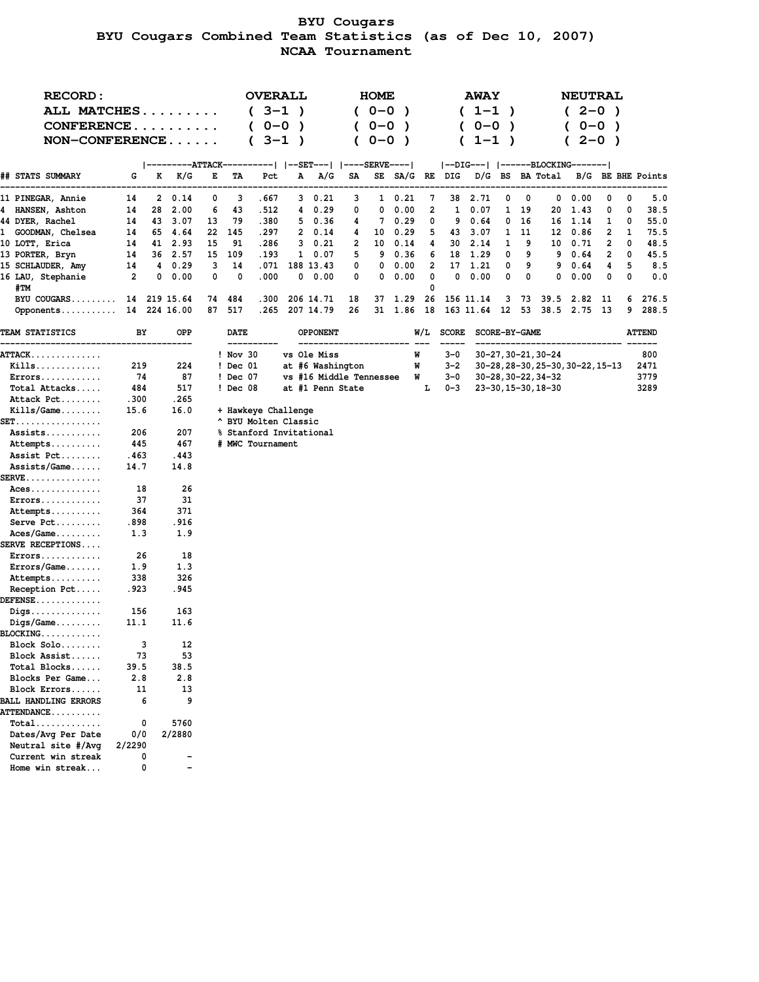# **BYU Cougars BYU Cougars Combined Team Statistics (as of Dec 10, 2007) NCAA Tournament**

| <b>RECORD:</b>                                  |          |                    |              |        |             | <b>OVERALL</b>          |           |                         |        | <b>HOME</b> |                     |        |             | <b>AWAY</b>          |           |           |                     | <b>NEUTRAL</b>                    |           |        |                   |
|-------------------------------------------------|----------|--------------------|--------------|--------|-------------|-------------------------|-----------|-------------------------|--------|-------------|---------------------|--------|-------------|----------------------|-----------|-----------|---------------------|-----------------------------------|-----------|--------|-------------------|
| ALL MATCHES                                     |          |                    |              |        |             | $(3-1)$                 |           |                         |        | $(0 - 0)$   | $\lambda$           |        |             | $(1-1)$              |           |           |                     | $(2-0)$                           |           |        |                   |
| CONFERENCE                                      |          |                    |              |        |             | $0 - 0$                 | $\lambda$ |                         |        | $0 - 0$     | $\lambda$           |        |             | $0 - 0$              | $\lambda$ |           |                     |                                   | $0 - 0$ ) |        |                   |
| NON-CONFERENCE                                  |          |                    |              |        |             | $3 - 1$                 | $\lambda$ |                         |        | $0 - 0$     | $\lambda$           |        | (           | $1 - 1$ )            |           |           |                     | C                                 | $2 - 0$ ) |        |                   |
|                                                 |          |                    |              |        |             |                         |           |                         |        |             |                     |        |             |                      |           |           |                     |                                   |           |        |                   |
|                                                 |          |                    |              |        |             |                         |           |                         |        |             |                     |        |             |                      |           |           |                     | --DIG---   ------BLOCKING-------  |           |        |                   |
| ## STATS SUMMARY                                | G        | K                  | K/G          | Е      | TA          | Pct                     | Α         | A/G                     | SA     |             | SE SA/G RE DIG      |        |             | D/G BS BA Total      |           |           |                     |                                   |           |        | B/G BE BHE Points |
|                                                 |          |                    |              |        |             |                         |           |                         |        |             |                     |        |             |                      |           |           |                     |                                   |           |        |                   |
| 11 PINEGAR, Annie<br>4 HANSEN, Ashton           | 14<br>14 | $\mathbf{2}$<br>28 | 0.14<br>2.00 | 0<br>6 | 3<br>43     | . 667<br>.512           |           | 3 0.21<br>4 0.29        | 3<br>0 | 0           | $1 \t 0.21$<br>0.00 | 7<br>2 | 1           | 38 2.71<br>0.07      | 0         | 0<br>1 19 | 20                  | $0\quad 0.00$<br>1.43             | 0<br>0    | 0<br>0 | 5.0<br>38.5       |
| 44 DYER, Rachel                                 | 14       |                    | 43 3.07      | 13     | 79          | .380                    |           | 50.36                   | 4      |             | 7 0.29              | 0      | 9           | 0.64                 | 0         | -16       |                     | 16 1.14                           | 1         | 0      | 55.0              |
| 1 GOODMAN, Chelsea                              | 14       |                    | 65 4.64      | 22     | 145         | . 297                   |           | 2 0.14                  | 4      |             | 10 0.29             | 5      |             | 43 3.07              |           | 1 11      |                     | 12 0.86                           | 2         | 1      | 75.5              |
| 10 LOTT, Erica                                  | 14       |                    | 41 2.93      | 15     | 91          | .286                    |           | 30.21                   | 2      |             | 10 0.14             | 4      | 30          | 2.14                 | 1         | 9         |                     | 10 0.71                           | 2         | 0      | 48.5              |
| 13 PORTER, Bryn                                 | 14       |                    | 36 2.57      | 15     | 109         | . 193                   |           | 1 0.07                  | 5      |             | 9 0.36              | 6      |             | 18 1.29              | 0         | 9         |                     | 9 0.64                            | 2         | 0      | 45.5              |
| 15 SCHLAUDER, Amy                               | 14       |                    | 4 0.29       | 3      | 14          | .071                    |           | 188 13.43               | 0      |             | $0\quad 0.00$       | 2      |             | 17 1.21              | 0         | 9         |                     | 9 0.64                            | 4         | 5      | 8.5               |
| 16 LAU, Stephanie                               | 2        | 0                  | 0.00         | 0      | 0           | .000                    |           | $0\quad 0.00$           | 0      |             | $0\quad 0.00$       | 0      | 0           | 0.00                 | 0         | 0         | 0                   | 0.00                              | 0         | 0      | 0.0               |
| #TM                                             |          |                    |              |        |             |                         |           |                         |        |             |                     | 0      |             |                      |           |           |                     |                                   |           |        |                   |
| BYU COUGARS                                     |          |                    | 14 219 15.64 | 74     | 484         | .300                    |           | 206 14.71               | 18     |             | 37 1.29             |        |             | 26 156 11.14         |           |           |                     | 3 73 39.5 2.82 11                 |           |        | 6 276.5           |
| Opponents 14 224 16.00                          |          |                    |              | 87     | 517         |                         |           | .265 207 14.79          | 26     |             | 31 1.86 18          |        |             |                      |           |           |                     | 163 11.64 12 53 38.5 2.75 13      |           | 9      | 288.5             |
|                                                 |          |                    |              |        |             |                         |           |                         |        |             |                     |        |             |                      |           |           |                     |                                   |           |        |                   |
| <b>TEAM STATISTICS</b>                          | BY       |                    | OPP          |        | <b>DATE</b> |                         |           | <b>OPPONENT</b>         |        |             |                     |        | $W/L$ SCORE | <b>SCORE-BY-GAME</b> |           |           |                     |                                   |           |        | <b>ATTEND</b>     |
| <b>ATTACK.</b>                                  |          |                    |              |        | $!$ Nov 30  |                         |           | vs Ole Miss             |        |             |                     | W      | $3 - 0$     |                      |           |           | 30-27, 30-21, 30-24 |                                   |           |        | 800               |
| $Kills$                                         | 219      |                    | 224          |        | ! Dec 01    |                         |           | at #6 Washington        |        |             |                     | W      | $3 - 2$     |                      |           |           |                     | 30-28, 28-30, 25-30, 30-22, 15-13 |           |        | 2471              |
| Errors                                          | 74       |                    | 87           |        | ! Dec 07    |                         |           | vs #16 Middle Tennessee |        |             |                     | W      | 3-0         |                      |           |           | 30-28, 30-22, 34-32 |                                   |           |        | 3779              |
| Total Attacks                                   | 484      |                    | 517          |        | ! Dec 08    |                         |           | at #1 Penn State        |        |             |                     | Ŀ      | $0 - 3$     |                      |           |           | 23-30, 15-30, 18-30 |                                   |           |        | 3289              |
| Attack Pct                                      | .300     |                    | .265         |        |             |                         |           |                         |        |             |                     |        |             |                      |           |           |                     |                                   |           |        |                   |
| $Kills/Game \ldots$                             | 15.6     |                    | 16.0         |        |             | + Hawkeye Challenge     |           |                         |        |             |                     |        |             |                      |           |           |                     |                                   |           |        |                   |
| <b>SET.</b> .                                   |          |                    |              |        |             | ^ BYU Molten Classic    |           |                         |        |             |                     |        |             |                      |           |           |                     |                                   |           |        |                   |
| Assists                                         | 206      |                    | 207          |        |             | % Stanford Invitational |           |                         |        |             |                     |        |             |                      |           |           |                     |                                   |           |        |                   |
| Attempts                                        | 445      |                    | 467          |        |             | # MWC Tournament        |           |                         |        |             |                     |        |             |                      |           |           |                     |                                   |           |        |                   |
| Assist Pct                                      | .463     |                    | .443         |        |             |                         |           |                         |        |             |                     |        |             |                      |           |           |                     |                                   |           |        |                   |
| Assists/Game                                    | 14.7     |                    | 14.8         |        |             |                         |           |                         |        |             |                     |        |             |                      |           |           |                     |                                   |           |        |                   |
| $\texttt{SERVE}\dots\dots\dots\dots\dots$       |          |                    |              |        |             |                         |           |                         |        |             |                     |        |             |                      |           |           |                     |                                   |           |        |                   |
| $Access$                                        | 18       |                    | 26           |        |             |                         |           |                         |        |             |                     |        |             |                      |           |           |                     |                                   |           |        |                   |
| $Errors \ldots \ldots \ldots$                   | 37       |                    | 31           |        |             |                         |           |                         |        |             |                     |        |             |                      |           |           |                     |                                   |           |        |                   |
| Attempts                                        | 364      |                    | 371          |        |             |                         |           |                         |        |             |                     |        |             |                      |           |           |                     |                                   |           |        |                   |
| Serve Pct                                       | . 898    |                    | .916         |        |             |                         |           |                         |        |             |                     |        |             |                      |           |           |                     |                                   |           |        |                   |
| $Access/Game \ldots$<br><b>SERVE RECEPTIONS</b> | 1.3      |                    | 1.9          |        |             |                         |           |                         |        |             |                     |        |             |                      |           |           |                     |                                   |           |        |                   |
| $Errors \ldots \ldots \ldots$                   | 26       |                    | 18           |        |             |                         |           |                         |        |             |                     |        |             |                      |           |           |                     |                                   |           |        |                   |
| $Errors/Game \ldots$                            | 1.9      |                    | 1.3          |        |             |                         |           |                         |        |             |                     |        |             |                      |           |           |                     |                                   |           |        |                   |
| Attempts                                        | 338      |                    | 326          |        |             |                         |           |                         |        |             |                     |        |             |                      |           |           |                     |                                   |           |        |                   |
| Reception Pct                                   | .923     |                    | .945         |        |             |                         |           |                         |        |             |                     |        |             |                      |           |           |                     |                                   |           |        |                   |
| $DEFENSE$                                       |          |                    |              |        |             |                         |           |                         |        |             |                     |        |             |                      |           |           |                     |                                   |           |        |                   |
| $\mathtt{Digs} \dots \dots \dots \dots \dots$   | 156      |                    | 163          |        |             |                         |           |                         |        |             |                     |        |             |                      |           |           |                     |                                   |           |        |                   |
| $\mathtt{Digs/Game} \ldots \ldots \ldots$       | 11.1     |                    | 11.6         |        |             |                         |           |                         |        |             |                     |        |             |                      |           |           |                     |                                   |           |        |                   |
| BLOCKING                                        |          |                    |              |        |             |                         |           |                         |        |             |                     |        |             |                      |           |           |                     |                                   |           |        |                   |
| Block Solo                                      |          | 3                  | 12           |        |             |                         |           |                         |        |             |                     |        |             |                      |           |           |                     |                                   |           |        |                   |
| Block Assist                                    | 73       |                    | 53           |        |             |                         |           |                         |        |             |                     |        |             |                      |           |           |                     |                                   |           |        |                   |
| Total Blocks                                    | 39.5     |                    | 38.5         |        |             |                         |           |                         |        |             |                     |        |             |                      |           |           |                     |                                   |           |        |                   |
| Blocks Per Game                                 | 2.8      |                    | 2.8          |        |             |                         |           |                         |        |             |                     |        |             |                      |           |           |                     |                                   |           |        |                   |
| Block Errors                                    | 11       |                    | 13           |        |             |                         |           |                         |        |             |                     |        |             |                      |           |           |                     |                                   |           |        |                   |
| <b>BALL HANDLING ERRORS</b>                     |          | 6                  | 9            |        |             |                         |           |                         |        |             |                     |        |             |                      |           |           |                     |                                   |           |        |                   |
| <b>ATTENDANCE</b>                               |          |                    |              |        |             |                         |           |                         |        |             |                     |        |             |                      |           |           |                     |                                   |           |        |                   |
| $Total$                                         |          | 0                  | 5760         |        |             |                         |           |                         |        |             |                     |        |             |                      |           |           |                     |                                   |           |        |                   |
| Dates/Avg Per Date                              | 0/0      |                    | 2/2880       |        |             |                         |           |                         |        |             |                     |        |             |                      |           |           |                     |                                   |           |        |                   |
| Neutral site #/Avg                              | 2/2290   |                    |              |        |             |                         |           |                         |        |             |                     |        |             |                      |           |           |                     |                                   |           |        |                   |
| Current win streak                              |          | 0                  |              |        |             |                         |           |                         |        |             |                     |        |             |                      |           |           |                     |                                   |           |        |                   |
| Home win streak                                 |          | 0                  | -            |        |             |                         |           |                         |        |             |                     |        |             |                      |           |           |                     |                                   |           |        |                   |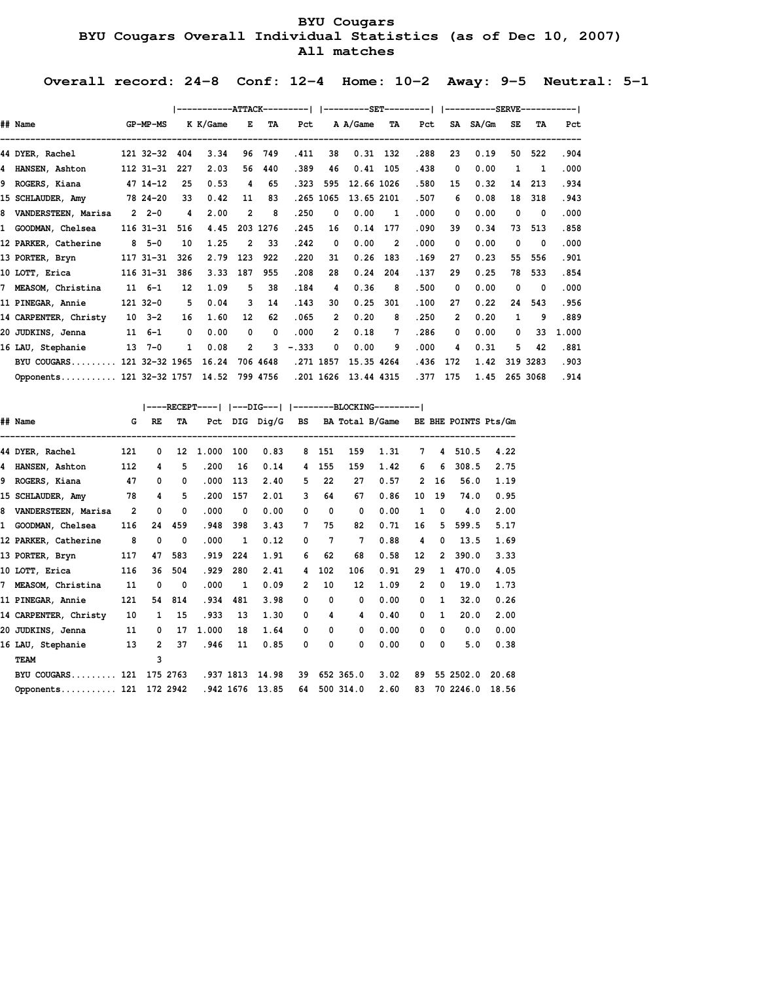# **BYU Cougars BYU Cougars Overall Individual Statistics (as of Dec 10, 2007) All matches**

 **Overall record: 24-8 Conf: 12-4 Home: 10-2 Away: 9-5 Neutral: 5-1**

|                            |                |     | -----------ATTACK---------   ----------SET----------   -----------SERVE------------ |                |          |         |                |            |                |      |          |          |              |                         |       |
|----------------------------|----------------|-----|-------------------------------------------------------------------------------------|----------------|----------|---------|----------------|------------|----------------|------|----------|----------|--------------|-------------------------|-------|
| ## Name                    | GP-MP-MS       |     | K K/Game                                                                            | Е              | TA       | Pct     |                | A A/Game   | TA             | Pct  |          | SA SA/Gm | SE           | TA                      | Pct   |
| 44 DYER, Rachel            | 121 32-32      | 404 | 3.34                                                                                | 96             | 749      | .411    | 38             |            | $0.31$ 132     | .288 | 23       | 0.19     | 50           | 522                     | .904  |
| 4 HANSEN, Ashton           | 112 31 - 31    | 227 | 2.03                                                                                | 56             | 440      | .389    | 46             | 0.41       | 105            | .438 | 0        | 0.00     | $\mathbf{1}$ | $\mathbf{1}$            | .000  |
| 9 ROGERS, Kiana            | 47 14 - 12     | 25  | 0.53                                                                                | 4              | 65       | .323    | 595            | 12.66 1026 |                | .580 | 15       | 0.32     | 14           | 213                     | .934  |
| 15 SCHLAUDER, Amy          | 78 24-20       | 33  | 0.42                                                                                | 11             | 83       |         | .265 1065      | 13.65 2101 |                | .507 | 6        | 0.08     | 18           | 318                     | .943  |
| 8 VANDERSTEEN, Marisa      | $2 \t2 - 0$    | 4   | 2.00                                                                                | $\overline{2}$ | 8        | .250    | 0              | 0.00       | $\mathbf{1}$   | .000 | 0        | 0.00     | 0            | $\overline{\mathbf{0}}$ | .000  |
| 1 GOODMAN, Chelsea         | 116 31-31      | 516 | 4.45                                                                                |                | 203 1276 | .245    | 16             | 0.14       | 177            | .090 | 39       | 0.34     | 73           | 513                     | .858  |
| 12 PARKER, Catherine       | $8, 5 - 0$     | 10  | 1.25                                                                                | $\overline{2}$ | 33       | .242    | 0              | 0.00       | $\overline{2}$ | .000 | 0        | 0.00     | 0            | 0                       | .000  |
| 13 PORTER, Bryn            | 117 31 - 31    | 326 | 2.79                                                                                | 123            | 922      | .220    | 31             | 0.26       | 183            | .169 | 27       | 0.23     | 55           | 556                     | .901  |
| 10 LOTT, Erica             | 116 31 - 31    | 386 | 3.33                                                                                | 187            | 955      | .208    | 28             | 0.24       | 204            | .137 | 29       | 0.25     | 78           | 533                     | .854  |
| 7 MEASOM, Christina        | $11 \quad 6-1$ | 12  | 1.09                                                                                | 5.             | 38       | .184    | 4              | 0.36       | 8              | .500 | 0        | 0.00     | 0            | 0                       | .000  |
| 11 PINEGAR, Annie          | 121 32-0       | 5   | 0.04                                                                                | 3              | 14       | .143    | 30             | 0.25       | 301            | .100 | 27       | 0.22     | 24           | 543                     | .956  |
| 14 CARPENTER, Christy      | $10 \t 3-2$    | 16  | 1.60                                                                                | 12             | 62       | .065    | $\overline{2}$ | 0.20       | 8              | .250 | 2        | 0.20     | 1            | 9                       | .889  |
| 20 JUDKINS, Jenna          | $11 6 - 1$     | 0   | 0.00                                                                                | 0              | $\Omega$ | .000    | $\overline{2}$ | 0.18       | 7              | .286 | $\Omega$ | 0.00     | $\Omega$     | 33                      | 1.000 |
| 16 LAU, Stephanie          | 13 7-0         | 1   | 0.08                                                                                | $\overline{2}$ | 3        | $-.333$ | 0              | 0.00       | 9              | .000 | 4        | 0.31     | 5            | 42                      | .881  |
| BYU COUGARS 121 32-32 1965 |                |     | 16.24                                                                               |                | 706 4648 |         | .271 1857      | 15.35 4264 |                | .436 | 172      | 1.42     |              | 319 3283                | .903  |
| Opponents 121 32-32 1757   |                |     | 14.52                                                                               |                | 799 4756 |         | .201 1626      | 13.44 4315 |                | .377 | 175      | 1.45     |              | 265 3068                | .914  |
|                            |                |     |                                                                                     |                |          |         |                |            |                |      |          |          |              |                         |       |

| ## Name                  | G                          | RE             | TA  |                 |     |       |                |                |           | Pct DIG Dig/G BS BA Total B/Game BE BHE POINTS Pts/Gm |                |              |           |       |
|--------------------------|----------------------------|----------------|-----|-----------------|-----|-------|----------------|----------------|-----------|-------------------------------------------------------|----------------|--------------|-----------|-------|
| 44 DYER, Rachel          | 121                        | $^{\circ}$     | 12  | 1.000           | 100 | 0.83  | 8              | 151            | 159       | 1.31                                                  | $7^{\circ}$    |              | 4 510.5   | 4.22  |
| 4 HANSEN, Ashton         | 112                        | 4              | 5   | .200            | 16  | 0.14  | 4              | 155            | 159       | 1.42                                                  | 6              | 6            | 308.5     | 2.75  |
| 9 ROGERS, Kiana          | 47                         | 0              | 0   | .000            | 113 | 2.40  | 5              | 22             | 27        | 0.57                                                  | $\overline{2}$ | 16           | 56.0      | 1.19  |
| 15 SCHLAUDER, Amy        | 78                         | 4              | 5   | .200            | 157 | 2.01  | 3              | 64             | 67        | 0.86                                                  | 10             | 19           | 74.0      | 0.95  |
| 8 VANDERSTEEN, Marisa    | $\overline{\mathbf{2}}$    | 0              | 0   | .000.           | 0   | 0.00  | 0              | 0              | 0         | 0.00                                                  | $\mathbf{1}$   | $^{\circ}$   | 4.0       | 2.00  |
| 1 GOODMAN, Chelsea       | 116                        | 24             | 459 | .948            | 398 | 3.43  | 7              | 75             | 82        | 0.71                                                  | 16             | 5            | 599.5     | 5.17  |
| 12 PARKER, Catherine     | $\overline{\phantom{0}}$ 8 | $\mathbf 0$    | 0   | .000.           | 1   | 0.12  | 0              | $\overline{7}$ | 7         | 0.88                                                  | 4              | $\mathbf{0}$ | 13.5      | 1.69  |
| 13 PORTER, Bryn          | 117                        | 47             | 583 | .919            | 224 | 1.91  | 6              | 62             | 68        | 0.58                                                  | 12             | $\mathbf{2}$ | 390.0     | 3.33  |
| 10 LOTT, Erica           | 116                        | 36             | 504 | .929            | 280 | 2.41  | 4              | 102            | 106       | 0.91                                                  | 29             | $\mathbf{1}$ | 470.0     | 4.05  |
| 7 MEASOM, Christina      | - 11                       | $\mathbf 0$    | 0   | .000            | 1   | 0.09  | $\overline{2}$ | 10             | 12        | 1.09                                                  | $\overline{2}$ | $^{\circ}$   | 19.0      | 1.73  |
| 11 PINEGAR, Annie        | 121                        | 54             | 814 | .934            | 481 | 3.98  | 0              | 0              | 0         | 0.00                                                  | $\Omega$       | $\mathbf{1}$ | 32.0      | 0.26  |
| 14 CARPENTER, Christy    | 10                         | $\mathbf{1}$   | 15  | .933            | 13  | 1.30  | 0              | 4              | 4         | 0.40                                                  | $\Omega$       | $\mathbf{1}$ | 20.0      | 2.00  |
| 20 JUDKINS, Jenna        | 11                         | $\mathbf{0}$   | 17  | 1.000           | 18  | 1.64  | 0              | $\Omega$       | 0         | 0.00                                                  | $\Omega$       | $\Omega$     | 0.0       | 0.00  |
| 16 LAU, Stephanie 13     |                            | $\overline{2}$ | 37  | .946            | 11  | 0.85  | 0              | 0              | 0         | 0.00                                                  | 0              | $^{\circ}$   | 5.0       | 0.38  |
| <b>TEAM</b>              |                            | 3              |     |                 |     |       |                |                |           |                                                       |                |              |           |       |
| BYU COUGARS 121 175 2763 |                            |                |     | .937 1813       |     | 14.98 | 39             |                | 652 365.0 | 3.02                                                  | 89             |              | 55 2502.0 | 20.68 |
| Opponents 121 172 2942   |                            |                |     | .942 1676 13.85 |     |       | 64             |                | 500 314.0 | 2.60                                                  | 83             |              | 70 2246.0 | 18.56 |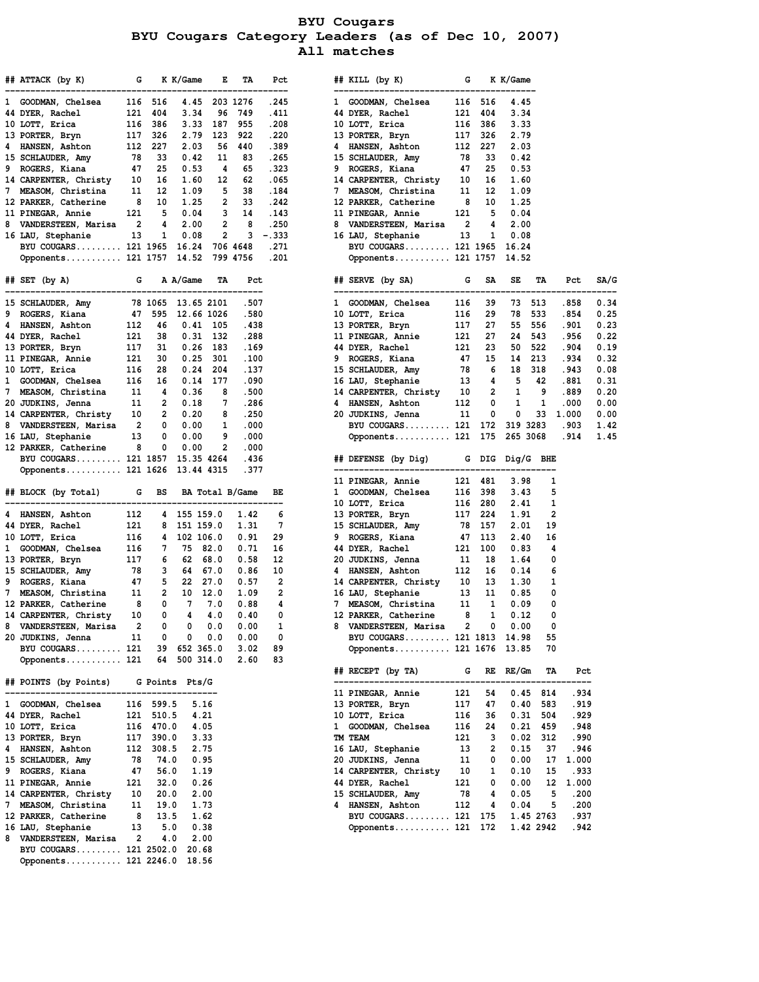**BYU Cougars BYU Cougars Category Leaders (as of Dec 10, 2007) All matches**

|              | ## ATTACK (by K)                              | G                        |                   | K K/Game             | E          | TA              | Pct          |              | ## KILL (by K)                             | G        |                              | K K/Game     |           |               |
|--------------|-----------------------------------------------|--------------------------|-------------------|----------------------|------------|-----------------|--------------|--------------|--------------------------------------------|----------|------------------------------|--------------|-----------|---------------|
| ı            | GOODMAN, Chelsea                              | 116                      | 516               | 4.45                 |            | 203 1276        | .245         |              | 1 GOODMAN, Chelsea                         |          | 116 516                      | 4.45         |           |               |
|              | 44 DYER, Rachel                               |                          | 121 404           | 3.34                 | 96         | 749             | . 411        |              | 44 DYER, Rachel                            | 121      | 404                          | 3.34         |           |               |
|              | 10 LOTT, Erica                                |                          | 116 386           | 3.33                 | 187        | 955             | .208         |              | 10 LOTT, Erica                             |          | 116 386                      | 3.33         |           |               |
|              | 13 PORTER, Bryn                               |                          | 117 326           | 2.79                 | 123        | 922             | .220         |              | 13 PORTER, Bryn                            |          | 117 326                      | 2.79         |           |               |
| 4            | HANSEN, Ashton                                |                          | 112 227           | 2.03                 | 56         | 440             | .389         | 4            | HANSEN, Ashton                             |          | 112 227                      | 2.03         |           |               |
| 9            | 15 SCHLAUDER, Amy<br>ROGERS, Kiana            | - 78<br>47               | 33<br>25          | 0.42<br>0.53         | 11<br>4    | 83<br>65        | .265<br>.323 | 9            | 15 SCHLAUDER, Amy<br>ROGERS, Kiana         | 78<br>47 | 33<br>25                     | 0.42<br>0.53 |           |               |
|              | 14 CARPENTER, Christy                         | 10                       | 16                | 1.60                 | 12         | 62              | .065         |              | 14 CARPENTER, Christy                      | 10       | 16                           | 1.60         |           |               |
| 7            | MEASOM, Christina                             | 11                       | 12                | 1.09                 | 5          | 38              | .184         | 7            | MEASOM, Christina                          | 11       | 12                           | 1.09         |           |               |
|              | 12 PARKER, Catherine                          | 8                        | 10                | 1.25                 | 2          | 33              | .242         |              | 12 PARKER, Catherine                       | 8        | 10                           | 1.25         |           |               |
|              | 11 PINEGAR, Annie                             | 121                      | 5                 | 0.04                 | 3          | 14              | .143         |              | 11 PINEGAR, Annie                          | 121      | 5                            | 0.04         |           |               |
| 8            | VANDERSTEEN, Marisa                           | 2                        | 4                 | 2.00                 | 2          | 8               | .250         | 8            | VANDERSTEEN, Marisa                        | 2        | 4                            | 2.00         |           |               |
|              | 16 LAU, Stephanie                             | - 13                     | 1                 | 0.08                 | 2          | 3               | $-.333$      |              | 16 LAU, Stephanie                          | 13       | 1                            | 0.08         |           |               |
|              | BYU COUGARS 121 1965                          |                          |                   | 16.24                |            | 706 4648        | .271         |              | BYU COUGARS 121 1965                       |          |                              | 16.24        |           |               |
|              | Opponents 121 1757 14.52                      |                          |                   |                      |            | 799 4756        | .201         |              | Opponents 121 1757                         |          |                              | 14.52        |           |               |
|              | $\#$ SET (by A)                               | G                        |                   | A A/Game             | TA         | Pct             |              |              | ## SERVE (by SA)                           | G        | SA                           | SE           | TA        | Pct           |
|              | 15 SCHLAUDER, Amy                             |                          | 78 1065           | 13.65 2101           |            | .507            |              |              | 1 GOODMAN, Chelsea                         | 116      | 39                           | 73           | 513       | .858          |
| 9            | ROGERS, Kiana                                 | 47                       | 595               | 12.66 1026           |            | .580            |              |              | 10 LOTT, Erica                             | 116      | 29                           | 78           | 533       | .854          |
| 4            | HANSEN, Ashton                                | 112                      | 46                | $0.41$ 105           |            | .438            |              |              | 13 PORTER, Bryn                            | 117      | 27                           | 55           | 556       | .901          |
|              | 44 DYER, Rachel                               | 121                      | 38                | $0.31$ 132           |            | .288            |              |              | 11 PINEGAR, Annie                          | 121      | 27                           | 24           | 543       | .956          |
|              | 13 PORTER, Bryn                               | 117                      | 31                | $0.26$ 183           |            | . 169           |              |              | 44 DYER, Rachel                            | 121      | 23                           | 50           | 522       | .904          |
|              | 11 PINEGAR, Annie                             | 121                      | 30                | $0.25$ 301           |            | .100            |              | 9            | ROGERS, Kiana                              | 47       | 15                           | 14           | 213       | .934          |
|              | 10 LOTT, Erica                                | 116                      | 28                | $0.24$ 204           |            | .137            |              |              | 15 SCHLAUDER, Amy                          | 78       | 6                            | 18           | 318       | .943          |
| $\mathbf{1}$ | GOODMAN, Chelsea                              | 116                      | 16                | 0.14                 | - 177      | .090            |              |              | 16 LAU, Stephanie                          | 13       | 4<br>2                       | 5            | 42<br>9   | .881<br>.889  |
| 7            | MEASOM, Christina<br>20 JUDKINS, Jenna        | 11<br>11                 | 4<br>2            | 0.36<br>0.18         | 8<br>7     | .500<br>.286    |              | 4            | 14 CARPENTER, Christy 10<br>HANSEN, Ashton | 112      | 0                            | 1<br>1       | 1         | .000          |
|              | 14 CARPENTER, Christy                         | 10                       | 2                 | 0.20                 | 8          | .250            |              |              | 20 JUDKINS, Jenna                          | 11       | 0                            | 0            | 33        | 1.000         |
|              | 8 VANDERSTEEN, Marisa                         | $\overline{\phantom{a}}$ | 0                 | 0.00                 | 1          | .000            |              |              | BYU COUGARS 121                            |          | 172                          | 319 3283     |           | .903          |
|              | 16 LAU, Stephanie                             | 13                       | 0                 | 0.00                 | 9          | .000            |              |              | Opponents 121                              |          | 175                          | 265 3068     |           | .914          |
|              | 12 PARKER, Catherine                          | 8                        | 0                 | 0.00                 | 2          | .000            |              |              |                                            |          |                              |              |           |               |
|              | BYU COUGARS 121 1857                          |                          |                   | 15.35 4264           |            | .436            |              |              | ## DEFENSE (by Dig) G DIG Dig/G BHE        |          |                              |              |           |               |
|              | Opponents 121 1626                            |                          |                   | 13.44 4315           |            | .377            |              |              |                                            |          |                              |              |           |               |
|              |                                               |                          |                   |                      |            |                 |              |              | 11 PINEGAR, Annie                          |          | 121 481                      | 3.98         | 1         |               |
|              | ## BLOCK (by Total) G                         |                          | BS                |                      |            | BA Total B/Game | ВE           | 1            | GOODMAN, Chelsea                           |          | 116 398<br>116 280           | 3.43         | 5<br>1    |               |
| 4            | HANSEN, Ashton                                | 112                      | 4                 | 155 159.0            |            | 1.42            | 6            |              | 10 LOTT, Erica<br>13 PORTER, Bryn          |          | 117 224                      | 2.41<br>1.91 | 2         |               |
|              | 44 DYER, Rachel                               | 121                      | 8                 | 151 159.0            |            | 1.31            | 7            |              | 15 SCHLAUDER, Amy                          |          | 78 157                       | 2.01         | 19        |               |
|              | 10 LOTT, Erica                                | 116                      |                   | 4 102 106.0          |            | 0.91            | 29           | 9            | ROGERS, Kiana                              | 47       | 113                          | 2.40         | 16        |               |
| $\mathbf{1}$ | GOODMAN, Chelsea                              | 116                      | 7                 | 75 82.0              |            | 0.71            | 16           |              | 44 DYER, Rachel                            | 121      | 100                          | 0.83         | 4         |               |
|              | 13 PORTER, Bryn                               | 117                      | 6                 | 62                   | 68.0       | 0.58            | 12           |              | 20 JUDKINS, Jenna                          | 11       | 18                           | 1.64         | 0         |               |
|              | 15 SCHLAUDER, Amy                             | 78                       | 3                 | 64 67.0              |            | 0.86            | 10           | 4            | HANSEN, Ashton                             | 112      | 16                           | 0.14         | 6         |               |
| 9            | ROGERS, Kiana                                 | 47                       | $5 -$             | 22 27.0              |            | 0.57            | 2            |              | 14 CARPENTER, Christy                      | 10       | 13                           | 1.30         | 1         |               |
| 7            | MEASOM, Christina                             | - 11                     | 2                 | 10 12.0              |            | 1.09            | 2            |              | 16 LAU, Stephanie                          | 13       | 11                           | 0.85         | 0         |               |
|              | 12 PARKER, Catherine<br>14 CARPENTER, Christy | 8<br>10                  | 0<br>0            | $7\overline{ }$<br>4 | 7.0<br>4.0 | 0.88<br>0.40    | 4<br>0       | 7            | MEASOM, Christina<br>12 PARKER, Catherine  | 11<br>8  | $\overline{\mathbf{1}}$<br>1 | 0.09<br>0.12 | 0<br>0    |               |
| 8            | VANDERSTEEN, Marisa                           | 2                        | 0                 | 0                    | 0.0        | 0.00            | 1            |              | 8 VANDERSTEEN, Marisa                      | 2        | 0                            | 0.00         | 0         |               |
|              | 20 JUDKINS, Jenna                             | 11                       | 0                 | 0                    | 0.0        | 0.00            | 0            |              | BYU COUGARS 121 1813                       |          |                              | 14.98        | 55        |               |
|              | BYU COUGARS $121$                             |                          | 39                | 652 365.0            |            | 3.02            | 89           |              | Opponents 121 1676                         |          |                              | 13.85        | 70        |               |
|              | Opponents 121                                 |                          | 64                | 500 314.0            |            | 2.60            | 83           |              |                                            |          |                              |              |           |               |
|              | ## POINTS (by Points)                         |                          |                   | G Points Pts/G       |            |                 |              |              | ## RECEPT (by TA)                          | G        | RE                           | RE/Gm        | TA        | Pct           |
|              |                                               |                          |                   |                      |            |                 |              |              | 11 PINEGAR, Annie                          | 121      | 54                           | 0.45         | 814       | . 934         |
|              | 1 GOODMAN, Chelsea                            | 116                      | 599.5             | 5.16                 |            |                 |              |              | 13 PORTER, Bryn                            | 117      | 47                           | 0.40         | 583       | .919          |
|              | 44 DYER, Rachel                               | 121                      | 510.5             | 4.21                 |            |                 |              |              | 10 LOTT, Erica                             | 116      | 36                           | 0.31         | 504       | . 929         |
|              | 10 LOTT, Erica                                |                          | 116 470.0         | 4.05                 |            |                 |              | $\mathbf{1}$ | GOODMAN, Chelsea                           | 116      | 24                           | 0.21         | 459       | .948          |
|              | 13 PORTER, Bryn                               |                          | 117 390.0         | 3.33                 |            |                 |              |              | TM TEAM                                    | 121      | 3                            | 0.02         | 312       | .990          |
|              | 4 HANSEN, Ashton<br>15 SCHLAUDER, Amy         | 78                       | 112 308.5<br>74.0 | 2.75<br>0.95         |            |                 |              |              | 16 LAU, Stephanie<br>20 JUDKINS, Jenna     | 13<br>11 | 2<br>0                       | 0.15<br>0.00 | 37<br>17  | .946<br>1.000 |
|              | 9 ROGERS, Kiana                               | 47                       | 56.0              | 1.19                 |            |                 |              |              | 14 CARPENTER, Christy                      | 10       | 1                            | 0.10         | 15        | . 933         |
|              | 11 PINEGAR, Annie                             | 121                      | 32.0              | 0.26                 |            |                 |              |              | 44 DYER, Rachel                            | 121      | 0                            | 0.00         | 12        | 1.000         |
|              | 14 CARPENTER, Christy                         | 10                       | 20.0              | 2.00                 |            |                 |              |              | 15 SCHLAUDER, Amy                          | 78       | 4                            | 0.05         | 5         | .200          |
|              | 7 MEASOM, Christina                           | 11                       | 19.0              | 1.73                 |            |                 |              | 4            | HANSEN, Ashton                             | 112      | 4                            | 0.04         | 5         | .200          |
|              | 12 PARKER, Catherine                          | 8                        | 13.5              | 1.62                 |            |                 |              |              | BYU COUGARS 121                            |          | 175                          |              | 1.45 2763 | . 937         |
|              | 16 LAU, Stephanie                             | 13                       | 5.0               | 0.38                 |            |                 |              |              | Opponents 121                              |          | 172                          |              | 1.42 2942 | .942          |
|              | 8 VANDERSTEEN, Marisa                         | 2                        | 4.0               | 2.00                 |            |                 |              |              |                                            |          |                              |              |           |               |
|              | BYU COUGARS 121 2502.0                        |                          |                   | 20.68                |            |                 |              |              |                                            |          |                              |              |           |               |
|              | Opponents 121 2246.0 18.56                    |                          |                   |                      |            |                 |              |              |                                            |          |                              |              |           |               |

|   | ## ATTACK (by K)     G   K K/Game   E   TA                                                                                           |                          |                        |                                                         |               |                  | Pct          |                                                                                                                                                                                                                                                                                                                                                                 | ## KILL (by K) G K K/Game                                                                                                                                                                              |                |        |                         |                          |                |      |
|---|--------------------------------------------------------------------------------------------------------------------------------------|--------------------------|------------------------|---------------------------------------------------------|---------------|------------------|--------------|-----------------------------------------------------------------------------------------------------------------------------------------------------------------------------------------------------------------------------------------------------------------------------------------------------------------------------------------------------------------|--------------------------------------------------------------------------------------------------------------------------------------------------------------------------------------------------------|----------------|--------|-------------------------|--------------------------|----------------|------|
|   | -------------------                                                                                                                  |                          |                        |                                                         | 4.45 203 1276 |                  | ----         |                                                                                                                                                                                                                                                                                                                                                                 | ---------------------------                                                                                                                                                                            |                |        |                         |                          |                |      |
|   | 1 GOODMAN, Chelsea 116 516<br>44 DYER, Rachel 121 404                                                                                |                          |                        | 3.34                                                    |               | 96 749           | .245<br>.411 |                                                                                                                                                                                                                                                                                                                                                                 | $\begin{tabular}{llllll} 1 & \texttt{GOODMAN, Chelsea} & 116 & 516 \\ 44 DYER, Rachel & 121 & 404 \\ 10 LOTT, Erica & 116 & 386 \\ 13 PORTER, Bryn & 117 & 326 \\ \end{tabular}$                       |                |        | 4.45<br>3.34            |                          |                |      |
|   | 10 LOTT, Erica                                                                                                                       |                          |                        | 3.33                                                    | 187           | 955              | .208         |                                                                                                                                                                                                                                                                                                                                                                 |                                                                                                                                                                                                        |                |        | 3.33                    |                          |                |      |
|   | 13 PORTER, Bryn                                                                                                                      |                          | 116 386<br>117 326     | 2.79                                                    | 123           | 922              | .220         |                                                                                                                                                                                                                                                                                                                                                                 |                                                                                                                                                                                                        |                |        | 2.79                    |                          |                |      |
|   | 4 HANSEN, Ashton                                                                                                                     |                          | 112 227                | 2.03                                                    |               | 56 440           | .389         | 4                                                                                                                                                                                                                                                                                                                                                               | HANSEN, Ashton $112$ 227                                                                                                                                                                               |                |        | 2.03                    |                          |                |      |
|   | 15 SCHLAUDER, Amy                                                                                                                    |                          | 78 33                  | 0.42                                                    | 11            | - 83             | .265         |                                                                                                                                                                                                                                                                                                                                                                 | 15 SCHLAUDER, Amy                                                                                                                                                                                      |                | 78 33  | 0.42                    |                          |                |      |
|   | 9 ROGERS, Kiana                                                                                                                      |                          | 47 25                  | 0.53                                                    | - 4           | 65               | .323         | 9                                                                                                                                                                                                                                                                                                                                                               | ROGERS, Kiana                                                                                                                                                                                          |                | 47 25  | 0.53                    |                          |                |      |
|   | 14 CARPENTER, Christy 10 16                                                                                                          |                          |                        | 1.60                                                    | 12            | 62               | .065         |                                                                                                                                                                                                                                                                                                                                                                 | 14 CARPENTER, Christy 10 16                                                                                                                                                                            |                |        | 1.60                    |                          |                |      |
|   | 7 MEASOM, Christina                                                                                                                  |                          | 11 12                  | 1.09                                                    |               | 5 38             | .184         | 7                                                                                                                                                                                                                                                                                                                                                               | MEASOM, Christina                                                                                                                                                                                      |                | 11 12  | 1.09                    |                          |                |      |
|   | 12 PARKER, Catherine                                                                                                                 | 8                        | 10                     | 1.25                                                    |               | 2 33 .242        |              |                                                                                                                                                                                                                                                                                                                                                                 | 12 PARKER, Catherine                                                                                                                                                                                   |                | 8 10   | 1.25                    |                          |                |      |
|   | 11 PINEGAR, Annie                                                                                                                    | 121                      | $\overline{5}$         | 0.04                                                    |               | $3 \qquad 14$    | . 143        |                                                                                                                                                                                                                                                                                                                                                                 | 11 PINEGAR, Annie                                                                                                                                                                                      |                | 121 5  | 0.04                    |                          |                |      |
|   | 8 VANDERSTEEN, Marisa 2 4                                                                                                            |                          |                        | 2.00                                                    |               | $2 \quad 8$      | .250         |                                                                                                                                                                                                                                                                                                                                                                 | 8 VANDERSTEEN, Marisa 2                                                                                                                                                                                |                | 4      | 2.00                    |                          |                |      |
|   | 16 LAU, Stephanie                                                                                                                    |                          | 13 1                   | 0.08                                                    |               | $2 \t3 \t- .333$ |              |                                                                                                                                                                                                                                                                                                                                                                 | 16 LAU, Stephanie 13 1                                                                                                                                                                                 |                |        | 0.08                    |                          |                |      |
|   | BYU COUGARS 121 1965 16.24 706 4648                                                                                                  |                          |                        |                                                         |               |                  | . 271        | $\label{eq:2} \frac{1}{\sqrt{2\pi}}\sum_{i=1}^n\frac{1}{\sqrt{2\pi}}\sum_{i=1}^n\frac{1}{\sqrt{2\pi}}\sum_{i=1}^n\frac{1}{\sqrt{2\pi}}\sum_{i=1}^n\frac{1}{\sqrt{2\pi}}\sum_{i=1}^n\frac{1}{\sqrt{2\pi}}\sum_{i=1}^n\frac{1}{\sqrt{2\pi}}\sum_{i=1}^n\frac{1}{\sqrt{2\pi}}\sum_{i=1}^n\frac{1}{\sqrt{2\pi}}\sum_{i=1}^n\frac{1}{\sqrt{2\pi}}\sum_{i=1}^n\frac{$ | BYU COUGARS 121 1965 16.24                                                                                                                                                                             |                |        |                         |                          |                |      |
|   | Opponents 121 1757 14.52 799 4756                                                                                                    |                          |                        |                                                         |               |                  | .201         |                                                                                                                                                                                                                                                                                                                                                                 | Opponents 121 1757 14.52                                                                                                                                                                               |                |        |                         |                          |                |      |
|   |                                                                                                                                      |                          |                        |                                                         |               |                  |              |                                                                                                                                                                                                                                                                                                                                                                 |                                                                                                                                                                                                        |                |        |                         |                          |                |      |
|   | ## SET (by A) G A A/Game                                                                                                             |                          |                        |                                                         | TA            | Pct              |              |                                                                                                                                                                                                                                                                                                                                                                 | ## SERVE (by SA) G SA SE<br>---------------------------------                                                                                                                                          |                |        |                         | TA                       | Pct            | SA/G |
|   | 15 SCHLAUDER, Amy                                                                                                                    |                          |                        | 78 1065 13.65 2101                                      |               | .507             |              |                                                                                                                                                                                                                                                                                                                                                                 |                                                                                                                                                                                                        |                |        | 73 513                  |                          | .858           | 0.34 |
|   | 9 ROGERS, Kiana                                                                                                                      |                          |                        | 47 595 12.66 1026                                       |               | .580             |              |                                                                                                                                                                                                                                                                                                                                                                 |                                                                                                                                                                                                        |                |        | 78 533                  |                          | .854           | 0.25 |
|   |                                                                                                                                      |                          |                        | $0.41$ 105                                              |               | .438             |              |                                                                                                                                                                                                                                                                                                                                                                 |                                                                                                                                                                                                        |                |        | 55 556                  |                          | .901           | 0.23 |
|   | 4 HANSEN, Ashton 112 46<br>44 DYER, Rachel 121 38<br>13 PORTER, Bryn 117 31<br>11 PINEGAR, Annie 121 30                              |                          |                        | $0.31$ 132                                              |               | .288             |              |                                                                                                                                                                                                                                                                                                                                                                 | $\begin{tabular}{llllll} 1 & \text{GODMAN, Chelsea} & 116 & 39 \\ 10 & \text{LOTT, Erica} & 116 & 29 \\ 13 & \text{PORTER, Bryn} & 117 & 27 \\ 11 & \text{PINEGAR, Annie} & 121 & 27 \\ \end{tabular}$ |                |        | 24 543                  |                          | .956           | 0.22 |
|   |                                                                                                                                      |                          |                        | $0.26$ 183                                              |               | . 169            |              |                                                                                                                                                                                                                                                                                                                                                                 | 44 DYER, Rachel                                                                                                                                                                                        |                |        | 50 522                  |                          | .904           | 0.19 |
|   |                                                                                                                                      |                          |                        | $0.25$ 301                                              |               | .100             |              | 9                                                                                                                                                                                                                                                                                                                                                               | $\begin{array}{cc} 121 & 23 \\ 47 & 15 \end{array}$<br>ROGERS, Kiana                                                                                                                                   |                |        | 14 213                  |                          | .934           | 0.32 |
|   | 116 28<br>10 LOTT, Erica                                                                                                             |                          |                        | $0.24$ 204                                              |               | .137             |              |                                                                                                                                                                                                                                                                                                                                                                 |                                                                                                                                                                                                        |                |        |                         |                          | .943           | 0.08 |
|   | 1 GOODMAN, Chelsea 116 16                                                                                                            |                          |                        |                                                         | $0.14$ 177    | .090             |              |                                                                                                                                                                                                                                                                                                                                                                 | 15 SCHLAUDER, Amy 78 6 18 318<br>16 LAU, Stephanie 13 4 5 42                                                                                                                                           |                |        |                         |                          | .881           | 0.31 |
|   | 7 MEASOM, Christina                                                                                                                  |                          | 11 4                   | 0.36                                                    | 8             | .500             |              |                                                                                                                                                                                                                                                                                                                                                                 | 14 CARPENTER, Christy 10 2 1 9                                                                                                                                                                         |                |        |                         |                          | .889           | 0.20 |
|   | 20 JUDKINS, Jenna                                                                                                                    |                          | 11 2                   | 0.18                                                    | 7             | .286             |              | 4                                                                                                                                                                                                                                                                                                                                                               | <b>HANSEN, Ashton</b>                                                                                                                                                                                  | 112            | 0      | $\overline{\mathbf{1}}$ | $\overline{\phantom{0}}$ | .000           | 0.00 |
|   | 14 CARPENTER, Christy                                                                                                                |                          |                        | $\begin{matrix} 10 \quad & 2 \quad & 0.20 \end{matrix}$ | 8             | .250             |              |                                                                                                                                                                                                                                                                                                                                                                 | 20 JUDKINS, Jenna                                                                                                                                                                                      | - 11           | 0      | 0                       | 33 1.000                 |                | 0.00 |
|   | 8 VANDERSTEEN, Marisa 2 0 0.00                                                                                                       |                          |                        |                                                         | $\mathbf{1}$  | .000.            |              |                                                                                                                                                                                                                                                                                                                                                                 | BYU COUGARS 121 172 319 3283                                                                                                                                                                           |                |        |                         |                          | .903           | 1.42 |
|   | 16 LAU, Stephanie                                                                                                                    |                          | 13 0                   | 0.00                                                    | 9             | .000             |              |                                                                                                                                                                                                                                                                                                                                                                 | Opponents 121 175 265 3068                                                                                                                                                                             |                |        |                         |                          | .914           | 1.45 |
|   | 12 PARKER, Catherine 8                                                                                                               |                          | $\mathbf{0}$           | 0.00                                                    | $\mathbf{2}$  | .000             |              |                                                                                                                                                                                                                                                                                                                                                                 |                                                                                                                                                                                                        |                |        |                         |                          |                |      |
|   | BYU COUGARS 121 1857 15.35 4264                                                                                                      |                          |                        |                                                         |               | .436             |              |                                                                                                                                                                                                                                                                                                                                                                 | ## DEFENSE (by Dig) G DIG Dig/G BHE                                                                                                                                                                    |                |        |                         |                          |                |      |
|   | Opponents 121 1626 13.44 4315                                                                                                        |                          |                        |                                                         |               | .377             |              |                                                                                                                                                                                                                                                                                                                                                                 |                                                                                                                                                                                                        |                |        |                         |                          |                |      |
|   |                                                                                                                                      |                          |                        |                                                         |               |                  |              |                                                                                                                                                                                                                                                                                                                                                                 | 11 PINEGAR, Annie 121 481<br>1 GOODMAN, Chelsea 116 398<br>10 LOTT, Erica 116 280<br>13 PORTER, Bryn 117 224                                                                                           |                |        | 3.98                    | 1                        |                |      |
|   | ## BLOCK (by Total) G BS BA Total B/Game                                                                                             |                          |                        |                                                         |               |                  | BE           |                                                                                                                                                                                                                                                                                                                                                                 |                                                                                                                                                                                                        |                |        | 3.43                    | 5                        |                |      |
|   |                                                                                                                                      |                          |                        |                                                         |               |                  |              |                                                                                                                                                                                                                                                                                                                                                                 |                                                                                                                                                                                                        |                |        | 2.41                    | 1                        |                |      |
|   | 4 HANSEN, Ashton                                                                                                                     | 112                      |                        | 4 155 159.0                                             |               | 1.42             | 6            |                                                                                                                                                                                                                                                                                                                                                                 |                                                                                                                                                                                                        |                |        | 1.91                    | 2                        |                |      |
|   | 44 DYER, Rachel                                                                                                                      | $\frac{121}{111}$<br>116 |                        | 8 151 159.0<br>4 102 106.0                              |               | 1.31<br>0.91     | 7<br>29      | 9                                                                                                                                                                                                                                                                                                                                                               | 15 SCHLAUDER, Amy 78 157<br>9 ROGERS Kiana 47 113                                                                                                                                                      |                | 47 113 | 2.01<br>2.40            | 19<br>16                 |                |      |
|   | 10 LOTT, Erica<br>1 GOODMAN, Chelsea 116 7 75 82.0                                                                                   |                          |                        |                                                         |               | 0.71             | 16           |                                                                                                                                                                                                                                                                                                                                                                 | ROGERS, Kiana<br>$\begin{array}{cc} 121 & 1 \\ 11 & 18 \\ 12 & 16 \end{array}$<br>44 DYER, Rachel                                                                                                      |                |        | 0.83                    | 4                        |                |      |
|   | 13 PORTER, Bryn                                                                                                                      |                          |                        | 117 6 62 68.0                                           |               | 0.58             | 12           |                                                                                                                                                                                                                                                                                                                                                                 | 20 JUDKINS, Jenna                                                                                                                                                                                      |                |        | 1.64                    | 0                        |                |      |
|   |                                                                                                                                      |                          |                        |                                                         |               | 0.86             | 10           | 4                                                                                                                                                                                                                                                                                                                                                               | HANSEN, Ashton 112 16                                                                                                                                                                                  |                |        | 0.14                    | 6                        |                |      |
|   | 15 SCHLAUDER, Amy 78 3 64 67.0<br>9 ROGERS, Kiana 47 5 22 27.0<br>7 MEASOM, Christina 11 2 10 12.0<br>12 PARKER, Catherine 8 0 7 7.0 |                          |                        |                                                         |               | 0.57             | 2            |                                                                                                                                                                                                                                                                                                                                                                 | 14 CARPENTER, Christy 10 13                                                                                                                                                                            |                |        | 1.30                    | 1                        |                |      |
|   |                                                                                                                                      |                          |                        |                                                         |               | 1.09             | 2            |                                                                                                                                                                                                                                                                                                                                                                 |                                                                                                                                                                                                        |                |        | 0.85                    | 0                        |                |      |
|   |                                                                                                                                      |                          |                        |                                                         |               | 0.88             | 4            |                                                                                                                                                                                                                                                                                                                                                                 | 16 LAU, Stephanie 13 11<br>7 MEASOM, Christina 11 1                                                                                                                                                    |                |        | 0.09                    | 0                        |                |      |
|   | 14 CARPENTER, Christy                                                                                                                |                          | 10<br>0                | 4 4.0                                                   |               | 0.40             | 0            |                                                                                                                                                                                                                                                                                                                                                                 | 12 PARKER, Catherine                                                                                                                                                                                   | 8 <sup>1</sup> | -1     | 0.12                    | 0                        |                |      |
| 8 | VANDERSTEEN, Marisa                                                                                                                  | $\overline{\phantom{a}}$ | 0                      | 0                                                       | 0.0           | 0.00             | 1            |                                                                                                                                                                                                                                                                                                                                                                 | 8 VANDERSTEEN, Marisa                                                                                                                                                                                  | 2              | 0      | 0.00                    | 0                        |                |      |
|   | 20 JUDKINS, Jenna                                                                                                                    | 11                       | 0                      | 0                                                       | 0.0           | 0.00             | 0            |                                                                                                                                                                                                                                                                                                                                                                 | BYU COUGARS 121 1813 14.98                                                                                                                                                                             |                |        |                         | 55                       |                |      |
|   | BYU COUGARS 121                                                                                                                      |                          | 39                     | 652 365.0                                               |               | 3.02             | 89           |                                                                                                                                                                                                                                                                                                                                                                 | Opponents 121 1676 13.85                                                                                                                                                                               |                |        |                         | 70                       |                |      |
|   | Opponents 121                                                                                                                        |                          | 64                     | 500 314.0                                               |               | 2.60             | 83           |                                                                                                                                                                                                                                                                                                                                                                 |                                                                                                                                                                                                        |                |        |                         |                          |                |      |
|   |                                                                                                                                      |                          |                        |                                                         |               |                  |              |                                                                                                                                                                                                                                                                                                                                                                 | ## RECEPT (by TA)                                                                                                                                                                                      | G              |        | $RE$ $RE/Gm$            | TA                       | Pct            |      |
|   | ## POINTS (by Points) G Points Pts/G                                                                                                 |                          |                        |                                                         |               |                  |              |                                                                                                                                                                                                                                                                                                                                                                 |                                                                                                                                                                                                        |                |        |                         |                          |                |      |
|   |                                                                                                                                      |                          |                        |                                                         |               |                  |              |                                                                                                                                                                                                                                                                                                                                                                 | 11 PINEGAR, Annie                                                                                                                                                                                      | 121            | 54     | 0.45                    | 814                      | .934           |      |
|   | 1 GOODMAN, Chelsea                                                                                                                   |                          | 116 599.5              | 5.16                                                    |               |                  |              |                                                                                                                                                                                                                                                                                                                                                                 | 13 PORTER, Bryn                                                                                                                                                                                        | 117            | 47     | 0.40                    | 583                      | . 919          |      |
|   | 44 DYER, Rachel                                                                                                                      |                          | 121 510.5              | 4.21                                                    |               |                  |              |                                                                                                                                                                                                                                                                                                                                                                 | 10 LOTT, Erica                                                                                                                                                                                         | 116            | 36     | 0.31                    | 504                      | . 929          |      |
|   | 10 LOTT, Erica                                                                                                                       |                          | 116 470.0              | 4.05                                                    |               |                  |              | ı                                                                                                                                                                                                                                                                                                                                                               | GOODMAN, Chelsea                                                                                                                                                                                       | 116            | 24     | 0.21                    | 459                      | .948           |      |
|   | 13 PORTER, Bryn                                                                                                                      |                          | 117 390.0<br>112 308.5 | 3.33                                                    |               |                  |              |                                                                                                                                                                                                                                                                                                                                                                 | TM TEAM                                                                                                                                                                                                | 121<br>- 13    | $_{3}$ | 0.02                    | 312                      | .990           |      |
|   | 4 HANSEN, Ashton<br>15 SCHLAUDER, Amy                                                                                                | - 78                     | 74.0                   | 2.75<br>0.95                                            |               |                  |              |                                                                                                                                                                                                                                                                                                                                                                 | 16 LAU, Stephanie<br>20 JUDKINS, Jenna                                                                                                                                                                 | 11             | 2<br>0 | 0.15<br>0.00            | 37<br>17                 | .946           |      |
|   | 9 ROGERS, Kiana                                                                                                                      | 47                       | 56.0                   | 1.19                                                    |               |                  |              |                                                                                                                                                                                                                                                                                                                                                                 | 14 CARPENTER, Christy                                                                                                                                                                                  | 10             | 1      | 0.10                    | 15                       | 1.000<br>. 933 |      |
|   | 11 PINEGAR, Annie                                                                                                                    | 121                      | 32.0                   | 0.26                                                    |               |                  |              |                                                                                                                                                                                                                                                                                                                                                                 | 44 DYER, Rachel                                                                                                                                                                                        | 121            | 0      | 0.00                    | 12                       | 1.000          |      |
|   | 14 CARPENTER, Christy                                                                                                                | 10                       | 20.0                   | 2.00                                                    |               |                  |              |                                                                                                                                                                                                                                                                                                                                                                 | 15 SCHLAUDER, Amy                                                                                                                                                                                      | 78             | 4      | 0.05                    | 5                        | .200           |      |
|   | 7 MEASOM, Christina                                                                                                                  | 11                       | 19.0                   | 1.73                                                    |               |                  |              | 4                                                                                                                                                                                                                                                                                                                                                               | HANSEN, Ashton                                                                                                                                                                                         | 112            | 4      | 0.04                    | 5                        | .200           |      |
|   | 12 PARKER, Catherine                                                                                                                 | 8                        | 13.5                   | 1.62                                                    |               |                  |              |                                                                                                                                                                                                                                                                                                                                                                 | $BYU$ COUGARS $121$                                                                                                                                                                                    |                | 175    |                         | 1.45 2763                | .937           |      |
|   | 16 LAU, Stephanie                                                                                                                    | 13                       | 5.0                    | 0.38                                                    |               |                  |              |                                                                                                                                                                                                                                                                                                                                                                 | Opponents 121                                                                                                                                                                                          |                | 172    |                         | 1.42 2942                | .942           |      |
|   | 8 VANDERSTEEN, Marisa                                                                                                                | $\overline{\mathbf{2}}$  | 4.0                    | 2.00                                                    |               |                  |              |                                                                                                                                                                                                                                                                                                                                                                 |                                                                                                                                                                                                        |                |        |                         |                          |                |      |
|   | BYU COUGARS 121 2502.0 20.68                                                                                                         |                          |                        |                                                         |               |                  |              |                                                                                                                                                                                                                                                                                                                                                                 |                                                                                                                                                                                                        |                |        |                         |                          |                |      |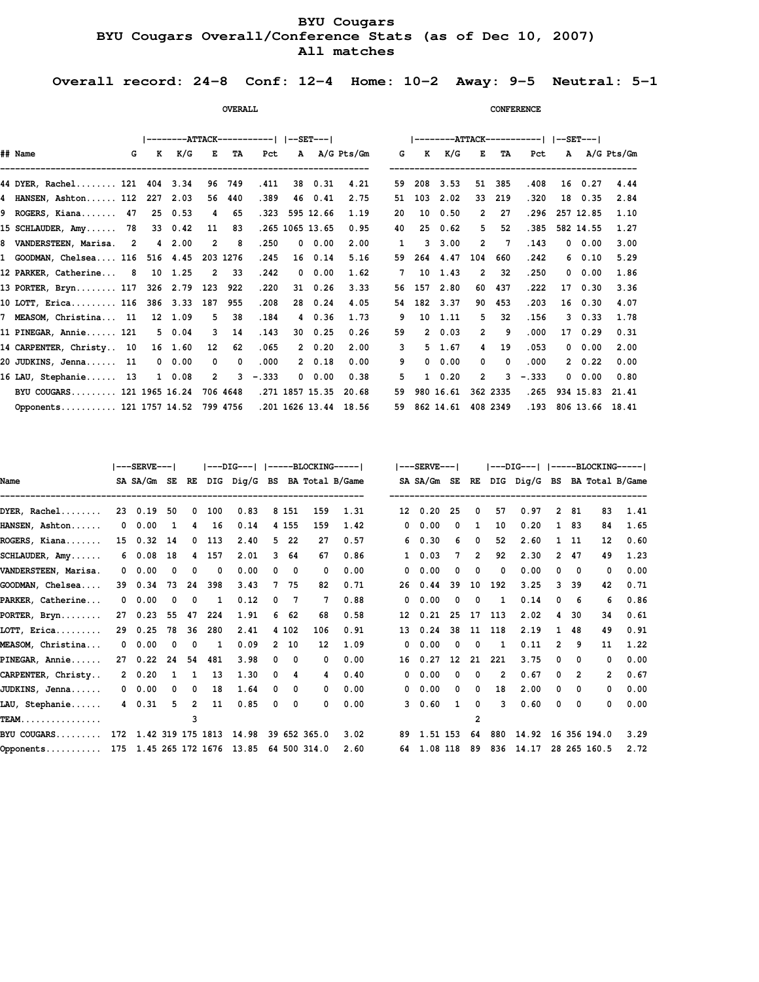# **BYU Cougars BYU Cougars Overall/Conference Stats (as of Dec 10, 2007) All matches**

 **Overall record: 24-8 Conf: 12-4 Home: 10-2 Away: 9-5 Neutral: 5-1**

|                                   |   |              |               |                 |            |            |              |                 |                       |           |                       |                |              | --------ATTACK-----------   --SET--- |               |                      |
|-----------------------------------|---|--------------|---------------|-----------------|------------|------------|--------------|-----------------|-----------------------|-----------|-----------------------|----------------|--------------|--------------------------------------|---------------|----------------------|
| ## Name                           | G | $\mathbf{K}$ | K/G           | $E$ and $E$     | TA         | Pct        |              |                 | A A/G Pts/Gm          | G         | K<br>K/G              | 医二             | TA           | Pct                                  |               | A A/G Pts/Gm         |
| 44 DYER, Rachel 121 404 3.34      |   |              |               | 96              | 749        | .411       | 38           | 0.31            | 4.21                  | 208<br>59 | 3.53                  | 51             | 385          | .408                                 | 16 0.27       | 4.44                 |
| 4 HANSEN, Ashton 112 227 2.03     |   |              |               | 56              | 440        | .389       |              | 46 0.41         | 2.75                  | 103<br>51 | 2.02                  | 33             | 219          | .320                                 | 18 0.35       | 2.84                 |
| 9 ROGERS, Kiana 47                |   |              | 25 0.53       | 4               | 65         | .323       |              | 595 12.66       | 1.19                  | 20<br>10  | 0.50                  | $\overline{2}$ | 27           | . 296                                | 257 12.85     | 1.10                 |
| 15 SCHLAUDER, Amy 78              |   |              | 33 0.42       | 11              | 83         |            |              | .265 1065 13.65 | 0.95                  | 25<br>40  | 0.62                  | 5              | 52           | .385                                 | 582 14.55     | 1.27                 |
| 8 VANDERSTEEN, Marisa. 2          |   |              | 4 2.00        | $\overline{2}$  | -8         | .250       | $\mathbf{0}$ | 0.00            | 2.00                  | 3<br>1    | 3.00                  | $\overline{2}$ | $\mathbf{7}$ | .143                                 | $0\quad 0.00$ | 3.00                 |
| 1 GOODMAN, Chelsea 116            |   |              | 516 4.45      |                 | 203 1276   | .245       |              | 16 0.14         | 5.16                  | 59        | 264 4.47              | 104            | 660          | .242                                 | 60.10         | 5.29                 |
| 12 PARKER, Catherine 8            |   |              | 10 1.25       | 2               | -33        | .242       | $^{\circ}$   | 0.00            | 1.62                  | 10<br>7   | 1.43                  | $\overline{2}$ | 32           | .250                                 | $0\quad 0.00$ | 1.86                 |
| 13 PORTER, Bryn 117 326 2.79      |   |              |               | 123             | 922        | .220       |              | $31 \quad 0.26$ | 3.33                  | 157<br>56 | 2.80                  | 60             | 437          | .222                                 | 17 0.30       | 3.36                 |
| 10 LOTT, Erica 116 386 3.33       |   |              |               | 187             | 955        | .208       |              | 28 0.24         | 4.05                  | 54        | 182 3.37              | 90             | 453          | .203                                 | 16 0.30       | 4.07                 |
| 7 MEASOM, Christina 11 12 1.09    |   |              |               | 5               | 38         | .184       |              | 4 0.36          | 1.73                  | 9         | $10 \quad 1.11$       | 5              | 32           | .156                                 | $3 \t0.33$    | 1.78                 |
| 11 PINEGAR, Annie 121             |   |              | 5 0.04        | 3               | 14         | .143       |              | $30 \quad 0.25$ | 0.26                  | 59        | $2\;\;0.03$           | $\overline{2}$ | 9            | .000                                 | 17 0.29       | 0.31                 |
| 14 CARPENTER, Christy 10          |   |              | 16 1.60       | 12 <sup>°</sup> | 62         | .065       |              | 20.20           | 2.00                  | 3         | $5 \quad 1.67$        | $\overline{4}$ | 19           | .053                                 | $0\quad 0.00$ | 2.00                 |
| 20 JUDKINS, Jenna 11              |   |              | $0\quad 0.00$ | $^{\circ}$      | $^{\circ}$ | .000       |              | 20.18           | 0.00                  | 9         | $0\quad 0.00$         | $\mathbf 0$    | $^{\circ}$   | .000                                 | $2 \t 0.22$   | 0.00                 |
| 16 LAU, Stephanie 13              |   |              | $1 \t 0.08$   | $\overline{2}$  |            | $3 - .333$ | $^{\circ}$   | 0.00            | 0.38                  | 5.        | $1 \t 0.20$           | $\overline{2}$ | 3            | $-.333$                              | 0.00          | 0.80                 |
| BYU COUGARS 121 1965 16.24        |   |              |               |                 | 706 4648   |            |              | .271 1857 15.35 | 20.68                 | 59        | 980 16.61             |                | 362 2335     | .265                                 | 934 15.83     | 21.41                |
| Opponents 121 1757 14.52 799 4756 |   |              |               |                 |            |            |              |                 | .201 1626 13.44 18.56 |           | 59 862 14.61 408 2349 |                |              |                                      |               | .193 806 13.66 18.41 |

*CONFERENCE* 

|                      |    | ---SERVE---           |              |                |         |                             |          |          |              |                              |              | $---$ SERVE $---$ |             |          |                |           |              |                         |              | ---DIG---   -----BLOCKING----- |
|----------------------|----|-----------------------|--------------|----------------|---------|-----------------------------|----------|----------|--------------|------------------------------|--------------|-------------------|-------------|----------|----------------|-----------|--------------|-------------------------|--------------|--------------------------------|
| Name                 |    | SA SA/Gm SE           |              | RE             |         |                             |          |          |              | DIG Dig/G BS BA Total B/Game |              | SA SA/Gm SE       |             | RE       |                |           |              |                         |              | DIG Dig/G BS BA Total B/Game   |
| $DYER.$ Rachel       |    | 23 0.19               | 50           | 0              | 100     | 0.83                        |          | 8 151    | 159          | 1.31                         | 12           | 0.20              | 25          | 0        | 57             | 0.97      |              | 2 81                    | 83           | 1.41                           |
| HANSEN, Ashton       |    | $0\quad 0.00$         | 1            | 4              | 16      | 0.14                        |          | 4 155    | 159          | 1.42                         | 0            | 0.00              | $\Omega$    | 1        | 10             | 0.20      |              | 1 83                    | 84           | 1.65                           |
| ROGERS, Kiana        |    | 15 0.32               | 14           |                | $0$ 113 | 2.40                        |          | 522      | 27           | 0.57                         |              | 0.30<br>6         | 6           | 0        | 52             | 2.60      |              | 1 11                    | 12           | 0.60                           |
| SCHLAUDER, Amy       |    | 60.08                 | 18           |                | 4 157   | 2.01                        | 3        | 64       | 67           | 0.86                         | $\mathbf{1}$ | 0.03              | $7^{\circ}$ | 2        | 92             | 2.30      | $\mathbf{2}$ | -47                     | 49           | 1.23                           |
| VANDERSTEEN, Marisa. |    | $0\quad 0.00$         | 0            | $\mathbf 0$    | 0       | 0.00                        | 0        | 0        | 0            | 0.00                         | $^{\circ}$   | 0.00              | 0           | 0        | 0              | 0.00      | $^{\circ}$   | $\overline{\mathbf{0}}$ | 0            | 0.00                           |
| GOODMAN, Chelsea     |    | 39 0.34               | 73           | 24             | 398     | 3.43                        | 7        | 75       | 82           | 0.71                         | 26           | 0.44              | 39          | 10       | 192            | 3.25      |              | 3, 39                   | 42           | 0.71                           |
| PARKER, Catherine    |    | $0\quad 0.00$         | 0            | 0              | 1       | 0.12                        | 0        | 7        |              | 0.88                         | $^{\circ}$   | 0.00              | $\Omega$    | 0        | 1              | 0.14      | $\Omega$     | - 6                     | 6            | 0.86                           |
| PORTER, Bryn         | 27 | 0.23                  | 55           | 47             | 224     | 1.91                        | 6        | 62       | 68           | 0.58                         | 12           | 0.21              | 25          | 17       | 113            | 2.02      | 4            | -30                     | 34           | 0.61                           |
| LOTT, Erica          | 29 | 0.25                  | 78           | 36             | 280     | 2.41                        |          | 4 102    | 106          | 0.91                         | 13           | 0.24              | 38          | 11       | 118            | 2.19      |              | 48                      | 49           | 0.91                           |
| MEASOM, Christina    |    | $0\quad 0.00$         | 0            | 0              | 1       | 0.09                        | 2        | 10       | 12           | 1.09                         | 0            | 0.00              | $\Omega$    | $\Omega$ | 1              | 0.11      | 2            | -9                      | 11           | 1.22                           |
| PINEGAR, Annie       | 27 | 0.22                  | 24           | 54             | 481     | 3.98                        | 0        | $\Omega$ | $\Omega$     | 0.00                         | 16           | 0.27              | 12          | 21       | 221            | 3.75      | $\Omega$     | - 0                     | 0            | 0.00                           |
| CARPENTER, Christy   |    | 20.20                 | $\mathbf{1}$ | 1              | 13      | 1.30                        | 0        | 4        | 4            | 0.40                         | $^{\circ}$   | 0.00              | $\Omega$    | 0        | $\overline{2}$ | 0.67      | $^{\circ}$   | $\overline{2}$          | $\mathbf{2}$ | 0.67                           |
| JUDKINS, Jenna       |    | $0\quad 0.00$         | 0            | $^{\circ}$     | 18      | 1.64                        | $\Omega$ | $\Omega$ | $\Omega$     | 0.00                         | $^{\circ}$   | 0.00              | $\Omega$    | 0        | 18             | 2.00      | $^{\circ}$   | $\Omega$                | 0            | 0.00                           |
| LAU, Stephanie       |    | 4 0.31                | 5.           | $\overline{2}$ | 11      | 0.85                        | 0        | 0        | 0            | 0.00                         |              | 0.60<br>3         | 1           | 0        | 3              | 0.60      | $^{\circ}$   | 0                       | 0            | 0.00                           |
| <b>TEAM.</b>         |    |                       |              | 3              |         |                             |          |          |              |                              |              |                   |             | 2        |                |           |              |                         |              |                                |
| BYU COUGARS          |    | 172 1.42 319 175 1813 |              |                |         | 14.98                       |          |          | 39 652 365.0 | 3.02                         |              | 89 1.51 153       |             | 64       | 880            | 14.92     |              |                         | 16 356 194.0 | 3.29                           |
| Opponents            |    |                       |              |                |         | 175 1.45 265 172 1676 13.85 |          |          | 64 500 314.0 | 2.60                         | 64           | 1.08 118          |             | 89       |                | 836 14.17 |              |                         | 28 265 160.5 | 2.72                           |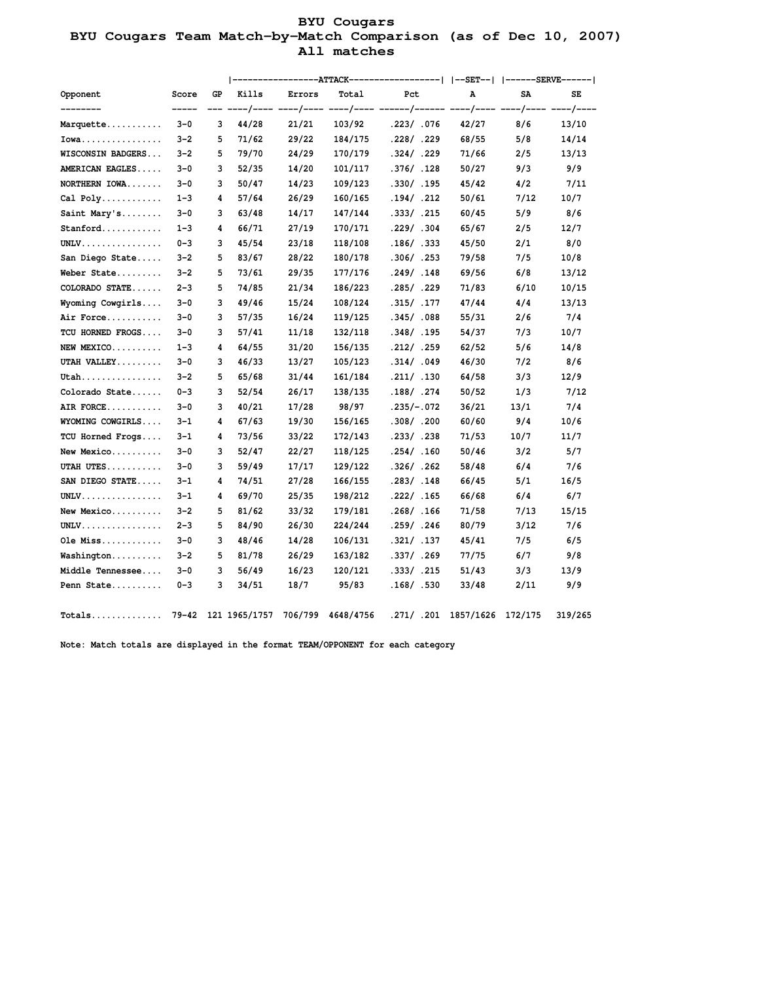# **BYU Cougars BYU Cougars Team Match-by-Match Comparison (as of Dec 10, 2007) All matches**

|                                            |         |    |          |                |         |                                                       | --------------ATTACK------------------   --SET--   ------SERVE------ |      |           |
|--------------------------------------------|---------|----|----------|----------------|---------|-------------------------------------------------------|----------------------------------------------------------------------|------|-----------|
| Opponent                                   | Score   | GP | Kills    | Errors         | Total   | Pct                                                   | Α                                                                    | SA   | SE        |
|                                            |         |    | ---/---- |                |         | ----/---- ----/---- ------/------ ----/---- ----/---- |                                                                      |      | $---/---$ |
| Marquette                                  | $3-0$   | 3  | 44/28    | 21/21<br>29/22 | 103/92  | .223/ .076                                            | 42/27                                                                | 8/6  | 13/10     |
| $Iowa$                                     | $3 - 2$ | 5  | 71/62    |                | 184/175 | .228/ .229                                            | 68/55                                                                | 5/8  | 14/14     |
| WISCONSIN BADGERS                          | $3 - 2$ | 5  | 79/70    | 24/29          | 170/179 | .324/ .229                                            | 71/66                                                                | 2/5  | 13/13     |
| AMERICAN EAGLES                            | $3 - 0$ | 3  | 52/35    | 14/20          | 101/117 | .376/ .128                                            | 50/27                                                                | 9/3  | 9/9       |
| NORTHERN IOWA                              | $3 - 0$ | 3  | 50/47    | 14/23          | 109/123 | .330/ .195                                            | 45/42                                                                | 4/2  | 7/11      |
| Cal Poly                                   | $1 - 3$ | 4  | 57/64    | 26/29          | 160/165 | .194/ .212                                            | 50/61                                                                | 7/12 | 10/7      |
| Saint Mary's                               | $3 - 0$ | 3  | 63/48    | 14/17          | 147/144 | .333/ .215                                            | 60/45                                                                | 5/9  | 8/6       |
| Stanford                                   | $1 - 3$ | 4  | 66/71    | 27/19          | 170/171 | .229/ .304                                            | 65/67                                                                | 2/5  | 12/7      |
| $UNLV. \ldots \ldots \ldots \ldots \ldots$ | $0 - 3$ | 3  | 45/54    | 23/18          | 118/108 | .186/.333                                             | 45/50                                                                | 2/1  | 8/0       |
| San Diego State                            | $3 - 2$ | 5  | 83/67    | 28/22          | 180/178 | .306/ .253                                            | 79/58                                                                | 7/5  | 10/8      |
| Weber State                                | $3 - 2$ | 5  | 73/61    | 29/35          | 177/176 | .249/ .148                                            | 69/56                                                                | 6/8  | 13/12     |
| COLORADO STATE                             | $2 - 3$ | 5  | 74/85    | 21/34          | 186/223 | .285/.229                                             | 71/83                                                                | 6/10 | 10/15     |
| Wyoming Cowgirls                           | $3 - 0$ | 3  | 49/46    | 15/24          | 108/124 | .315/ .177                                            | 47/44                                                                | 4/4  | 13/13     |
| Air Force                                  | $3 - 0$ | 3  | 57/35    | 16/24          | 119/125 | .345/ .088                                            | 55/31                                                                | 2/6  | 7/4       |
| TCU HORNED FROGS                           | $3 - 0$ | 3  | 57/41    | 11/18          | 132/118 | .348/ .195                                            | 54/37                                                                | 7/3  | 10/7      |
| NEW MEXICO                                 | $1 - 3$ | 4  | 64/55    | 31/20          | 156/135 | .212/ .259                                            | 62/52                                                                | 5/6  | 14/8      |
| UTAH VALLEY                                | $3 - 0$ | 3  | 46/33    | 13/27          | 105/123 | .314/ .049                                            | 46/30                                                                | 7/2  | 8/6       |
| Utah                                       | $3 - 2$ | 5  | 65/68    | 31/44          | 161/184 | .211/ .130                                            | 64/58                                                                | 3/3  | 12/9      |
| Colorado State                             | $0 - 3$ | 3  | 52/54    | 26/17          | 138/135 | .188/ .274                                            | 50/52                                                                | 1/3  | 7/12      |
| AIR FORCE                                  | $3 - 0$ | 3  | 40/21    | 17/28          | 98/97   | $.235/-.072$                                          | 36/21                                                                | 13/1 | 7/4       |
| WYOMING COWGIRLS                           | $3 - 1$ | 4  | 67/63    | 19/30          | 156/165 | .308/ .200                                            | 60/60                                                                | 9/4  | 10/6      |
| TCU Horned Frogs                           | $3 - 1$ | 4  | 73/56    | 33/22          | 172/143 | .233/ .238                                            | 71/53                                                                | 10/7 | 11/7      |
| New Mexico                                 | $3 - 0$ | 3  | 52/47    | 22/27          | 118/125 | .254/ .160                                            | 50/46                                                                | 3/2  | 5/7       |
| UTAH UTES                                  | $3 - 0$ | 3  | 59/49    | 17/17          | 129/122 | .326/ .262                                            | 58/48                                                                | 6/4  | 7/6       |
| SAN DIEGO STATE                            | $3 - 1$ | 4  | 74/51    | 27/28          | 166/155 | .283/ .148                                            | 66/45                                                                | 5/1  | 16/5      |
| $UNLV.$                                    | $3 - 1$ | 4  | 69/70    | 25/35          | 198/212 | .222/ .165                                            | 66/68                                                                | 6/4  | 6/7       |
| New Mexico                                 | $3 - 2$ | 5  | 81/62    | 33/32          | 179/181 | .268/ .166                                            | 71/58                                                                | 7/13 | 15/15     |
| $UNLV$                                     | $2 - 3$ | 5  | 84/90    | 26/30          | 224/244 | .259/.246                                             | 80/79                                                                | 3/12 | 7/6       |
| Ole Miss                                   | $3 - 0$ | 3  | 48/46    | 14/28          | 106/131 | .321/ .137                                            | 45/41                                                                | 7/5  | 6/5       |
| Washington                                 | $3 - 2$ | 5  | 81/78    | 26/29          | 163/182 | .337/ .269                                            | 77/75                                                                | 6/7  | 9/8       |
| Middle Tennessee                           | $3 - 0$ | 3  | 56/49    | 16/23          | 120/121 | .333/ .215                                            | 51/43                                                                | 3/3  | 13/9      |
| Penn State                                 | $0 - 3$ | 3  | 34/51    | 18/7           | 95/83   | .168/ .530                                            | 33/48                                                                | 2/11 | 9/9       |
|                                            |         |    |          |                |         |                                                       |                                                                      |      |           |

 **Note: Match totals are displayed in the format TEAM/OPPONENT for each category**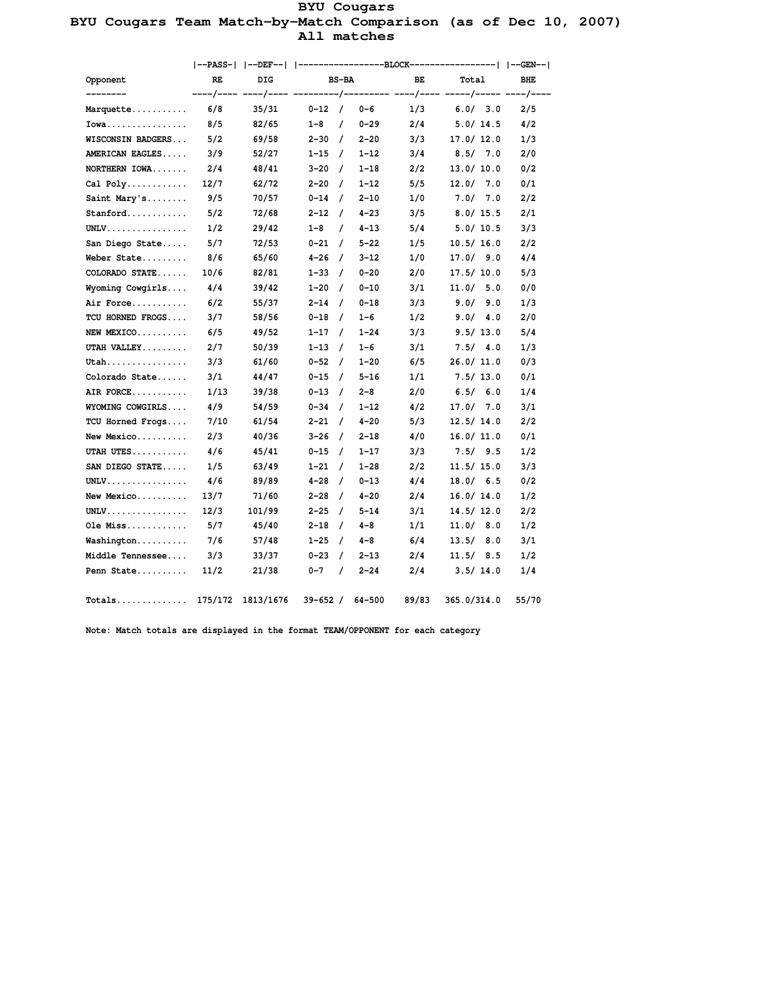# **BYU Cougars BYU Cougars Team Match-by-Match Comparison (as of Dec 10, 2007) All matches**

|                                             |         |           |                       |          | --PASS-   --DEF--   -----------------BLOCK-----------------   --GEN-- |             |            |  |
|---------------------------------------------|---------|-----------|-----------------------|----------|-----------------------------------------------------------------------|-------------|------------|--|
| <b>Opponent</b>                             | RE      | DIG       | <b>BS-BA</b>          |          | ВE                                                                    | Total       | <b>BHE</b> |  |
|                                             |         |           |                       |          |                                                                       |             |            |  |
| Marquette                                   | 6/8     | 35/31     | $0 - 12$ /            | $0 - 6$  | 1/3                                                                   | 6.0/3.0     | 2/5        |  |
| $Iowa$                                      | 8/5     | 82/65     | $1 - 8$<br>$\prime$   | $0 - 29$ | 2/4                                                                   | 5.0/14.5    | 4/2        |  |
| WISCONSIN BADGERS                           | 5/2     | 69/58     | $2 - 30 /$            | $2 - 20$ | 3/3                                                                   | 17.0 / 12.0 | 1/3        |  |
| AMERICAN EAGLES                             | 3/9     | 52/27     | $1 - 15$ /            | $1 - 12$ | 3/4                                                                   | 8.5/7.0     | 2/0        |  |
| NORTHERN IOWA                               | 2/4     | 48/41     | $3 - 20$ /            | $1 - 18$ | 2/2                                                                   | 13.0 / 10.0 | 0/2        |  |
|                                             | 12/7    | 62/72     | $2 - 20$ /            | $1 - 12$ | 5/5                                                                   | 12.0 / 7.0  | 0/1        |  |
| Saint Mary's                                | 9/5     | 70/57     | $0 - 14$ /            | $2 - 10$ | 1/0                                                                   | 7.0 / 7.0   | 2/2        |  |
| Stanford                                    | 5/2     | 72/68     | $2 - 12$ /            | $4 - 23$ | 3/5                                                                   | 8.0 / 15.5  | 2/1        |  |
| $UNLV. \ldots \ldots \ldots \ldots \ldots$  | 1/2     | 29/42     | $1 - 8$<br>$\sqrt{ }$ | $4 - 13$ | 5/4                                                                   | 5.0/10.5    | 3/3        |  |
| San Diego State                             | 5/7     | 72/53     | $0 - 21$ /            | $5 - 22$ | 1/5                                                                   | 10.5/16.0   | 2/2        |  |
| Weber State                                 | 8/6     | 65/60     | $4 - 26$ /            | $3 - 12$ | 1/0                                                                   | 17.0 / 9.0  | 4/4        |  |
| COLORADO STATE                              | 10/6    | 82/81     | $1 - 33$ /            | $0 - 20$ | 2/0                                                                   | 17.5/10.0   | 5/3        |  |
| Wyoming Cowgirls                            | 4/4     | 39/42     | $1 - 20$ /            | $0 - 10$ | 3/1                                                                   | 11.0 / 5.0  | 0/0        |  |
| Air Force                                   | 6/2     | 55/37     | $2 - 14$ /            | $0 - 18$ | 3/3                                                                   | 9.0 / 9.0   | 1/3        |  |
| TCU HORNED FROGS                            | 3/7     | 58/56     | $0 - 18$ /            | $1 - 6$  | 1/2                                                                   | 9.0 / 4.0   | 2/0        |  |
| $NEW$ MEXICO                                | 6/5     | 49/52     | $1 - 17$ /            | $1 - 24$ | 3/3                                                                   | 9.5/13.0    | 5/4        |  |
| UTAH VALLEY                                 | 2/7     | 50/39     | $1 - 13$ /            | $1 - 6$  | 3/1                                                                   | 7.5/ 4.0    | 1/3        |  |
| Utah                                        | 3/3     | 61/60     | $0 - 52$ /            | $1 - 20$ | 6/5                                                                   | 26.0/11.0   | 0/3        |  |
| Colorado State                              | 3/1     | 44/47     | $0 - 15$ /            | $5 - 16$ | 1/1                                                                   | 7.5/13.0    | 0/1        |  |
| AIR FORCE                                   | 1/13    | 39/38     | $0 - 13$ /            | $2 - 8$  | 2/0                                                                   | 6.5/ 6.0    | 1/4        |  |
| WYOMING COWGIRLS                            | 4/9     | 54/59     | $0 - 34$ /            | $1 - 12$ | 4/2                                                                   | 17.0 / 7.0  | 3/1        |  |
| TCU Horned Frogs                            | 7/10    | 61/54     | $2 - 21$ /            | $4 - 20$ | 5/3                                                                   | 12.5/14.0   | 2/2        |  |
| New Mexico                                  | 2/3     | 40/36     | $3 - 26$ /            | $2 - 18$ | 4/0                                                                   | 16.0/11.0   | 0/1        |  |
| UTAH UTES                                   | 4/6     | 45/41     | $0 - 15$ /            | $1 - 17$ | 3/3                                                                   | 7.5/9.5     | 1/2        |  |
| SAN DIEGO STATE                             | 1/5     | 63/49     | $1 - 21$ /            | $1 - 28$ | 2/2                                                                   | 11.5/15.0   | 3/3        |  |
| $UNLV$                                      | 4/6     | 89/89     | 4-28 /                | $0 - 13$ | 4/4                                                                   | 18.0 / 6.5  | 0/2        |  |
| New Mexico                                  | 13/7    | 71/60     | $2 - 28$ /            | $4 - 20$ | 2/4                                                                   | 16.0 / 14.0 | 1/2        |  |
| $UNLV$                                      | 12/3    | 101/99    | $2 - 25$ /            | $5 - 14$ | 3/1                                                                   | 14.5 / 12.0 | 2/2        |  |
| Ole Miss                                    | 5/7     | 45/40     | $2 - 18$ /            | 4-8      | 1/1                                                                   | 11.0 / 8.0  | 1/2        |  |
| Washington                                  | 7/6     | 57/48     | $1 - 25$ /            | $4 - 8$  | 6/4                                                                   | 13.5/8.0    | 3/1        |  |
| Middle Tennessee 3/3                        |         | 33/37     | $0 - 23$ /            | $2 - 13$ | 2/4                                                                   | 11.5/8.5    | 1/2        |  |
| Penn State                                  | 11/2    | 21/38     | $0 - 7$<br>$\prime$   | $2 - 24$ | 2/4                                                                   | 3.5/14.0    | 1/4        |  |
| $\verb Totals  \dots \verb + \dots \verb +$ | 175/172 | 1813/1676 | $39 - 652 /$          | 64-500   | 89/83                                                                 | 365.0/314.0 | 55/70      |  |

 **Note: Match totals are displayed in the format TEAM/OPPONENT for each category**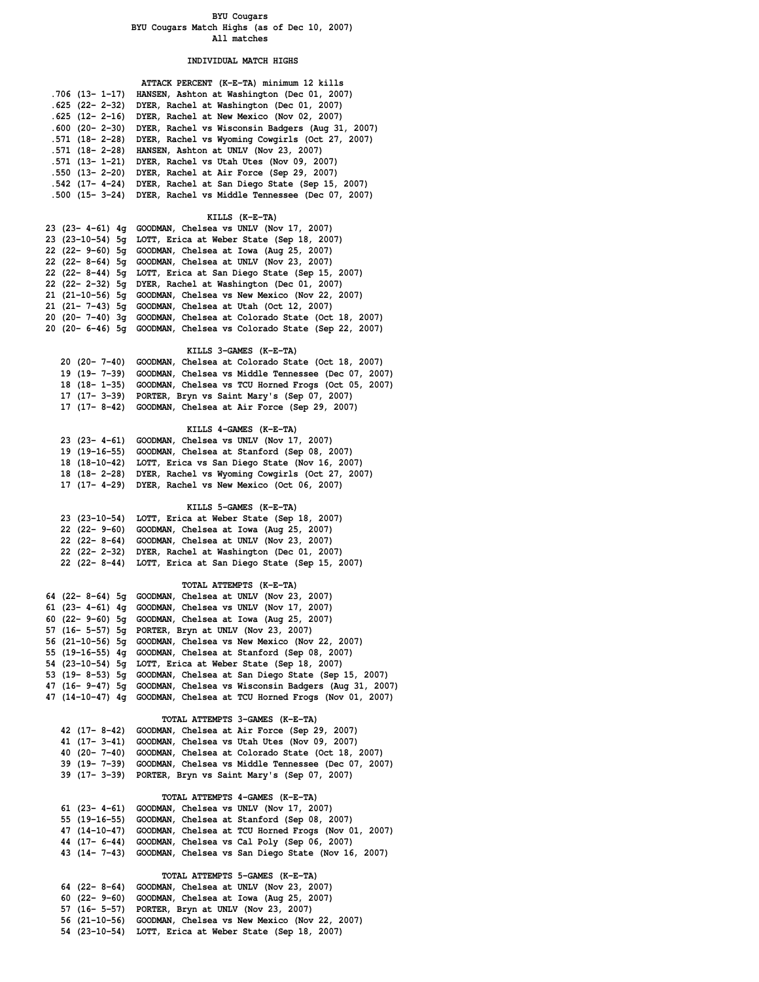### **BYU Cougars BYU Cougars Match Highs (as of Dec 10, 2007) All matches**

### **INDIVIDUAL MATCH HIGHS**

|                        | ATTACK PERCENT (K-E-TA) minimum 12 kills         |
|------------------------|--------------------------------------------------|
| $.706$ (13- 1-17)      | HANSEN, Ashton at Washington (Dec 01, 2007)      |
| $.625$ (22- 2-32)      | DYER, Rachel at Washington (Dec 01, 2007)        |
| $.625$ (12- 2-16)      | DYER, Rachel at New Mexico (Nov 02, 2007)        |
| $.600$ $(20 - 2 - 30)$ | DYER, Rachel vs Wisconsin Badgers (Aug 31, 2007) |
| .571 (18- 2-28)        | DYER, Rachel vs Wyoming Cowgirls (Oct 27, 2007)  |
| .571 (18- 2-28)        | HANSEN, Ashton at UNLV (Nov 23, 2007)            |
| .571 (13- 1-21)        | DYER, Rachel vs Utah Utes (Nov 09, 2007)         |
| $.550$ (13- 2-20)      | DYER, Rachel at Air Force (Sep 29, 2007)         |
| $.542$ (17- 4-24)      | DYER, Rachel at San Diego State (Sep 15, 2007)   |
| $.500$ $(15 - 3 - 24)$ | DYER, Rachel vs Middle Tennessee (Dec 07, 2007)  |
|                        |                                                  |

 **KILLS (K-E-TA)**

|  | 23 (23- 4-61) $4q$ GOODMAN, Chelsea vs UNLV (Nov 17, 2007)         |
|--|--------------------------------------------------------------------|
|  | 23 (23-10-54) 5q LOTT, Erica at Weber State (Sep 18, 2007)         |
|  | 22 (22- 9-60) 5q GOODMAN, Chelsea at Iowa (Aug 25, 2007)           |
|  | 22 (22-8-64) 5q GOODMAN, Chelsea at UNLV (Nov 23, 2007)            |
|  | 22 (22-8-44) 5g LOTT, Erica at San Diego State (Sep 15, 2007)      |
|  | 22 (22- 2-32) 5q DYER, Rachel at Washington (Dec 01, 2007)         |
|  | 21 (21-10-56) 5g GOODMAN, Chelsea vs New Mexico (Nov 22, 2007)     |
|  | 21 (21- 7-43) 5q GOODMAN, Chelsea at Utah (Oct 12, 2007)           |
|  | 20 (20- 7-40) 3q GOODMAN, Chelsea at Colorado State (Oct 18, 2007) |
|  | 20 (20- 6-46) 5q GOODMAN, Chelsea vs Colorado State (Sep 22, 2007) |
|  |                                                                    |

### **KILLS 3-GAMES (K-E-TA)**

| 20 (20- 7-40) GOODMAN, Chelsea at Colorado State (Oct 18, 2007)   |
|-------------------------------------------------------------------|
| 19 (19- 7-39) GOODMAN, Chelsea vs Middle Tennessee (Dec 07, 2007) |
| 18 (18-1-35) GOODMAN, Chelsea vs TCU Horned Frogs (Oct 05, 2007)  |
| 17 (17- 3-39) PORTER, Bryn vs Saint Mary's (Sep 07, 2007)         |
| 17 (17-8-42) GOODMAN, Chelsea at Air Force (Sep 29, 2007)         |

 **KILLS 4-GAMES (K-E-TA)**

| 23 (23- 4-61) GOODMAN, Chelsea vs UNLV (Nov 17, 2007)         |
|---------------------------------------------------------------|
| 19 (19-16-55) GOODMAN, Chelsea at Stanford (Sep 08, 2007)     |
| 18 (18-10-42) LOTT, Erica vs San Diego State (Nov 16, 2007)   |
| 18 (18- 2-28) DYER, Rachel vs Wyoming Cowgirls (Oct 27, 2007) |
| 17 (17- 4-29) DYER, Rachel vs New Mexico (Oct 06, 2007)       |

### **KILLS 5-GAMES (K-E-TA)**

| 23 (23-10-54) LOTT, Erica at Weber State (Sep 18, 2007)      |
|--------------------------------------------------------------|
| 22 (22- 9-60) GOODMAN, Chelsea at Iowa (Aug 25, 2007)        |
| 22 (22-8-64) GOODMAN, Chelsea at UNLV (Nov 23, 2007)         |
| 22 $(22 - 2 - 32)$ DYER, Rachel at Washington (Dec 01, 2007) |
| 22 (22-8-44) LOTT, Erica at San Diego State (Sep 15, 2007)   |

### **TOTAL ATTEMPTS (K-E-TA)**

|  | 64 (22-8-64) 5q GOODMAN, Chelsea at UNLV (Nov 23, 2007)               |
|--|-----------------------------------------------------------------------|
|  | 61 (23- 4-61) 4q GOODMAN, Chelsea vs UNLV (Nov 17, 2007)              |
|  | 60 (22- 9-60) 5q GOODMAN, Chelsea at Iowa (Aug 25, 2007)              |
|  | 57 (16- 5-57) 5q PORTER, Bryn at UNLV (Nov 23, 2007)                  |
|  | 56 (21-10-56) 5g GOODMAN, Chelsea vs New Mexico (Nov 22, 2007)        |
|  | 55 (19-16-55) 4g GOODMAN, Chelsea at Stanford (Sep 08, 2007)          |
|  | 54 (23-10-54) 5q LOTT, Erica at Weber State (Sep 18, 2007)            |
|  | 53 (19-8-53) 5g GOODMAN, Chelsea at San Diego State (Sep 15, 2007)    |
|  | 47 (16- 9-47) 5q GOODMAN, Chelsea vs Wisconsin Badgers (Aug 31, 2007) |
|  | 47 (14-10-47) 4g GOODMAN, Chelsea at TCU Horned Frogs (Nov 01, 2007)  |
|  |                                                                       |

### **TOTAL ATTEMPTS 3-GAMES (K-E-TA)**

| 42 (17-8-42) GOODMAN, Chelsea at Air Force (Sep 29, 2007)         |
|-------------------------------------------------------------------|
| 41 (17- 3-41) GOODMAN, Chelsea vs Utah Utes (Nov 09, 2007)        |
| 40 (20- 7-40) GOODMAN, Chelsea at Colorado State (Oct 18, 2007)   |
| 39 (19- 7-39) GOODMAN, Chelsea vs Middle Tennessee (Dec 07, 2007) |
| 39 (17- 3-39) PORTER, Bryn vs Saint Mary's (Sep 07, 2007)         |

## **TOTAL ATTEMPTS 4-GAMES (K-E-TA)**

|  |  | 61 (23- 4-61) GOODMAN, Chelsea vs UNLV (Nov 17, 2007)             |
|--|--|-------------------------------------------------------------------|
|  |  | 55 (19-16-55) GOODMAN, Chelsea at Stanford (Sep 08, 2007)         |
|  |  | 47 (14-10-47) GOODMAN, Chelsea at TCU Horned Frogs (Nov 01, 2007) |
|  |  | 44 (17- 6-44) GOODMAN, Chelsea vs Cal Poly (Sep 06, 2007)         |
|  |  | 43 (14- 7-43) GOODMAN, Chelsea vs San Diego State (Nov 16, 2007)  |

# **TOTAL ATTEMPTS 5-GAMES (K-E-TA)**

 **64 (22- 8-64) GOODMAN, Chelsea at UNLV (Nov 23, 2007) 60 (22- 9-60) GOODMAN, Chelsea at Iowa (Aug 25, 2007) 57 (16- 5-57) PORTER, Bryn at UNLV (Nov 23, 2007) 56 (21-10-56) GOODMAN, Chelsea vs New Mexico (Nov 22, 2007) 54 (23-10-54) LOTT, Erica at Weber State (Sep 18, 2007)**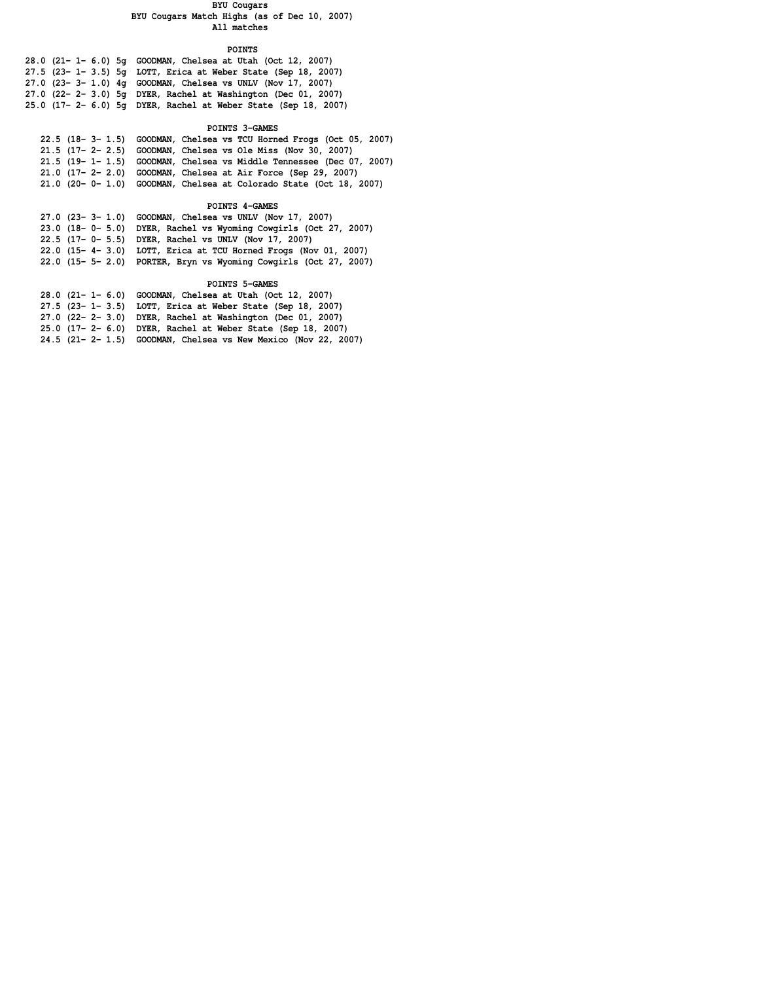#### **BYU Cougars**

### **BYU Cougars Match Highs (as of Dec 10, 2007) All matches**

### **POINTS**

| 28.0 (21- 1- 6.0) 5g GOODMAN, Chelsea at Utah (Oct 12, 2007)     |
|------------------------------------------------------------------|
| 27.5 (23- 1- 3.5) 5q LOTT, Erica at Weber State (Sep 18, 2007)   |
| 27.0 $(23 - 3 - 1.0)$ 4q GOODMAN, Chelsea vs UNLV (Nov 17, 2007) |
| 27.0 (22- 2- 3.0) 5g DYER, Rachel at Washington (Dec 01, 2007)   |
| 25.0 (17- 2- 6.0) 5g DYER, Rachel at Weber State (Sep 18, 2007)  |

### **POINTS 3-GAMES**

| 22.5 (18-3-1.5) GOODMAN, Chelsea vs TCU Horned Frogs (Oct 05, 2007)     |
|-------------------------------------------------------------------------|
| 21.5 (17- 2- 2.5) GOODMAN, Chelsea vs Ole Miss (Nov 30, 2007)           |
| $21.5$ (19- 1- 1.5) GOODMAN, Chelsea vs Middle Tennessee (Dec 07, 2007) |
| 21.0 (17- 2- 2.0) GOODMAN, Chelsea at Air Force (Sep 29, 2007)          |
| $21.0$ (20- 0- 1.0) GOODMAN, Chelsea at Colorado State (Oct 18, 2007)   |
|                                                                         |

# **POINTS 4-GAMES**

| 27.0 (23- 3- 1.0) GOODMAN, Chelsea vs UNLV (Nov 17, 2007)         |
|-------------------------------------------------------------------|
| 23.0 (18-0-5.0) DYER, Rachel vs Wyoming Cowgirls (Oct 27, 2007)   |
| 22.5 (17- 0- 5.5) DYER, Rachel vs UNLV (Nov 17, 2007)             |
| 22.0 (15- 4- 3.0) LOTT, Erica at TCU Horned Frogs (Nov 01, 2007)  |
| 22.0 (15- 5- 2.0) PORTER, Bryn vs Wyoming Cowgirls (Oct 27, 2007) |
|                                                                   |

 **POINTS 5-GAMES**

| 28.0 (21- 1- 6.0) GOODMAN, Chelsea at Utah (Oct 12, 2007)       |
|-----------------------------------------------------------------|
| 27.5 (23- 1- 3.5) LOTT, Erica at Weber State (Sep 18, 2007)     |
| 27.0 (22- 2- 3.0) DYER, Rachel at Washington (Dec 01, 2007)     |
| 25.0 (17- 2- 6.0) DYER, Rachel at Weber State (Sep 18, 2007)    |
| 24.5 (21- 2- 1.5) GOODMAN, Chelsea vs New Mexico (Nov 22, 2007) |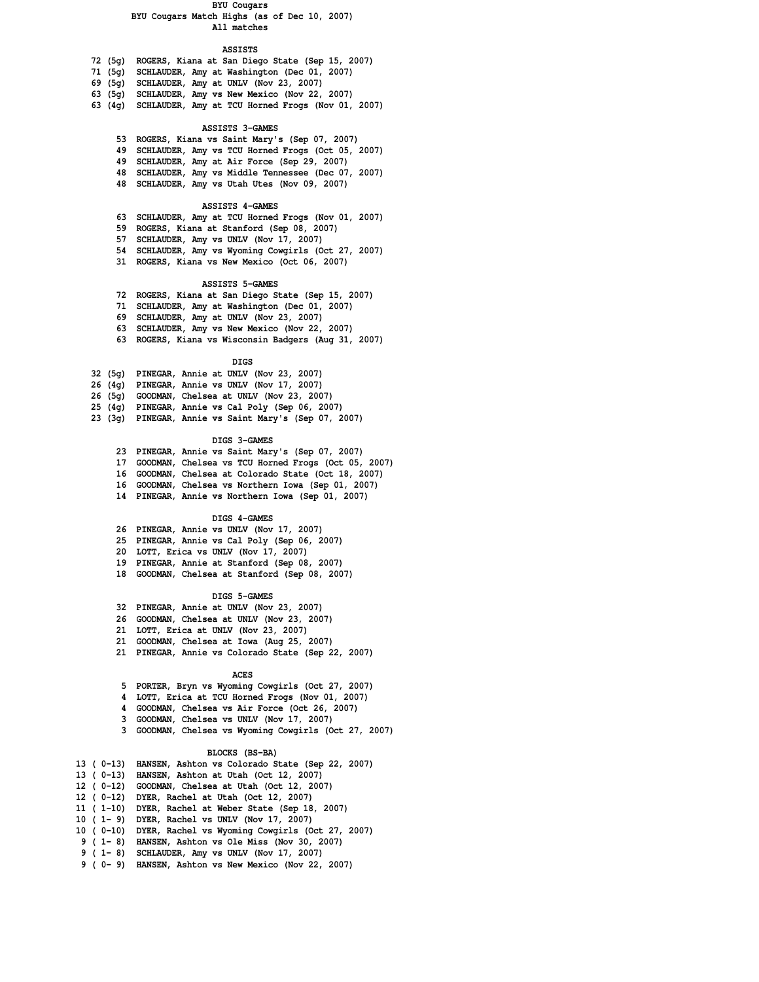#### **BYU Cougars**

### **BYU Cougars Match Highs (as of Dec 10, 2007) All matches**

### **ASSISTS**

- **72 (5g) ROGERS, Kiana at San Diego State (Sep 15, 2007)**
- **71 (5g) SCHLAUDER, Amy at Washington (Dec 01, 2007)**
- **69 (5g) SCHLAUDER, Amy at UNLV (Nov 23, 2007)**
- **63 (5g) SCHLAUDER, Amy vs New Mexico (Nov 22, 2007)**
- **63 (4g) SCHLAUDER, Amy at TCU Horned Frogs (Nov 01, 2007)**

### **ASSISTS 3-GAMES**

- **53 ROGERS, Kiana vs Saint Mary's (Sep 07, 2007)**
- **49 SCHLAUDER, Amy vs TCU Horned Frogs (Oct 05, 2007)**
- **49 SCHLAUDER, Amy at Air Force (Sep 29, 2007)**
- **48 SCHLAUDER, Amy vs Middle Tennessee (Dec 07, 2007)**
- **48 SCHLAUDER, Amy vs Utah Utes (Nov 09, 2007)**

### **ASSISTS 4-GAMES**

- **63 SCHLAUDER, Amy at TCU Horned Frogs (Nov 01, 2007)**
- **59 ROGERS, Kiana at Stanford (Sep 08, 2007)**
- **57 SCHLAUDER, Amy vs UNLV (Nov 17, 2007)**
- **54 SCHLAUDER, Amy vs Wyoming Cowgirls (Oct 27, 2007)**
- **31 ROGERS, Kiana vs New Mexico (Oct 06, 2007)**

### **ASSISTS 5-GAMES**

- **72 ROGERS, Kiana at San Diego State (Sep 15, 2007)**
- **71 SCHLAUDER, Amy at Washington (Dec 01, 2007)**
- **69 SCHLAUDER, Amy at UNLV (Nov 23, 2007)**
- **63 SCHLAUDER, Amy vs New Mexico (Nov 22, 2007)**
- **63 ROGERS, Kiana vs Wisconsin Badgers (Aug 31, 2007)**

#### **DIGS**

|        | 32 (5g) PINEGAR, Annie at UNLV (Nov 23, 2007)     |
|--------|---------------------------------------------------|
|        | 26 (4g) PINEGAR, Annie vs UNLV (Nov 17, 2007)     |
|        | 26 (5g) GOODMAN, Chelsea at UNLV (Nov 23, 2007)   |
|        | 25 (4g) PINEGAR, Annie vs Cal Poly (Sep 06, 2007) |
| 23(3q) | PINEGAR, Annie vs Saint Mary's (Sep 07, 2007)     |

#### **DIGS 3-GAMES**

 **23 PINEGAR, Annie vs Saint Mary's (Sep 07, 2007) 17 GOODMAN, Chelsea vs TCU Horned Frogs (Oct 05, 2007) 16 GOODMAN, Chelsea at Colorado State (Oct 18, 2007) 16 GOODMAN, Chelsea vs Northern Iowa (Sep 01, 2007)**

 **14 PINEGAR, Annie vs Northern Iowa (Sep 01, 2007)**

#### **DIGS 4-GAMES**

- **26 PINEGAR, Annie vs UNLV (Nov 17, 2007)**
- **25 PINEGAR, Annie vs Cal Poly (Sep 06, 2007)**
- **20 LOTT, Erica vs UNLV (Nov 17, 2007)**
- **19 PINEGAR, Annie at Stanford (Sep 08, 2007)**
- **18 GOODMAN, Chelsea at Stanford (Sep 08, 2007)**

#### **DIGS 5-GAMES**

- **32 PINEGAR, Annie at UNLV (Nov 23, 2007)**
- **26 GOODMAN, Chelsea at UNLV (Nov 23, 2007)**
- **21 LOTT, Erica at UNLV (Nov 23, 2007)**
- **21 GOODMAN, Chelsea at Iowa (Aug 25, 2007)**
- **21 PINEGAR, Annie vs Colorado State (Sep 22, 2007)**

#### *ACES*

- **5 PORTER, Bryn vs Wyoming Cowgirls (Oct 27, 2007)**
- **4 LOTT, Erica at TCU Horned Frogs (Nov 01, 2007)**
- **4 GOODMAN, Chelsea vs Air Force (Oct 26, 2007)**
- **3 GOODMAN, Chelsea vs UNLV (Nov 17, 2007)**
- **3 GOODMAN, Chelsea vs Wyoming Cowgirls (Oct 27, 2007)**

#### **BLOCKS (BS-BA)**

| 13 ( 0-13)      | HANSEN, Ashton vs Colorado State (Sep 22, 2007) |
|-----------------|-------------------------------------------------|
| 13 ( 0-13)      | HANSEN, Ashton at Utah (Oct 12, 2007)           |
| 12 ( 0-12)      | GOODMAN, Chelsea at Utah (Oct 12, 2007)         |
| 12 ( 0-12)      | DYER, Rachel at Utah (Oct 12, 2007)             |
| 11 ( 1-10)      | DYER, Rachel at Weber State (Sep 18, 2007)      |
| $10(1 - 9)$     | DYER, Rachel vs UNLV (Nov 17, 2007)             |
| 10 ( 0-10)      | DYER, Rachel vs Wyoming Cowgirls (Oct 27, 2007) |
| $9$ ( $1 - 8$ ) | HANSEN, Ashton vs Ole Miss (Nov 30, 2007)       |
| $9$ ( $1 - 8$ ) | SCHLAUDER, Amy vs UNLV (Nov 17, 2007)           |
| 9 ( 0 – 9)      | HANSEN, Ashton vs New Mexico (Nov 22, 2007)     |
|                 |                                                 |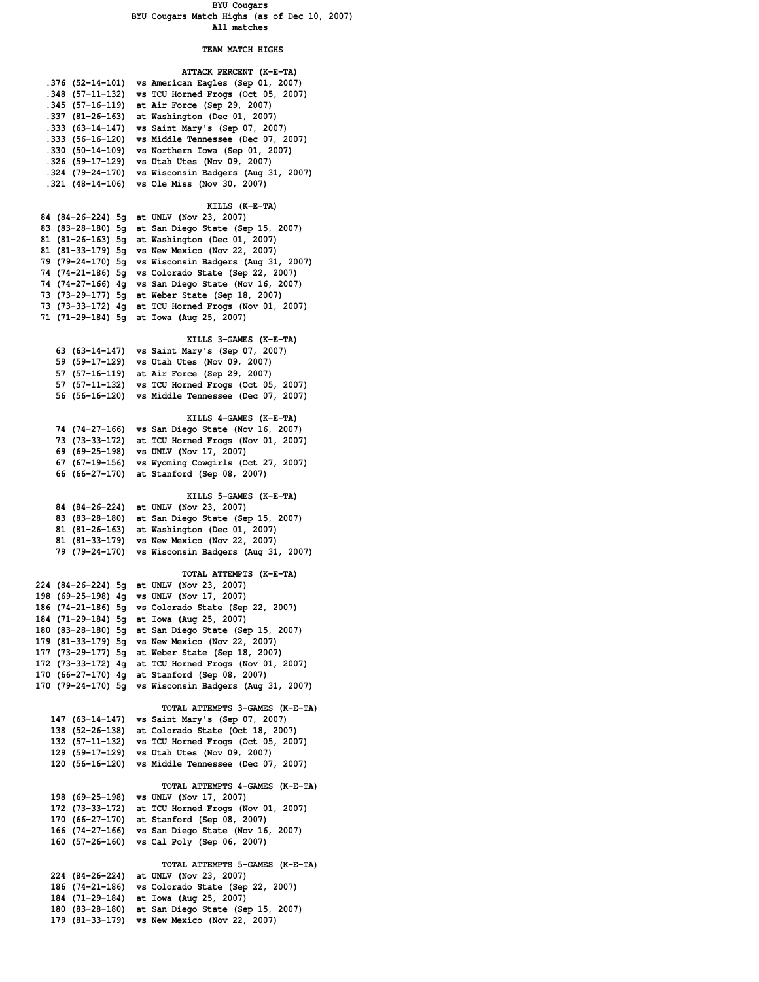### **BYU Cougars BYU Cougars Match Highs (as of Dec 10, 2007) All matches**

## **TEAM MATCH HIGHS**

|                  | ATTACK PERCENT (K-E-TA)                                |
|------------------|--------------------------------------------------------|
| .376 (52-14-101) | vs American Eagles (Sep 01, 2007)                      |
| .348 (57-11-132) | vs TCU Horned Frogs (Oct 05, 2007)                     |
| .345 (57-16-119) | at Air Force (Sep 29, 2007)                            |
| .337 (81-26-163) | at Washington (Dec 01, 2007)                           |
| .333 (63-14-147) | vs Saint Mary's (Sep 07, 2007)                         |
| .333 (56-16-120) | vs Middle Tennessee (Dec 07, 2007)                     |
| .330 (50-14-109) | vs Northern Iowa (Sep 01, 2007)                        |
| .326 (59-17-129) | vs Utah Utes (Nov 09, 2007)                            |
|                  | .324 (79-24-170) vs Wisconsin Badgers (Aug 31, 2007)   |
| .321 (48-14-106) | vs Ole Miss (Nov 30, 2007)                             |
|                  |                                                        |
|                  | KILLS (K-E-TA)                                         |
|                  | 84 (84-26-224) 5g at UNLV (Nov 23, 2007)               |
|                  | 83 (83-28-180) 5g at San Diego State (Sep 15, 2007)    |
|                  | 81 (81-26-163) 5g at Washington (Dec 01, 2007)         |
|                  | 81 (81-33-179) 5g vs New Mexico (Nov 22, 2007)         |
|                  |                                                        |
|                  | 79 (79-24-170) 5g vs Wisconsin Badgers (Aug 31, 2007)  |
|                  | 74 (74-21-186) 5g vs Colorado State (Sep 22, 2007)     |
|                  | 74 (74-27-166) 4g vs San Diego State (Nov 16, 2007)    |
|                  | 73 (73-29-177) 5g at Weber State (Sep 18, 2007)        |
|                  | 73 (73-33-172) 4g at TCU Horned Frogs (Nov 01, 2007)   |
|                  | 71 (71-29-184) 5g at Iowa (Aug 25, 2007)               |
|                  |                                                        |
|                  | KILLS 3-GAMES (K-E-TA)                                 |
|                  | 63 (63-14-147) vs Saint Mary's (Sep 07, 2007)          |
|                  | 59 (59-17-129) vs Utah Utes (Nov 09, 2007)             |
|                  | 57 (57-16-119) at Air Force (Sep 29, 2007)             |
|                  | 57 (57-11-132) vs TCU Horned Frogs (Oct 05, 2007)      |
|                  | 56 (56-16-120) vs Middle Tennessee (Dec 07, 2007)      |
|                  |                                                        |
|                  | KILLS 4-GAMES (K-E-TA)                                 |
| 74 (74–27–166)   | vs San Diego State (Nov 16, 2007)                      |
| 73 (73–33–172)   | at TCU Horned Frogs (Nov 01, 2007)                     |
| 69 (69-25-198)   | vs UNLV (Nov 17, 2007)                                 |
|                  | 67 (67-19-156) vs Wyoming Cowgirls (Oct 27, 2007)      |
|                  | 66 (66-27-170) at Stanford (Sep 08, 2007)              |
|                  |                                                        |
|                  | KILLS 5-GAMES (K-E-TA)                                 |
| 84 (84-26-224)   | at UNLV (Nov 23, 2007)                                 |
|                  | 83 (83-28-180) at San Diego State (Sep 15, 2007)       |
|                  | 81 (81-26-163) at Washington (Dec 01, 2007)            |
|                  | 81 (81-33-179) vs New Mexico (Nov 22, 2007)            |
| 79 (79–24–170)   | vs Wisconsin Badgers (Aug 31, 2007)                    |
|                  |                                                        |
|                  | TOTAL ATTEMPTS (K-E-TA)                                |
|                  | 224 (84-26-224) 5g at UNLV (Nov 23, 2007)              |
|                  | 198 (69-25-198) 4g vs UNLV (Nov 17, 2007)              |
|                  | 186 (74-21-186) 5g vs Colorado State (Sep 22, 2007)    |
|                  | 184 (71-29-184) 5g at Iowa (Aug 25, 2007)              |
|                  | 180 (83-28-180) 5g at San Diego State (Sep 15, 2007)   |
|                  | 179 (81-33-179) 5g vs New Mexico (Nov 22, 2007)        |
|                  | 177 (73-29-177) 5g at Weber State (Sep 18, 2007)       |
|                  | 172 (73-33-172) 4g at TCU Horned Frogs (Nov 01, 2007)  |
|                  | 170 (66-27-170) 4q at Stanford (Sep 08, 2007)          |
|                  | 170 (79-24-170) 5g vs Wisconsin Badgers (Aug 31, 2007) |
|                  |                                                        |
|                  | TOTAL ATTEMPTS 3-GAMES (K-E-TA)                        |
| 147 (63-14-147)  | vs Saint Mary's (Sep 07, 2007)                         |
| 138 (52-26-138)  | at Colorado State (Oct 18, 2007)                       |
| 132 (57-11-132)  | vs TCU Horned Frogs (Oct 05, 2007)                     |
|                  | 129 (59-17-129) vs Utah Utes (Nov 09, 2007)            |
|                  | 120 (56-16-120) vs Middle Tennessee (Dec 07, 2007)     |
|                  |                                                        |
|                  | TOTAL ATTEMPTS 4-GAMES (K-E-TA)                        |
| 198 (69-25-198)  | vs UNLV (Nov 17, 2007)                                 |
|                  | 172 (73-33-172) at TCU Horned Frogs (Nov 01, 2007)     |
|                  | 170 (66-27-170) at Stanford (Sep 08, 2007)             |
|                  | 166 (74-27-166) vs San Diego State (Nov 16, 2007)      |
| 160 (57-26-160)  | vs Cal Poly (Sep 06, 2007)                             |
|                  |                                                        |
|                  | TOTAL ATTEMPTS 5-GAMES (K-E-TA)                        |
| 224 (84-26-224)  | at UNLV (Nov 23, 2007)                                 |
| 186 (74-21-186)  | vs Colorado State (Sep 22, 2007)                       |
| 184 (71-29-184)  | at Iowa (Aug 25, 2007)                                 |
| 180 (83-28-180)  | at San Diego State (Sep 15, 2007)                      |
|                  | 179 (81-33-179) vs New Mexico (Nov 22, 2007)           |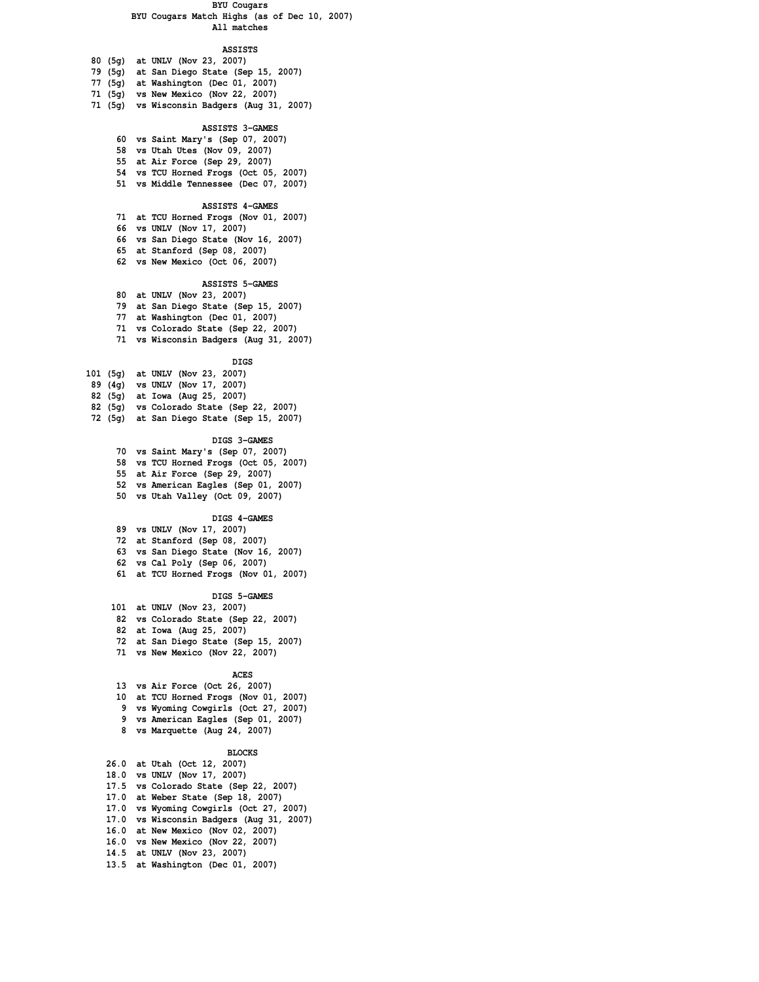### **BYU Cougars**

### **BYU Cougars Match Highs (as of Dec 10, 2007) All matches**

## **ASSISTS**

| 80 (5g) at UNLV (Nov 23, 2007)            |
|-------------------------------------------|
| 79 (5g) at San Diego State (Sep 15, 2007) |
| 77 (5g) at Washington (Dec 01, 2007)      |
| 71 (5g) vs New Mexico (Nov 22, 2007)      |

 **71 (5g) vs Wisconsin Badgers (Aug 31, 2007)**

### **ASSISTS 3-GAMES**

- **60 vs Saint Mary's (Sep 07, 2007)**
- **58 vs Utah Utes (Nov 09, 2007)**
- **55 at Air Force (Sep 29, 2007)**
- **54 vs TCU Horned Frogs (Oct 05, 2007)**
- **51 vs Middle Tennessee (Dec 07, 2007)**

### **ASSISTS 4-GAMES**

- **71 at TCU Horned Frogs (Nov 01, 2007)**
- **66 vs UNLV (Nov 17, 2007)**
- **66 vs San Diego State (Nov 16, 2007)**
- **65 at Stanford (Sep 08, 2007)**
- **62 vs New Mexico (Oct 06, 2007)**

# **ASSISTS 5-GAMES**

- **80 at UNLV (Nov 23, 2007) 79 at San Diego State (Sep 15, 2007)**
- **77 at Washington (Dec 01, 2007)**
- **71 vs Colorado State (Sep 22, 2007)**
- **71 vs Wisconsin Badgers (Aug 31, 2007)**

|                  | <b>DIGS</b>                              |  |
|------------------|------------------------------------------|--|
|                  | 101 (5g) at UNLV (Nov 23, 2007)          |  |
|                  | 89 (4g) vs UNLV (Nov 17, 2007)           |  |
|                  | 82 (5g) at Iowa (Aug 25, 2007)           |  |
|                  | 82 (5g) vs Colorado State (Sep 22, 2007) |  |
| <b>50 IP - 1</b> |                                          |  |

 **72 (5g) at San Diego State (Sep 15, 2007)**

#### **DIGS 3-GAMES**

- **70 vs Saint Mary's (Sep 07, 2007) 58 vs TCU Horned Frogs (Oct 05, 2007) 55 at Air Force (Sep 29, 2007) 52 vs American Eagles (Sep 01, 2007) 50 vs Utah Valley (Oct 09, 2007)**
	-

### **DIGS 4-GAMES**

- **89 vs UNLV (Nov 17, 2007) 72 at Stanford (Sep 08, 2007) 63 vs San Diego State (Nov 16, 2007)**
- **62 vs Cal Poly (Sep 06, 2007)**
- **61 at TCU Horned Frogs (Nov 01, 2007)**

#### **DIGS 5-GAMES**

- **101 at UNLV (Nov 23, 2007)**
- **82 vs Colorado State (Sep 22, 2007)**
- **82 at Iowa (Aug 25, 2007)**
- **72 at San Diego State (Sep 15, 2007)**
- **71 vs New Mexico (Nov 22, 2007)**

#### *ACES*

 **13 vs Air Force (Oct 26, 2007) 10 at TCU Horned Frogs (Nov 01, 2007) 9 vs Wyoming Cowgirls (Oct 27, 2007) 9 vs American Eagles (Sep 01, 2007) 8 vs Marquette (Aug 24, 2007)**

#### **BLOCKS**

| 26.0 at Utah (Oct 12, 2007)              |
|------------------------------------------|
| 18.0 vs UNLV (Nov 17, 2007)              |
| 17.5 vs Colorado State (Sep 22, 2007)    |
| 17.0 at Weber State (Sep 18, 2007)       |
| 17.0 vs Wyoming Cowgirls (Oct 27, 2007)  |
| 17.0 vs Wisconsin Badgers (Aug 31, 2007) |
| 16.0 at New Mexico (Nov 02, 2007)        |
| 16.0 vs New Mexico (Nov 22, 2007)        |
| 14.5 at UNLV (Nov 23, 2007)              |
| 13.5 at Washington (Dec 01, 2007)        |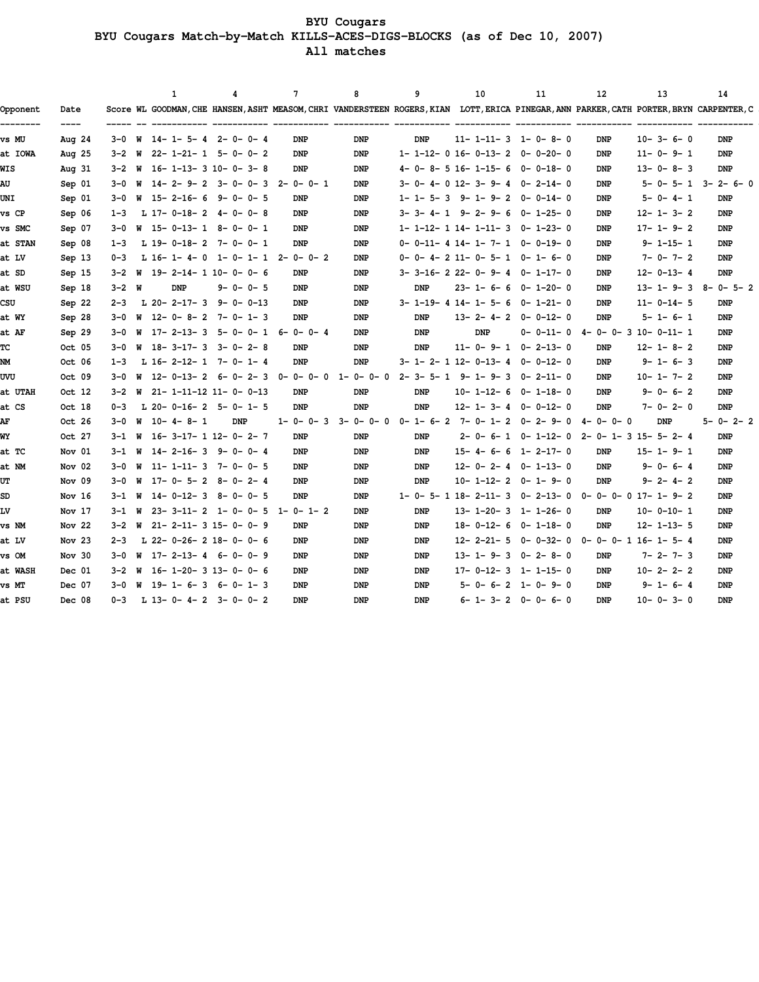**BYU Cougars BYU Cougars Match-by-Match KILLS-ACES-DIGS-BLOCKS (as of Dec 10, 2007) All matches**

| Opponent | Date     |         | 1<br>Score WL GOODMAN, CHE HANSEN, ASHT MEASOM, CHRI VANDERSTEEN ROGERS, KIAN LOTT, ERICA PINEGAR, ANN PARKER, CATH PORTER, BRYN CARPENTER, C | 4               | $\overline{7}$  | 8               | 9          | 10         | 11                                | 12                                | 13                                                         | 14                              |
|----------|----------|---------|-----------------------------------------------------------------------------------------------------------------------------------------------|-----------------|-----------------|-----------------|------------|------------|-----------------------------------|-----------------------------------|------------------------------------------------------------|---------------------------------|
| vs MU    | Aug $24$ |         | $3-0$ W $14-1-5-4$ 2-0-0-4                                                                                                                    |                 | <b>DNP</b>      | <b>DNP</b>      | <b>DNP</b> |            | $11 - 1 - 11 - 3$ 1-0-8-0         | DNP                               | $10 - 3 - 6 - 0$                                           | <b>DNP</b>                      |
| at IOWA  | Aug $25$ |         | $3-2$ W $22-1-21-1$ 5-0-0-2                                                                                                                   |                 | <b>DNP</b>      | <b>DNP</b>      |            |            | $1-1-12-0$ 16-0-13-2 0-0-20-0     | <b>DNP</b>                        | $11 - 0 - 9 - 1$                                           | <b>DNP</b>                      |
| WIS      | Aug $31$ |         | $3-2$ W $16-1-13-3$ $10-0-3-8$                                                                                                                |                 | <b>DNP</b>      | <b>DNP</b>      |            |            | $4-0-8-5$ 16-1-15-6 0-0-18-0      | <b>DNP</b>                        | $13 - 0 - 8 - 3$                                           | <b>DNP</b>                      |
| AU       | Sep 01   |         | 3-0 W 14-2-9-2 3-0-0-3 2-0-0-1                                                                                                                |                 |                 | <b>DNP</b>      |            |            | $3-0-4-0$ 12- 3- 9- 4 0- 2-14-0   | <b>DNP</b>                        |                                                            | $5 - 0 - 5 - 1$ $3 - 2 - 6 - 0$ |
| UNI      | Sep 01   |         | 3-0 W 15-2-16-6 9-0-0-5                                                                                                                       |                 | DNP             | <b>DNP</b>      |            |            | 1-1-5-3 9-1-9-2 0-0-14-0          | DNP                               | $5 - 0 - 4 - 1$                                            | <b>DNP</b>                      |
| vs CP    | Sep 06   | $1 - 3$ | L 17-0-18-2 4-0-0-8                                                                                                                           |                 | <b>DNP</b>      | <b>DNP</b>      |            |            | $3-3-4-1$ $9-2-9-6$ $0-1-25-0$    | DNP                               | $12 - 1 - 3 - 2$                                           | <b>DNP</b>                      |
| vs SMC   | Sep 07   |         | $3-0$ W $15-0-13-1$ 8-0-0-1                                                                                                                   |                 | <b>DNP</b>      | <b>DNP</b>      |            |            | $1-1-12-1$ $14-1-11-3$ $0-1-23-0$ | <b>DNP</b>                        | $17 - 1 - 9 - 2$                                           | DNP                             |
| at STAN  | Sep 08   | $1 - 3$ | L 19-0-18-2 7-0-0-1                                                                                                                           |                 | <b>DNP</b>      | <b>DNP</b>      |            |            | $0-0-11-4$ 14- 1- 7- 1 0-0-19-0   | DNP                               | $9 - 1 - 15 - 1$                                           | <b>DNP</b>                      |
| at LV    | Sep 13   | $0 - 3$ | L 16-1-4-0 1-0-1-1 2-0-0-2                                                                                                                    |                 |                 | <b>DNP</b>      |            |            | 0-0-4-211-0-5-1 0-1-6-0           | DNP                               | $7 - 0 - 7 - 2$                                            | <b>DNP</b>                      |
| at SD    | Sep 15   |         | $3-2$ W $19-2-14-1$ $10-0-0-6$                                                                                                                |                 | DNP             | <b>DNP</b>      |            |            | $3-3-16-222-0-9-4$ 0-1-17-0       | <b>DNP</b>                        | $12 - 0 - 13 - 4$                                          | <b>DNP</b>                      |
| at WSU   | Sep 18   | 3-2 W   | <b>DNP</b>                                                                                                                                    | $9 - 0 - 0 - 5$ | <b>DNP</b>      | <b>DNP</b>      | <b>DNP</b> |            | $23 - 1 - 6 - 6 0 - 1 - 20 - 0$   | <b>DNP</b>                        | $13 - 1 - 9 - 3 8 - 0 - 5 - 2$                             |                                 |
| CSU      | Sep 22   |         | $2-3$ L $20-2-17-3$ 9-0-0-13                                                                                                                  |                 | <b>DNP</b>      | <b>DNP</b>      |            |            | $3-1-19-4$ $14-1-5-6$ 0-1-21-0    | <b>DNP</b>                        | $11 - 0 - 14 - 5$                                          | <b>DNP</b>                      |
| at WY    | Sep 28   |         | 3-0 W 12-0-8-2 7-0-1-3                                                                                                                        |                 | <b>DNP</b>      | <b>DNP</b>      | <b>DNP</b> |            | $13 - 2 - 4 - 2 0 - 0 - 12 - 0$   | DNP                               | 5-1-6-1                                                    | <b>DNP</b>                      |
| at AF    | Sep 29   |         | 3-0 W 17-2-13-3 5-0-0-1 6-0-0-4                                                                                                               |                 |                 | <b>DNP</b>      | <b>DNP</b> | <b>DNP</b> |                                   |                                   | $0-0-11-0$ $4-0-0-3$ 10-0-11-1                             | DNP                             |
| ТC       | Oct 05   |         | $3-0$ W $18-3-17-3$ $3-0-2-8$                                                                                                                 |                 | <b>DNP</b>      | <b>DNP</b>      | <b>DNP</b> |            | $11 - 0 - 9 - 1 0 - 2 - 13 - 0$   | <b>DNP</b>                        | $12 - 1 - 8 - 2$                                           | <b>DNP</b>                      |
| NM       | Oct 06   | $1 - 3$ | L 16-2-12-1 7-0-1-4                                                                                                                           |                 | <b>DNP</b>      | <b>DNP</b>      |            |            | 3- 1- 2- 1 12- 0-13- 4 0- 0-12- 0 | DNP                               | $9 - 1 - 6 - 3$                                            | <b>DNP</b>                      |
| UVU      | Oct 09   |         | 3-0 W 12-0-13-2 6-0-2-3 0-0-0-0                                                                                                               |                 |                 | 1-0-0-0         |            |            | 2-3-5-1 9-1-9-3 0-2-11-0          | DNP                               | $10 - 1 - 7 - 2$                                           | <b>DNP</b>                      |
| at UTAH  | Oct 12   |         | 3-2 W 21-1-11-12 11-0-0-13                                                                                                                    |                 | <b>DNP</b>      | <b>DNP</b>      | <b>DNP</b> |            | $10 - 1 - 12 - 6$ 0 - 1 - 18 - 0  | <b>DNP</b>                        | $9 - 0 - 6 - 2$                                            | <b>DNP</b>                      |
| at CS    | Oct 18   | 0-3     | $L$ 20- 0-16- 2 5- 0- 1- 5                                                                                                                    |                 | DNP             | <b>DNP</b>      | <b>DNP</b> |            | $12 - 1 - 3 - 4$ 0-0-12-0         | <b>DNP</b>                        | $7 - 0 - 2 - 0$                                            | <b>DNP</b>                      |
| AF       | Oct 26   |         | $3-0$ W $10-4-8-1$                                                                                                                            | <b>DNP</b>      | $1 - 0 - 0 - 3$ | $3 - 0 - 0 - 0$ |            |            |                                   | $0-1-6-2$ 7-0-1-2 0-2-9-0 4-0-0-0 | <b>DNP</b>                                                 | 5-0-2-2                         |
| WY       | Oct 27   |         | 3-1 W 16-3-17-112-0-2-7                                                                                                                       |                 | <b>DNP</b>      | <b>DNP</b>      | <b>DNP</b> |            |                                   |                                   | 2-0-6-1 0-1-12-0 2-0-1-3 15-5-2-4                          | <b>DNP</b>                      |
| at TC    | Nov 01   |         | $3-1$ W $14-2-16-3$ 9-0-0-4                                                                                                                   |                 | <b>DNP</b>      | <b>DNP</b>      | <b>DNP</b> |            | $15 - 4 - 6 - 6$ $1 - 2 - 17 - 0$ | <b>DNP</b>                        | $15 - 1 - 9 - 1$                                           | <b>DNP</b>                      |
| at NM    | Nov 02   |         | 3-0 W 11-1-11-3 7-0-0-5                                                                                                                       |                 | <b>DNP</b>      | <b>DNP</b>      | <b>DNP</b> |            | $12 - 0 - 2 - 4$ 0-1-13-0         | <b>DNP</b>                        | $9 - 0 - 6 - 4$                                            | <b>DNP</b>                      |
| UT       | Nov 09   |         | $3-0$ W $17-0-5-2$ 8-0-2-4                                                                                                                    |                 | <b>DNP</b>      | <b>DNP</b>      | <b>DNP</b> |            | $10-1-12-2$ 0-1-9-0               | DNP                               | $9 - 2 - 4 - 2$                                            | <b>DNP</b>                      |
| SD       | Nov $16$ |         | $3-1$ W $14-0-12-3$ 8-0-0-5                                                                                                                   |                 | <b>DNP</b>      | <b>DNP</b>      |            |            |                                   |                                   | $1-$ 0- 5- 1 18- 2-11- 3 0- 2-13- 0 0- 0- 0- 0 17- 1- 9- 2 | <b>DNP</b>                      |
| LV       | Nov 17   |         | 3-1 W 23-3-11-2 1-0-0-5 1-0-1-2                                                                                                               |                 |                 | <b>DNP</b>      | <b>DNP</b> |            | $13 - 1 - 20 - 3$ 1-1-26-0        | <b>DNP</b>                        | $10 - 0 - 10 - 1$                                          | <b>DNP</b>                      |
| vs NM    | Nov 22   |         | $3-2$ W $21-2-11-3$ 15-0-0-9                                                                                                                  |                 | <b>DNP</b>      | <b>DNP</b>      | <b>DNP</b> |            | $18 - 0 - 12 - 6$ 0-1-18-0        | DNP                               | $12 - 1 - 13 - 5$                                          | <b>DNP</b>                      |
| at LV    | Nov 23   | $2 - 3$ | L 22- 0-26- 2 18- 0- 0- 6                                                                                                                     |                 | <b>DNP</b>      | <b>DNP</b>      | DNP        |            |                                   |                                   | $12-2-21-5$ 0-0-32-0 0-0-0-116-1-5-4                       | <b>DNP</b>                      |
| vs OM    | Nov 30   |         | $3-0$ W $17-2-13-4$ 6-0-0-9                                                                                                                   |                 | <b>DNP</b>      | <b>DNP</b>      | <b>DNP</b> |            | $13 - 1 - 9 - 3 0 - 2 - 8 - 0$    | DNP                               | $7 - 2 - 7 - 3$                                            | <b>DNP</b>                      |
| at WASH  | Dec 01   |         | $3-2$ W $16-1-20-3$ 13-0-0-6                                                                                                                  |                 | <b>DNP</b>      | <b>DNP</b>      | <b>DNP</b> |            | $17 - 0 - 12 - 3$ 1-1-15-0        | <b>DNP</b>                        | $10 - 2 - 2 - 2$                                           | <b>DNP</b>                      |
| vs MT    | Dec 07   |         | $3-0$ W $19-1-6-3$ 6-0-1-3                                                                                                                    |                 | <b>DNP</b>      | <b>DNP</b>      | <b>DNP</b> |            | $5 - 0 - 6 - 2 1 - 0 - 9 - 0$     | <b>DNP</b>                        | $9 - 1 - 6 - 4$                                            | <b>DNP</b>                      |
| at PSU   | Dec 08   |         | $0-3$ L 13-0-4-2 3-0-0-2                                                                                                                      |                 | <b>DNP</b>      | <b>DNP</b>      | <b>DNP</b> |            | $6-1-3-2$ $0-0-6-0$               | <b>DNP</b>                        | $10 - 0 - 3 - 0$                                           | <b>DNP</b>                      |